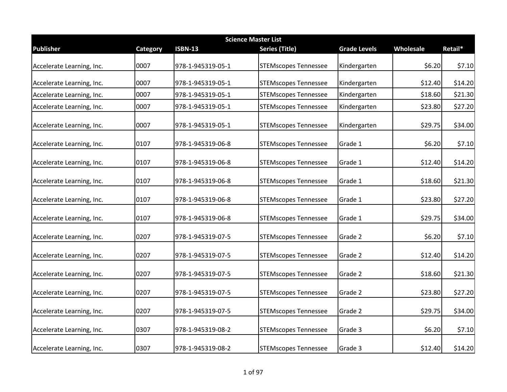| <b>Science Master List</b> |          |                   |                             |                     |           |         |  |
|----------------------------|----------|-------------------|-----------------------------|---------------------|-----------|---------|--|
| <b>Publisher</b>           | Category | <b>ISBN-13</b>    | Series (Title)              | <b>Grade Levels</b> | Wholesale | Retail* |  |
| Accelerate Learning, Inc.  | 0007     | 978-1-945319-05-1 | <b>STEMscopes Tennessee</b> | Kindergarten        | \$6.20    | \$7.10  |  |
| Accelerate Learning, Inc.  | 0007     | 978-1-945319-05-1 | <b>STEMscopes Tennessee</b> | Kindergarten        | \$12.40   | \$14.20 |  |
| Accelerate Learning, Inc.  | 0007     | 978-1-945319-05-1 | <b>STEMscopes Tennessee</b> | Kindergarten        | \$18.60   | \$21.30 |  |
| Accelerate Learning, Inc.  | 0007     | 978-1-945319-05-1 | <b>STEMscopes Tennessee</b> | Kindergarten        | \$23.80   | \$27.20 |  |
| Accelerate Learning, Inc.  | 0007     | 978-1-945319-05-1 | <b>STEMscopes Tennessee</b> | Kindergarten        | \$29.75   | \$34.00 |  |
| Accelerate Learning, Inc.  | 0107     | 978-1-945319-06-8 | <b>STEMscopes Tennessee</b> | Grade 1             | \$6.20    | \$7.10  |  |
| Accelerate Learning, Inc.  | 0107     | 978-1-945319-06-8 | <b>STEMscopes Tennessee</b> | Grade 1             | \$12.40   | \$14.20 |  |
| Accelerate Learning, Inc.  | 0107     | 978-1-945319-06-8 | <b>STEMscopes Tennessee</b> | Grade 1             | \$18.60   | \$21.30 |  |
| Accelerate Learning, Inc.  | 0107     | 978-1-945319-06-8 | <b>STEMscopes Tennessee</b> | Grade 1             | \$23.80   | \$27.20 |  |
| Accelerate Learning, Inc.  | 0107     | 978-1-945319-06-8 | <b>STEMscopes Tennessee</b> | Grade 1             | \$29.75   | \$34.00 |  |
| Accelerate Learning, Inc.  | 0207     | 978-1-945319-07-5 | <b>STEMscopes Tennessee</b> | Grade 2             | \$6.20    | \$7.10  |  |
| Accelerate Learning, Inc.  | 0207     | 978-1-945319-07-5 | <b>STEMscopes Tennessee</b> | Grade 2             | \$12.40   | \$14.20 |  |
| Accelerate Learning, Inc.  | 0207     | 978-1-945319-07-5 | <b>STEMscopes Tennessee</b> | Grade 2             | \$18.60   | \$21.30 |  |
| Accelerate Learning, Inc.  | 0207     | 978-1-945319-07-5 | <b>STEMscopes Tennessee</b> | Grade 2             | \$23.80   | \$27.20 |  |
| Accelerate Learning, Inc.  | 0207     | 978-1-945319-07-5 | <b>STEMscopes Tennessee</b> | Grade 2             | \$29.75   | \$34.00 |  |
| Accelerate Learning, Inc.  | 0307     | 978-1-945319-08-2 | <b>STEMscopes Tennessee</b> | Grade 3             | \$6.20    | \$7.10  |  |
| Accelerate Learning, Inc.  | 0307     | 978-1-945319-08-2 | <b>STEMscopes Tennessee</b> | Grade 3             | \$12.40   | \$14.20 |  |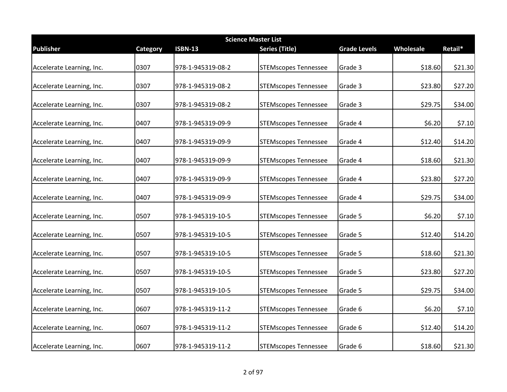|                           | <b>Science Master List</b> |                   |                             |                     |           |         |  |  |
|---------------------------|----------------------------|-------------------|-----------------------------|---------------------|-----------|---------|--|--|
| <b>Publisher</b>          | Category                   | <b>ISBN-13</b>    | <b>Series (Title)</b>       | <b>Grade Levels</b> | Wholesale | Retail* |  |  |
| Accelerate Learning, Inc. | 0307                       | 978-1-945319-08-2 | <b>STEMscopes Tennessee</b> | Grade 3             | \$18.60   | \$21.30 |  |  |
| Accelerate Learning, Inc. | 0307                       | 978-1-945319-08-2 | <b>STEMscopes Tennessee</b> | Grade 3             | \$23.80   | \$27.20 |  |  |
| Accelerate Learning, Inc. | 0307                       | 978-1-945319-08-2 | <b>STEMscopes Tennessee</b> | Grade 3             | \$29.75   | \$34.00 |  |  |
| Accelerate Learning, Inc. | 0407                       | 978-1-945319-09-9 | <b>STEMscopes Tennessee</b> | Grade 4             | \$6.20    | \$7.10  |  |  |
| Accelerate Learning, Inc. | 0407                       | 978-1-945319-09-9 | <b>STEMscopes Tennessee</b> | Grade 4             | \$12.40   | \$14.20 |  |  |
| Accelerate Learning, Inc. | 0407                       | 978-1-945319-09-9 | <b>STEMscopes Tennessee</b> | Grade 4             | \$18.60   | \$21.30 |  |  |
| Accelerate Learning, Inc. | 0407                       | 978-1-945319-09-9 | <b>STEMscopes Tennessee</b> | Grade 4             | \$23.80   | \$27.20 |  |  |
| Accelerate Learning, Inc. | 0407                       | 978-1-945319-09-9 | <b>STEMscopes Tennessee</b> | Grade 4             | \$29.75   | \$34.00 |  |  |
| Accelerate Learning, Inc. | 0507                       | 978-1-945319-10-5 | <b>STEMscopes Tennessee</b> | Grade 5             | \$6.20    | \$7.10  |  |  |
| Accelerate Learning, Inc. | 0507                       | 978-1-945319-10-5 | <b>STEMscopes Tennessee</b> | Grade 5             | \$12.40   | \$14.20 |  |  |
| Accelerate Learning, Inc. | 0507                       | 978-1-945319-10-5 | <b>STEMscopes Tennessee</b> | Grade 5             | \$18.60   | \$21.30 |  |  |
| Accelerate Learning, Inc. | 0507                       | 978-1-945319-10-5 | <b>STEMscopes Tennessee</b> | Grade 5             | \$23.80   | \$27.20 |  |  |
| Accelerate Learning, Inc. | 0507                       | 978-1-945319-10-5 | <b>STEMscopes Tennessee</b> | Grade 5             | \$29.75   | \$34.00 |  |  |
| Accelerate Learning, Inc. | 0607                       | 978-1-945319-11-2 | <b>STEMscopes Tennessee</b> | Grade 6             | \$6.20    | \$7.10  |  |  |
| Accelerate Learning, Inc. | 0607                       | 978-1-945319-11-2 | <b>STEMscopes Tennessee</b> | Grade 6             | \$12.40   | \$14.20 |  |  |
| Accelerate Learning, Inc. | 0607                       | 978-1-945319-11-2 | <b>STEMscopes Tennessee</b> | Grade 6             | \$18.60   | \$21.30 |  |  |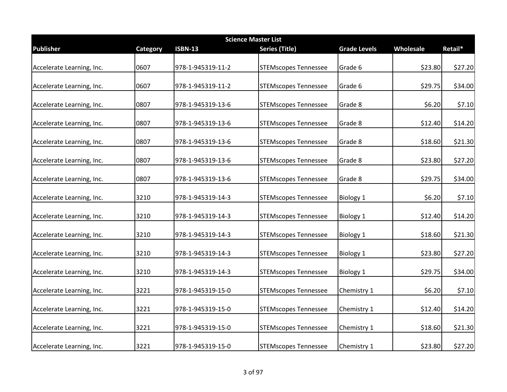| <b>Science Master List</b> |          |                   |                             |                     |           |         |  |
|----------------------------|----------|-------------------|-----------------------------|---------------------|-----------|---------|--|
| <b>Publisher</b>           | Category | <b>ISBN-13</b>    | <b>Series (Title)</b>       | <b>Grade Levels</b> | Wholesale | Retail* |  |
| Accelerate Learning, Inc.  | 0607     | 978-1-945319-11-2 | <b>STEMscopes Tennessee</b> | Grade 6             | \$23.80   | \$27.20 |  |
| Accelerate Learning, Inc.  | 0607     | 978-1-945319-11-2 | <b>STEMscopes Tennessee</b> | Grade 6             | \$29.75   | \$34.00 |  |
| Accelerate Learning, Inc.  | 0807     | 978-1-945319-13-6 | <b>STEMscopes Tennessee</b> | Grade 8             | \$6.20    | \$7.10  |  |
| Accelerate Learning, Inc.  | 0807     | 978-1-945319-13-6 | <b>STEMscopes Tennessee</b> | Grade 8             | \$12.40   | \$14.20 |  |
| Accelerate Learning, Inc.  | 0807     | 978-1-945319-13-6 | <b>STEMscopes Tennessee</b> | Grade 8             | \$18.60   | \$21.30 |  |
| Accelerate Learning, Inc.  | 0807     | 978-1-945319-13-6 | <b>STEMscopes Tennessee</b> | Grade 8             | \$23.80   | \$27.20 |  |
| Accelerate Learning, Inc.  | 0807     | 978-1-945319-13-6 | <b>STEMscopes Tennessee</b> | Grade 8             | \$29.75   | \$34.00 |  |
| Accelerate Learning, Inc.  | 3210     | 978-1-945319-14-3 | <b>STEMscopes Tennessee</b> | <b>Biology 1</b>    | \$6.20    | \$7.10  |  |
| Accelerate Learning, Inc.  | 3210     | 978-1-945319-14-3 | <b>STEMscopes Tennessee</b> | <b>Biology 1</b>    | \$12.40   | \$14.20 |  |
| Accelerate Learning, Inc.  | 3210     | 978-1-945319-14-3 | <b>STEMscopes Tennessee</b> | <b>Biology 1</b>    | \$18.60   | \$21.30 |  |
| Accelerate Learning, Inc.  | 3210     | 978-1-945319-14-3 | <b>STEMscopes Tennessee</b> | <b>Biology 1</b>    | \$23.80   | \$27.20 |  |
| Accelerate Learning, Inc.  | 3210     | 978-1-945319-14-3 | <b>STEMscopes Tennessee</b> | <b>Biology 1</b>    | \$29.75   | \$34.00 |  |
| Accelerate Learning, Inc.  | 3221     | 978-1-945319-15-0 | <b>STEMscopes Tennessee</b> | Chemistry 1         | \$6.20    | \$7.10  |  |
| Accelerate Learning, Inc.  | 3221     | 978-1-945319-15-0 | <b>STEMscopes Tennessee</b> | Chemistry 1         | \$12.40   | \$14.20 |  |
| Accelerate Learning, Inc.  | 3221     | 978-1-945319-15-0 | <b>STEMscopes Tennessee</b> | Chemistry 1         | \$18.60   | \$21.30 |  |
| Accelerate Learning, Inc.  | 3221     | 978-1-945319-15-0 | <b>STEMscopes Tennessee</b> | Chemistry 1         | \$23.80   | \$27.20 |  |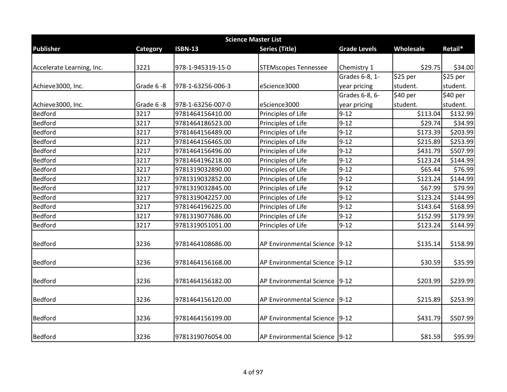| <b>Science Master List</b> |           |                   |                                 |                     |           |          |  |  |
|----------------------------|-----------|-------------------|---------------------------------|---------------------|-----------|----------|--|--|
| <b>Publisher</b>           | Category  | <b>ISBN-13</b>    | <b>Series (Title)</b>           | <b>Grade Levels</b> | Wholesale | Retail*  |  |  |
| Accelerate Learning, Inc.  | 3221      | 978-1-945319-15-0 | <b>STEMscopes Tennessee</b>     | Chemistry 1         | \$29.75   | \$34.00  |  |  |
|                            |           |                   |                                 | Grades 6-8, 1-      | \$25 per  | \$25 per |  |  |
| Achieve3000, Inc.          | Grade 6-8 | 978-1-63256-006-3 | eScience3000                    | year pricing        | student.  | student. |  |  |
|                            |           |                   |                                 | Grades 6-8, 6-      | \$40 per  | \$40 per |  |  |
| Achieve3000, Inc.          | Grade 6-8 | 978-1-63256-007-0 | eScience3000                    | year pricing        | student.  | student. |  |  |
| Bedford                    | 3217      | 9781464156410.00  | Principles of Life              | $9 - 12$            | \$113.04  | \$132.99 |  |  |
| Bedford                    | 3217      | 9781464186523.00  | Principles of Life              | $9 - 12$            | \$29.74   | \$34.99  |  |  |
| Bedford                    | 3217      | 9781464156489.00  | Principles of Life              | $9 - 12$            | \$173.39  | \$203.99 |  |  |
| Bedford                    | 3217      | 9781464156465.00  | Principles of Life              | $9 - 12$            | \$215.89  | \$253.99 |  |  |
| Bedford                    | 3217      | 9781464156496.00  | Principles of Life              | $9 - 12$            | \$431.79  | \$507.99 |  |  |
| Bedford                    | 3217      | 9781464196218.00  | Principles of Life              | $9 - 12$            | \$123.24  | \$144.99 |  |  |
| Bedford                    | 3217      | 9781319032890.00  | Principles of Life              | $9 - 12$            | \$65.44   | \$76.99  |  |  |
| Bedford                    | 3217      | 9781319032852.00  | Principles of Life              | $9 - 12$            | \$123.24  | \$144.99 |  |  |
| Bedford                    | 3217      | 9781319032845.00  | Principles of Life              | $9 - 12$            | \$67.99   | \$79.99  |  |  |
| Bedford                    | 3217      | 9781319042257.00  | Principles of Life              | $9 - 12$            | \$123.24  | \$144.99 |  |  |
| Bedford                    | 3217      | 9781464196225.00  | Principles of Life              | $9 - 12$            | \$143.64  | \$168.99 |  |  |
| Bedford                    | 3217      | 9781319077686.00  | Principles of Life              | $9 - 12$            | \$152.99  | \$179.99 |  |  |
| Bedford                    | 3217      | 9781319051051.00  | Principles of Life              | $9 - 12$            | \$123.24  | \$144.99 |  |  |
| <b>Bedford</b>             | 3236      | 9781464108686.00  | <b>AP Environmental Science</b> | $9 - 12$            | \$135.14  | \$158.99 |  |  |
| <b>Bedford</b>             | 3236      | 9781464156168.00  | AP Environmental Science 9-12   |                     | \$30.59   | \$35.99  |  |  |
| <b>Bedford</b>             | 3236      | 9781464156182.00  | AP Environmental Science        | $9-12$              | \$203.99  | \$239.99 |  |  |
| <b>Bedford</b>             | 3236      | 9781464156120.00  | AP Environmental Science 9-12   |                     | \$215.89  | \$253.99 |  |  |
| <b>Bedford</b>             | 3236      | 9781464156199.00  | AP Environmental Science 9-12   |                     | \$431.79  | \$507.99 |  |  |
| Bedford                    | 3236      | 9781319076054.00  | AP Environmental Science 9-12   |                     | \$81.59   | \$95.99  |  |  |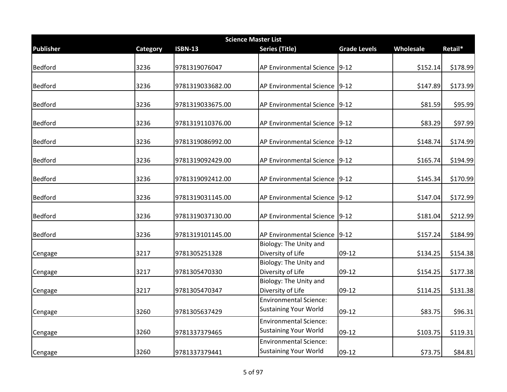|                  |                 |                  | <b>Science Master List</b>                                    |                     |           |          |
|------------------|-----------------|------------------|---------------------------------------------------------------|---------------------|-----------|----------|
| <b>Publisher</b> | <b>Category</b> | <b>ISBN-13</b>   | <b>Series (Title)</b>                                         | <b>Grade Levels</b> | Wholesale | Retail*  |
| Bedford          | 3236            | 9781319076047    | AP Environmental Science                                      | $9-12$              | \$152.14  | \$178.99 |
| Bedford          | 3236            | 9781319033682.00 | AP Environmental Science                                      | $9-12$              | \$147.89  | \$173.99 |
| Bedford          | 3236            | 9781319033675.00 | AP Environmental Science                                      | $9 - 12$            | \$81.59   | \$95.99  |
| Bedford          | 3236            | 9781319110376.00 | AP Environmental Science 9-12                                 |                     | \$83.29   | \$97.99  |
| Bedford          | 3236            | 9781319086992.00 | AP Environmental Science 9-12                                 |                     | \$148.74  | \$174.99 |
| Bedford          | 3236            | 9781319092429.00 | AP Environmental Science 9-12                                 |                     | \$165.74  | \$194.99 |
| Bedford          | 3236            | 9781319092412.00 | AP Environmental Science 9-12                                 |                     | \$145.34  | \$170.99 |
| Bedford          | 3236            | 9781319031145.00 | AP Environmental Science                                      | $9-12$              | \$147.04  | \$172.99 |
| Bedford          | 3236            | 9781319037130.00 | AP Environmental Science                                      | $9-12$              | \$181.04  | \$212.99 |
| Bedford          | 3236            | 9781319101145.00 | AP Environmental Science                                      | $9-12$              | \$157.24  | \$184.99 |
| Cengage          | 3217            | 9781305251328    | Biology: The Unity and<br>Diversity of Life                   | 09-12               | \$134.25  | \$154.38 |
| Cengage          | 3217            | 9781305470330    | Biology: The Unity and<br>Diversity of Life                   | $09-12$             | \$154.25  | \$177.38 |
| Cengage          | 3217            | 9781305470347    | Biology: The Unity and<br>Diversity of Life                   | $09-12$             | \$114.25  | \$131.38 |
| Cengage          | 3260            | 9781305637429    | <b>Environmental Science:</b><br><b>Sustaining Your World</b> | $09-12$             | \$83.75   | \$96.31  |
| Cengage          | 3260            | 9781337379465    | <b>Environmental Science:</b><br><b>Sustaining Your World</b> | 09-12               | \$103.75  | \$119.31 |
| Cengage          | 3260            | 9781337379441    | <b>Environmental Science:</b><br><b>Sustaining Your World</b> | 09-12               | \$73.75   | \$84.81  |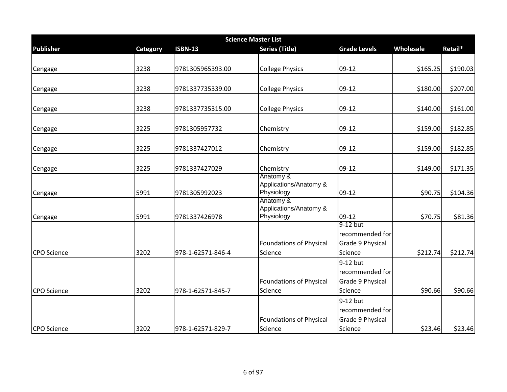|                    | <b>Science Master List</b> |                   |                                      |                     |           |          |  |  |
|--------------------|----------------------------|-------------------|--------------------------------------|---------------------|-----------|----------|--|--|
| <b>Publisher</b>   | Category                   | <b>ISBN-13</b>    | <b>Series (Title)</b>                | <b>Grade Levels</b> | Wholesale | Retail*  |  |  |
|                    |                            |                   |                                      |                     |           |          |  |  |
| Cengage            | 3238                       | 9781305965393.00  | <b>College Physics</b>               | $09-12$             | \$165.25  | \$190.03 |  |  |
|                    |                            |                   |                                      |                     |           |          |  |  |
| Cengage            | 3238                       | 9781337735339.00  | <b>College Physics</b>               | $09-12$             | \$180.00  | \$207.00 |  |  |
|                    |                            |                   |                                      |                     |           |          |  |  |
| Cengage            | 3238                       | 9781337735315.00  | <b>College Physics</b>               | 09-12               | \$140.00  | \$161.00 |  |  |
| Cengage            | 3225                       | 9781305957732     | Chemistry                            | 09-12               | \$159.00  | \$182.85 |  |  |
|                    |                            |                   |                                      |                     |           |          |  |  |
| Cengage            | 3225                       | 9781337427012     | Chemistry                            | 09-12               | \$159.00  | \$182.85 |  |  |
| Cengage            | 3225                       | 9781337427029     | Chemistry                            | 09-12               | \$149.00  | \$171.35 |  |  |
|                    |                            |                   | Anatomy &                            |                     |           |          |  |  |
| Cengage            | 5991                       | 9781305992023     | Applications/Anatomy &<br>Physiology | $09-12$             | \$90.75   | \$104.36 |  |  |
|                    |                            |                   | Anatomy &                            |                     |           |          |  |  |
| Cengage            | 5991                       | 9781337426978     | Applications/Anatomy &<br>Physiology | $09-12$             | \$70.75   | \$81.36  |  |  |
|                    |                            |                   |                                      | 9-12 but            |           |          |  |  |
|                    |                            |                   |                                      | recommended for     |           |          |  |  |
|                    |                            |                   | <b>Foundations of Physical</b>       | Grade 9 Physical    |           |          |  |  |
| <b>CPO</b> Science | 3202                       | 978-1-62571-846-4 | Science                              | Science             | \$212.74  | \$212.74 |  |  |
|                    |                            |                   |                                      | 9-12 but            |           |          |  |  |
|                    |                            |                   |                                      | recommended for     |           |          |  |  |
|                    |                            |                   | <b>Foundations of Physical</b>       | Grade 9 Physical    |           |          |  |  |
| <b>CPO Science</b> | 3202                       | 978-1-62571-845-7 | Science                              | Science             | \$90.66   | \$90.66  |  |  |
|                    |                            |                   |                                      | 9-12 but            |           |          |  |  |
|                    |                            |                   |                                      | recommended for     |           |          |  |  |
|                    |                            |                   | <b>Foundations of Physical</b>       | Grade 9 Physical    |           |          |  |  |
| CPO Science        | 3202                       | 978-1-62571-829-7 | Science                              | Science             | \$23.46   | \$23.46  |  |  |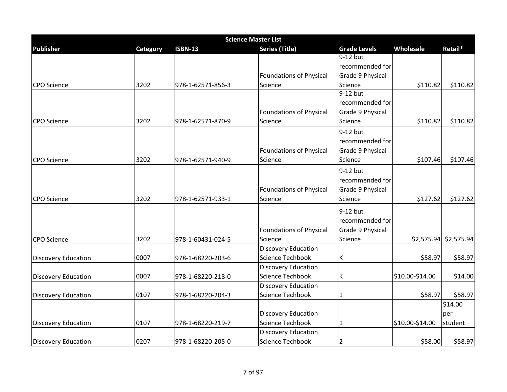|                            | <b>Science Master List</b> |                   |                                |                     |                 |                         |  |  |
|----------------------------|----------------------------|-------------------|--------------------------------|---------------------|-----------------|-------------------------|--|--|
| <b>Publisher</b>           | Category                   | <b>ISBN-13</b>    | <b>Series (Title)</b>          | <b>Grade Levels</b> | Wholesale       | Retail*                 |  |  |
|                            |                            |                   |                                | $9-12$ but          |                 |                         |  |  |
|                            |                            |                   |                                | recommended for     |                 |                         |  |  |
|                            |                            |                   | <b>Foundations of Physical</b> | Grade 9 Physical    |                 |                         |  |  |
| <b>CPO</b> Science         | 3202                       | 978-1-62571-856-3 | Science                        | Science             | \$110.82        | \$110.82                |  |  |
|                            |                            |                   |                                | 9-12 but            |                 |                         |  |  |
|                            |                            |                   |                                | recommended for     |                 |                         |  |  |
|                            |                            |                   | <b>Foundations of Physical</b> | Grade 9 Physical    |                 |                         |  |  |
| <b>CPO</b> Science         | 3202                       | 978-1-62571-870-9 | Science                        | Science             | \$110.82        | \$110.82                |  |  |
|                            |                            |                   |                                | 9-12 but            |                 |                         |  |  |
|                            |                            |                   |                                | recommended for     |                 |                         |  |  |
|                            |                            |                   | <b>Foundations of Physical</b> | Grade 9 Physical    |                 |                         |  |  |
| <b>CPO</b> Science         | 3202                       | 978-1-62571-940-9 | Science                        | Science             | \$107.46        | \$107.46                |  |  |
|                            |                            |                   |                                | 9-12 but            |                 |                         |  |  |
|                            |                            |                   |                                | recommended for     |                 |                         |  |  |
|                            |                            |                   | <b>Foundations of Physical</b> | Grade 9 Physical    |                 |                         |  |  |
| <b>CPO</b> Science         | 3202                       | 978-1-62571-933-1 | Science                        | Science             | \$127.62        | \$127.62                |  |  |
|                            |                            |                   |                                |                     |                 |                         |  |  |
|                            |                            |                   |                                | 9-12 but            |                 |                         |  |  |
|                            |                            |                   |                                | recommended for     |                 |                         |  |  |
|                            |                            |                   | <b>Foundations of Physical</b> | Grade 9 Physical    |                 |                         |  |  |
| <b>CPO</b> Science         | 3202                       | 978-1-60431-024-5 | Science                        | Science             |                 | $$2,575.94$ $$2,575.94$ |  |  |
|                            |                            |                   | <b>Discovery Education</b>     |                     |                 |                         |  |  |
| <b>Discovery Education</b> | 0007                       | 978-1-68220-203-6 | <b>Science Techbook</b>        | К                   | \$58.97         | \$58.97                 |  |  |
|                            |                            |                   | <b>Discovery Education</b>     |                     |                 |                         |  |  |
| <b>Discovery Education</b> | 0007                       | 978-1-68220-218-0 | <b>Science Techbook</b>        | К                   | \$10.00-\$14.00 | \$14.00                 |  |  |
|                            |                            |                   | <b>Discovery Education</b>     |                     |                 |                         |  |  |
| <b>Discovery Education</b> | 0107                       | 978-1-68220-204-3 | <b>Science Techbook</b>        | 1                   | \$58.97         | \$58.97                 |  |  |
|                            |                            |                   |                                |                     |                 | \$14.00                 |  |  |
|                            |                            |                   | <b>Discovery Education</b>     |                     |                 | per                     |  |  |
| <b>Discovery Education</b> | 0107                       | 978-1-68220-219-7 | Science Techbook               | 1                   | \$10.00-\$14.00 | student                 |  |  |
|                            |                            |                   | <b>Discovery Education</b>     |                     |                 |                         |  |  |
| <b>Discovery Education</b> | 0207                       | 978-1-68220-205-0 | <b>Science Techbook</b>        | 2                   | \$58.00         | \$58.97                 |  |  |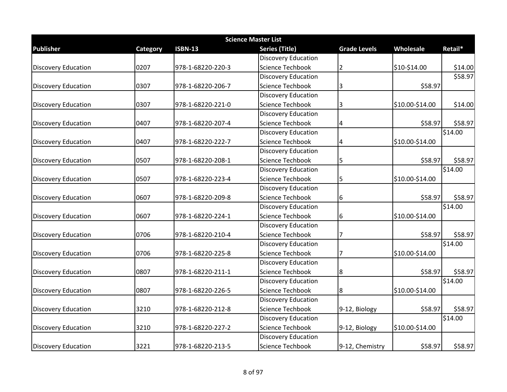|                            | <b>Science Master List</b> |                   |                            |                     |                 |         |  |  |
|----------------------------|----------------------------|-------------------|----------------------------|---------------------|-----------------|---------|--|--|
| <b>Publisher</b>           | Category                   | <b>ISBN-13</b>    | <b>Series (Title)</b>      | <b>Grade Levels</b> | Wholesale       | Retail* |  |  |
|                            |                            |                   | <b>Discovery Education</b> |                     |                 |         |  |  |
| <b>Discovery Education</b> | 0207                       | 978-1-68220-220-3 | Science Techbook           | 2                   | \$10-\$14.00    | \$14.00 |  |  |
|                            |                            |                   | <b>Discovery Education</b> |                     |                 | \$58.97 |  |  |
| <b>Discovery Education</b> | 0307                       | 978-1-68220-206-7 | Science Techbook           | 3                   | \$58.97         |         |  |  |
|                            |                            |                   | <b>Discovery Education</b> |                     |                 |         |  |  |
| <b>Discovery Education</b> | 0307                       | 978-1-68220-221-0 | <b>Science Techbook</b>    | 3                   | \$10.00-\$14.00 | \$14.00 |  |  |
|                            |                            |                   | <b>Discovery Education</b> |                     |                 |         |  |  |
| <b>Discovery Education</b> | 0407                       | 978-1-68220-207-4 | <b>Science Techbook</b>    | $\overline{4}$      | \$58.97         | \$58.97 |  |  |
|                            |                            |                   | <b>Discovery Education</b> |                     |                 | \$14.00 |  |  |
| <b>Discovery Education</b> | 0407                       | 978-1-68220-222-7 | Science Techbook           | 4                   | \$10.00-\$14.00 |         |  |  |
|                            |                            |                   | <b>Discovery Education</b> |                     |                 |         |  |  |
| <b>Discovery Education</b> | 0507                       | 978-1-68220-208-1 | Science Techbook           | 5                   | \$58.97         | \$58.97 |  |  |
|                            |                            |                   | <b>Discovery Education</b> |                     |                 | \$14.00 |  |  |
| <b>Discovery Education</b> | 0507                       | 978-1-68220-223-4 | <b>Science Techbook</b>    | 5                   | \$10.00-\$14.00 |         |  |  |
|                            |                            |                   | <b>Discovery Education</b> |                     |                 |         |  |  |
| <b>Discovery Education</b> | 0607                       | 978-1-68220-209-8 | <b>Science Techbook</b>    | 6                   | \$58.97         | \$58.97 |  |  |
|                            |                            |                   | <b>Discovery Education</b> |                     |                 | \$14.00 |  |  |
| <b>Discovery Education</b> | 0607                       | 978-1-68220-224-1 | Science Techbook           | 6                   | \$10.00-\$14.00 |         |  |  |
|                            |                            |                   | <b>Discovery Education</b> |                     |                 |         |  |  |
| <b>Discovery Education</b> | 0706                       | 978-1-68220-210-4 | Science Techbook           | 17                  | \$58.97         | \$58.97 |  |  |
|                            |                            |                   | <b>Discovery Education</b> |                     |                 | \$14.00 |  |  |
| <b>Discovery Education</b> | 0706                       | 978-1-68220-225-8 | Science Techbook           | 17                  | \$10.00-\$14.00 |         |  |  |
|                            |                            |                   | <b>Discovery Education</b> |                     |                 |         |  |  |
| <b>Discovery Education</b> | 0807                       | 978-1-68220-211-1 | <b>Science Techbook</b>    | 8                   | \$58.97         | \$58.97 |  |  |
|                            |                            |                   | <b>Discovery Education</b> |                     |                 | \$14.00 |  |  |
| <b>Discovery Education</b> | 0807                       | 978-1-68220-226-5 | <b>Science Techbook</b>    | 8                   | \$10.00-\$14.00 |         |  |  |
|                            |                            |                   | <b>Discovery Education</b> |                     |                 |         |  |  |
| <b>Discovery Education</b> | 3210                       | 978-1-68220-212-8 | Science Techbook           | 9-12, Biology       | \$58.97         | \$58.97 |  |  |
|                            |                            |                   | <b>Discovery Education</b> |                     |                 | \$14.00 |  |  |
| <b>Discovery Education</b> | 3210                       | 978-1-68220-227-2 | Science Techbook           | 9-12, Biology       | \$10.00-\$14.00 |         |  |  |
|                            |                            |                   | <b>Discovery Education</b> |                     |                 |         |  |  |
| <b>Discovery Education</b> | 3221                       | 978-1-68220-213-5 | <b>Science Techbook</b>    | 9-12, Chemistry     | \$58.97         | \$58.97 |  |  |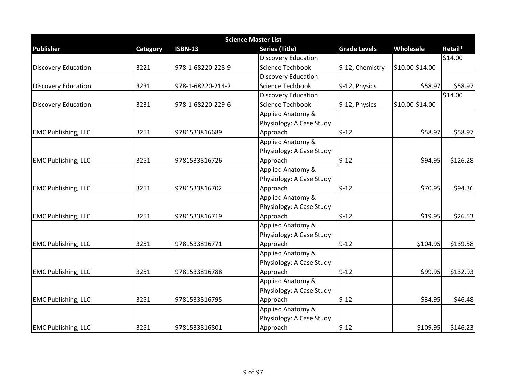| <b>Science Master List</b>         |          |                   |                            |                     |                 |          |  |  |
|------------------------------------|----------|-------------------|----------------------------|---------------------|-----------------|----------|--|--|
| <b>Publisher</b>                   | Category | <b>ISBN-13</b>    | <b>Series (Title)</b>      | <b>Grade Levels</b> | Wholesale       | Retail*  |  |  |
|                                    |          |                   | <b>Discovery Education</b> |                     |                 | \$14.00  |  |  |
| <b>Discovery Education</b>         | 3221     | 978-1-68220-228-9 | <b>Science Techbook</b>    | 9-12, Chemistry     | \$10.00-\$14.00 |          |  |  |
|                                    |          |                   | <b>Discovery Education</b> |                     |                 |          |  |  |
| <b>Discovery Education</b>         | 3231     | 978-1-68220-214-2 | <b>Science Techbook</b>    | 9-12, Physics       | \$58.97         | \$58.97  |  |  |
|                                    |          |                   | <b>Discovery Education</b> |                     |                 | \$14.00  |  |  |
| <b>Discovery Education</b>         | 3231     | 978-1-68220-229-6 | <b>Science Techbook</b>    | 9-12, Physics       | \$10.00-\$14.00 |          |  |  |
|                                    |          |                   | Applied Anatomy &          |                     |                 |          |  |  |
|                                    |          |                   | Physiology: A Case Study   |                     |                 |          |  |  |
| <b>EMC Publishing, LLC</b>         | 3251     | 9781533816689     | Approach                   | $9 - 12$            | \$58.97         | \$58.97  |  |  |
|                                    |          |                   | Applied Anatomy &          |                     |                 |          |  |  |
|                                    |          |                   | Physiology: A Case Study   |                     |                 |          |  |  |
| <b>EMC Publishing, LLC</b>         | 3251     | 9781533816726     | Approach                   | $9 - 12$            | \$94.95         | \$126.28 |  |  |
|                                    |          |                   | Applied Anatomy &          |                     |                 |          |  |  |
|                                    |          |                   | Physiology: A Case Study   |                     |                 |          |  |  |
| <b>EMC Publishing, LLC</b>         | 3251     | 9781533816702     | Approach                   | $9 - 12$            | \$70.95         | \$94.36  |  |  |
|                                    |          |                   | Applied Anatomy &          |                     |                 |          |  |  |
|                                    |          |                   | Physiology: A Case Study   |                     |                 |          |  |  |
| <b>EMC Publishing, LLC</b>         | 3251     | 9781533816719     | Approach                   | $9 - 12$            | \$19.95         | \$26.53  |  |  |
|                                    |          |                   | Applied Anatomy &          |                     |                 |          |  |  |
|                                    |          |                   | Physiology: A Case Study   |                     |                 |          |  |  |
| <b>EMC Publishing, LLC</b>         | 3251     | 9781533816771     | Approach                   | $9 - 12$            | \$104.95        | \$139.58 |  |  |
|                                    |          |                   | Applied Anatomy &          |                     |                 |          |  |  |
|                                    |          |                   | Physiology: A Case Study   |                     |                 |          |  |  |
| <b>EMC Publishing, LLC</b>         | 3251     | 9781533816788     | Approach                   | $9 - 12$            | \$99.95         | \$132.93 |  |  |
|                                    |          |                   | Applied Anatomy &          |                     |                 |          |  |  |
|                                    |          |                   | Physiology: A Case Study   |                     |                 |          |  |  |
| 3251<br><b>EMC Publishing, LLC</b> |          | 9781533816795     | Approach                   | $9 - 12$            | \$34.95         | \$46.48  |  |  |
|                                    |          |                   | Applied Anatomy &          |                     |                 |          |  |  |
|                                    |          |                   | Physiology: A Case Study   |                     |                 |          |  |  |
| <b>EMC Publishing, LLC</b>         | 3251     | 9781533816801     | Approach                   | $9 - 12$            | \$109.95        | \$146.23 |  |  |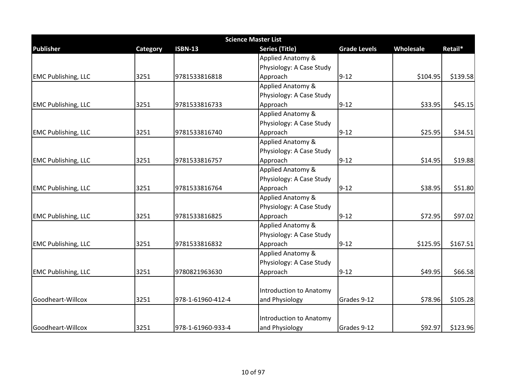| <b>Science Master List</b> |                 |                   |                          |                     |           |          |  |
|----------------------------|-----------------|-------------------|--------------------------|---------------------|-----------|----------|--|
| <b>Publisher</b>           | <b>Category</b> | <b>ISBN-13</b>    | <b>Series (Title)</b>    | <b>Grade Levels</b> | Wholesale | Retail*  |  |
|                            |                 |                   | Applied Anatomy &        |                     |           |          |  |
|                            |                 |                   | Physiology: A Case Study |                     |           |          |  |
| <b>EMC Publishing, LLC</b> | 3251            | 9781533816818     | Approach                 | $9 - 12$            | \$104.95  | \$139.58 |  |
|                            |                 |                   | Applied Anatomy &        |                     |           |          |  |
|                            |                 |                   | Physiology: A Case Study |                     |           |          |  |
| <b>EMC Publishing, LLC</b> | 3251            | 9781533816733     | Approach                 | $9 - 12$            | \$33.95   | \$45.15  |  |
|                            |                 |                   | Applied Anatomy &        |                     |           |          |  |
|                            |                 |                   | Physiology: A Case Study |                     |           |          |  |
| <b>EMC Publishing, LLC</b> | 3251            | 9781533816740     | Approach                 | $9 - 12$            | \$25.95   | \$34.51  |  |
|                            |                 |                   | Applied Anatomy &        |                     |           |          |  |
|                            |                 |                   | Physiology: A Case Study |                     |           |          |  |
| <b>EMC Publishing, LLC</b> | 3251            | 9781533816757     | Approach                 | $9 - 12$            | \$14.95   | \$19.88  |  |
|                            |                 |                   | Applied Anatomy &        |                     |           |          |  |
|                            |                 |                   | Physiology: A Case Study |                     |           |          |  |
| <b>EMC Publishing, LLC</b> | 3251            | 9781533816764     | Approach                 | $9 - 12$            | \$38.95   | \$51.80  |  |
|                            |                 |                   | Applied Anatomy &        |                     |           |          |  |
|                            |                 |                   | Physiology: A Case Study |                     |           |          |  |
| <b>EMC Publishing, LLC</b> | 3251            | 9781533816825     | Approach                 | $9 - 12$            | \$72.95   | \$97.02  |  |
|                            |                 |                   | Applied Anatomy &        |                     |           |          |  |
|                            |                 |                   | Physiology: A Case Study |                     |           |          |  |
| <b>EMC Publishing, LLC</b> | 3251            | 9781533816832     | Approach                 | $9 - 12$            | \$125.95  | \$167.51 |  |
|                            |                 |                   | Applied Anatomy &        |                     |           |          |  |
|                            |                 |                   | Physiology: A Case Study |                     |           |          |  |
| <b>EMC Publishing, LLC</b> | 3251            | 9780821963630     | Approach                 | $9 - 12$            | \$49.95   | \$66.58  |  |
|                            |                 |                   |                          |                     |           |          |  |
|                            |                 |                   | Introduction to Anatomy  |                     |           |          |  |
| Goodheart-Willcox          | 3251            | 978-1-61960-412-4 | and Physiology           | Grades 9-12         | \$78.96   | \$105.28 |  |
|                            |                 |                   |                          |                     |           |          |  |
|                            |                 |                   | Introduction to Anatomy  |                     |           |          |  |
| Goodheart-Willcox          | 3251            | 978-1-61960-933-4 | and Physiology           | Grades 9-12         | \$92.97   | \$123.96 |  |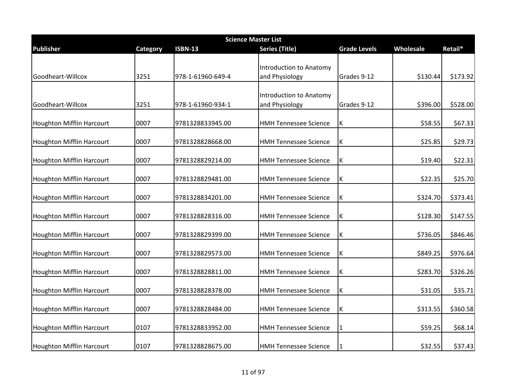| <b>Science Master List</b>       |          |                   |                                                  |                     |           |          |  |
|----------------------------------|----------|-------------------|--------------------------------------------------|---------------------|-----------|----------|--|
| <b>Publisher</b>                 | Category | <b>ISBN-13</b>    | <b>Series (Title)</b>                            | <b>Grade Levels</b> | Wholesale | Retail*  |  |
| Goodheart-Willcox                | 3251     | 978-1-61960-649-4 | <b>Introduction to Anatomy</b><br>and Physiology | Grades 9-12         | \$130.44  | \$173.92 |  |
| Goodheart-Willcox                | 3251     | 978-1-61960-934-1 | <b>Introduction to Anatomy</b><br>and Physiology | Grades 9-12         | \$396.00  | \$528.00 |  |
| Houghton Mifflin Harcourt        | 0007     | 9781328833945.00  | <b>HMH Tennessee Science</b>                     | К                   | \$58.55   | \$67.33  |  |
| Houghton Mifflin Harcourt        | 0007     | 9781328828668.00  | <b>HMH Tennessee Science</b>                     | К                   | \$25.85   | \$29.73  |  |
| Houghton Mifflin Harcourt        | 0007     | 9781328829214.00  | <b>HMH Tennessee Science</b>                     | Κ                   | \$19.40   | \$22.31  |  |
| <b>Houghton Mifflin Harcourt</b> | 0007     | 9781328829481.00  | <b>HMH Tennessee Science</b>                     | К                   | \$22.35   | \$25.70  |  |
| <b>Houghton Mifflin Harcourt</b> | 0007     | 9781328834201.00  | <b>HMH Tennessee Science</b>                     | К                   | \$324.70  | \$373.41 |  |
| Houghton Mifflin Harcourt        | 0007     | 9781328828316.00  | <b>HMH Tennessee Science</b>                     | К                   | \$128.30  | \$147.55 |  |
| <b>Houghton Mifflin Harcourt</b> | 0007     | 9781328829399.00  | <b>HMH Tennessee Science</b>                     | К                   | \$736.05  | \$846.46 |  |
| <b>Houghton Mifflin Harcourt</b> | 0007     | 9781328829573.00  | <b>HMH Tennessee Science</b>                     | K                   | \$849.25  | \$976.64 |  |
| <b>Houghton Mifflin Harcourt</b> | 0007     | 9781328828811.00  | <b>HMH Tennessee Science</b>                     | К                   | \$283.70  | \$326.26 |  |
| Houghton Mifflin Harcourt        | 0007     | 9781328828378.00  | <b>HMH Tennessee Science</b>                     | К                   | \$31.05   | \$35.71  |  |
| <b>Houghton Mifflin Harcourt</b> | 0007     | 9781328828484.00  | <b>HMH Tennessee Science</b>                     | К                   | \$313.55  | \$360.58 |  |
| <b>Houghton Mifflin Harcourt</b> | 0107     | 9781328833952.00  | <b>HMH Tennessee Science</b>                     | 1                   | \$59.25   | \$68.14  |  |
| <b>Houghton Mifflin Harcourt</b> | 0107     | 9781328828675.00  | <b>HMH Tennessee Science</b>                     |                     | \$32.55   | \$37.43  |  |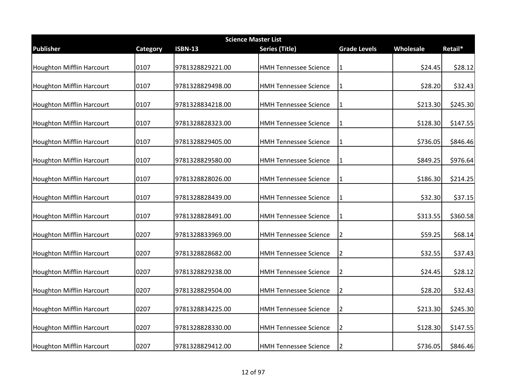|                                  | <b>Science Master List</b> |                  |                              |                     |           |          |  |  |
|----------------------------------|----------------------------|------------------|------------------------------|---------------------|-----------|----------|--|--|
| <b>Publisher</b>                 | Category                   | <b>ISBN-13</b>   | <b>Series (Title)</b>        | <b>Grade Levels</b> | Wholesale | Retail*  |  |  |
| Houghton Mifflin Harcourt        | 0107                       | 9781328829221.00 | <b>HMH Tennessee Science</b> | 1                   | \$24.45   | \$28.12  |  |  |
| <b>Houghton Mifflin Harcourt</b> | 0107                       | 9781328829498.00 | <b>HMH Tennessee Science</b> | 1                   | \$28.20   | \$32.43  |  |  |
| <b>Houghton Mifflin Harcourt</b> | 0107                       | 9781328834218.00 | <b>HMH Tennessee Science</b> | 1                   | \$213.30  | \$245.30 |  |  |
| <b>Houghton Mifflin Harcourt</b> | 0107                       | 9781328828323.00 | <b>HMH Tennessee Science</b> | 1                   | \$128.30  | \$147.55 |  |  |
| <b>Houghton Mifflin Harcourt</b> | 0107                       | 9781328829405.00 | <b>HMH Tennessee Science</b> | 1                   | \$736.05  | \$846.46 |  |  |
| <b>Houghton Mifflin Harcourt</b> | 0107                       | 9781328829580.00 | <b>HMH Tennessee Science</b> | 1                   | \$849.25  | \$976.64 |  |  |
| <b>Houghton Mifflin Harcourt</b> | 0107                       | 9781328828026.00 | <b>HMH Tennessee Science</b> | 1                   | \$186.30  | \$214.25 |  |  |
| <b>Houghton Mifflin Harcourt</b> | 0107                       | 9781328828439.00 | <b>HMH Tennessee Science</b> | $\mathbf{1}$        | \$32.30   | \$37.15  |  |  |
| <b>Houghton Mifflin Harcourt</b> | 0107                       | 9781328828491.00 | <b>HMH Tennessee Science</b> | 1                   | \$313.55  | \$360.58 |  |  |
| <b>Houghton Mifflin Harcourt</b> | 0207                       | 9781328833969.00 | <b>HMH Tennessee Science</b> | 2                   | \$59.25   | \$68.14  |  |  |
| Houghton Mifflin Harcourt        | 0207                       | 9781328828682.00 | <b>HMH Tennessee Science</b> | 2                   | \$32.55   | \$37.43  |  |  |
| <b>Houghton Mifflin Harcourt</b> | 0207                       | 9781328829238.00 | <b>HMH Tennessee Science</b> | 2                   | \$24.45   | \$28.12  |  |  |
| <b>Houghton Mifflin Harcourt</b> | 0207                       | 9781328829504.00 | <b>HMH Tennessee Science</b> | $\overline{2}$      | \$28.20   | \$32.43  |  |  |
| <b>Houghton Mifflin Harcourt</b> | 0207                       | 9781328834225.00 | <b>HMH Tennessee Science</b> | $\overline{2}$      | \$213.30  | \$245.30 |  |  |
| <b>Houghton Mifflin Harcourt</b> | 0207                       | 9781328828330.00 | <b>HMH Tennessee Science</b> | 2                   | \$128.30  | \$147.55 |  |  |
| <b>Houghton Mifflin Harcourt</b> | 0207                       | 9781328829412.00 | <b>HMH Tennessee Science</b> | 2                   | \$736.05  | \$846.46 |  |  |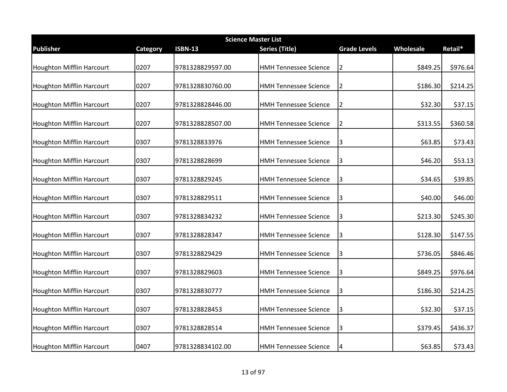| <b>Science Master List</b>       |          |                  |                              |                     |           |          |  |  |
|----------------------------------|----------|------------------|------------------------------|---------------------|-----------|----------|--|--|
| <b>Publisher</b>                 | Category | <b>ISBN-13</b>   | <b>Series (Title)</b>        | <b>Grade Levels</b> | Wholesale | Retail*  |  |  |
| <b>Houghton Mifflin Harcourt</b> | 0207     | 9781328829597.00 | <b>HMH Tennessee Science</b> | 2                   | \$849.25  | \$976.64 |  |  |
| <b>Houghton Mifflin Harcourt</b> | 0207     | 9781328830760.00 | <b>HMH Tennessee Science</b> | 2                   | \$186.30  | \$214.25 |  |  |
| <b>Houghton Mifflin Harcourt</b> | 0207     | 9781328828446.00 | <b>HMH Tennessee Science</b> | $\overline{2}$      | \$32.30   | \$37.15  |  |  |
| <b>Houghton Mifflin Harcourt</b> | 0207     | 9781328828507.00 | <b>HMH Tennessee Science</b> | $\overline{2}$      | \$313.55  | \$360.58 |  |  |
| <b>Houghton Mifflin Harcourt</b> | 0307     | 9781328833976    | <b>HMH Tennessee Science</b> | 3                   | \$63.85   | \$73.43  |  |  |
| <b>Houghton Mifflin Harcourt</b> | 0307     | 9781328828699    | <b>HMH Tennessee Science</b> | 3                   | \$46.20   | \$53.13  |  |  |
| <b>Houghton Mifflin Harcourt</b> | 0307     | 9781328829245    | <b>HMH Tennessee Science</b> | 3                   | \$34.65   | \$39.85  |  |  |
| <b>Houghton Mifflin Harcourt</b> | 0307     | 9781328829511    | <b>HMH Tennessee Science</b> | 3                   | \$40.00   | \$46.00  |  |  |
| <b>Houghton Mifflin Harcourt</b> | 0307     | 9781328834232    | <b>HMH Tennessee Science</b> | 3                   | \$213.30  | \$245.30 |  |  |
| <b>Houghton Mifflin Harcourt</b> | 0307     | 9781328828347    | <b>HMH Tennessee Science</b> | 3                   | \$128.30  | \$147.55 |  |  |
| Houghton Mifflin Harcourt        | 0307     | 9781328829429    | <b>HMH Tennessee Science</b> | 3                   | \$736.05  | \$846.46 |  |  |
| <b>Houghton Mifflin Harcourt</b> | 0307     | 9781328829603    | <b>HMH Tennessee Science</b> | 3                   | \$849.25  | \$976.64 |  |  |
| <b>Houghton Mifflin Harcourt</b> | 0307     | 9781328830777    | <b>HMH Tennessee Science</b> | 3                   | \$186.30  | \$214.25 |  |  |
| Houghton Mifflin Harcourt        | 0307     | 9781328828453    | <b>HMH Tennessee Science</b> | 3                   | \$32.30   | \$37.15  |  |  |
| <b>Houghton Mifflin Harcourt</b> | 0307     | 9781328828514    | <b>HMH Tennessee Science</b> | 3                   | \$379.45  | \$436.37 |  |  |
| <b>Houghton Mifflin Harcourt</b> | 0407     | 9781328834102.00 | <b>HMH Tennessee Science</b> | 4                   | \$63.85   | \$73.43  |  |  |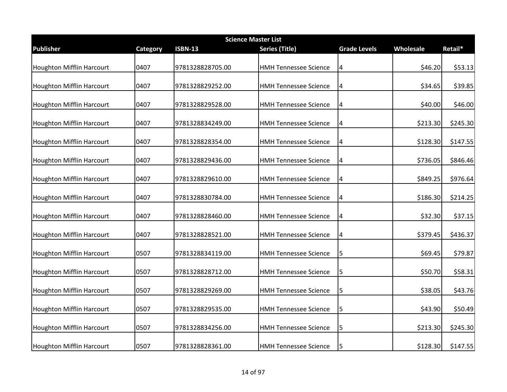| <b>Science Master List</b>       |          |                  |                              |                         |           |          |  |  |
|----------------------------------|----------|------------------|------------------------------|-------------------------|-----------|----------|--|--|
| Publisher                        | Category | <b>ISBN-13</b>   | <b>Series (Title)</b>        | <b>Grade Levels</b>     | Wholesale | Retail*  |  |  |
| Houghton Mifflin Harcourt        | 0407     | 9781328828705.00 | <b>HMH Tennessee Science</b> | 4                       | \$46.20   | \$53.13  |  |  |
| <b>Houghton Mifflin Harcourt</b> | 0407     | 9781328829252.00 | <b>HMH Tennessee Science</b> | 4                       | \$34.65   | \$39.85  |  |  |
| <b>Houghton Mifflin Harcourt</b> | 0407     | 9781328829528.00 | <b>HMH Tennessee Science</b> | $\overline{4}$          | \$40.00   | \$46.00  |  |  |
| <b>Houghton Mifflin Harcourt</b> | 0407     | 9781328834249.00 | <b>HMH Tennessee Science</b> | 4                       | \$213.30  | \$245.30 |  |  |
| Houghton Mifflin Harcourt        | 0407     | 9781328828354.00 | <b>HMH Tennessee Science</b> | 4                       | \$128.30  | \$147.55 |  |  |
| <b>Houghton Mifflin Harcourt</b> | 0407     | 9781328829436.00 | <b>HMH Tennessee Science</b> | 4                       | \$736.05  | \$846.46 |  |  |
| <b>Houghton Mifflin Harcourt</b> | 0407     | 9781328829610.00 | <b>HMH Tennessee Science</b> | 4                       | \$849.25  | \$976.64 |  |  |
| <b>Houghton Mifflin Harcourt</b> | 0407     | 9781328830784.00 | <b>HMH Tennessee Science</b> | $\overline{\mathbf{4}}$ | \$186.30  | \$214.25 |  |  |
| <b>Houghton Mifflin Harcourt</b> | 0407     | 9781328828460.00 | <b>HMH Tennessee Science</b> | $\overline{a}$          | \$32.30   | \$37.15  |  |  |
| <b>Houghton Mifflin Harcourt</b> | 0407     | 9781328828521.00 | <b>HMH Tennessee Science</b> | 4                       | \$379.45  | \$436.37 |  |  |
| <b>Houghton Mifflin Harcourt</b> | 0507     | 9781328834119.00 | <b>HMH Tennessee Science</b> | 5                       | \$69.45   | \$79.87  |  |  |
| <b>Houghton Mifflin Harcourt</b> | 0507     | 9781328828712.00 | <b>HMH Tennessee Science</b> | 5                       | \$50.70   | \$58.31  |  |  |
| <b>Houghton Mifflin Harcourt</b> | 0507     | 9781328829269.00 | <b>HMH Tennessee Science</b> | 5                       | \$38.05   | \$43.76  |  |  |
| <b>Houghton Mifflin Harcourt</b> | 0507     | 9781328829535.00 | <b>HMH Tennessee Science</b> | 5                       | \$43.90   | \$50.49  |  |  |
| <b>Houghton Mifflin Harcourt</b> | 0507     | 9781328834256.00 | <b>HMH Tennessee Science</b> | 5                       | \$213.30  | \$245.30 |  |  |
| <b>Houghton Mifflin Harcourt</b> | 0507     | 9781328828361.00 | <b>HMH Tennessee Science</b> | 5                       | \$128.30  | \$147.55 |  |  |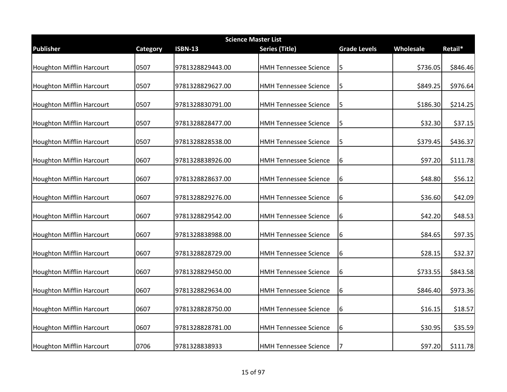| <b>Science Master List</b>       |          |                  |                              |                     |           |          |  |  |
|----------------------------------|----------|------------------|------------------------------|---------------------|-----------|----------|--|--|
| Publisher                        | Category | <b>ISBN-13</b>   | <b>Series (Title)</b>        | <b>Grade Levels</b> | Wholesale | Retail*  |  |  |
| Houghton Mifflin Harcourt        | 0507     | 9781328829443.00 | <b>HMH Tennessee Science</b> | 5                   | \$736.05  | \$846.46 |  |  |
| <b>Houghton Mifflin Harcourt</b> | 0507     | 9781328829627.00 | <b>HMH Tennessee Science</b> | 5                   | \$849.25  | \$976.64 |  |  |
| <b>Houghton Mifflin Harcourt</b> | 0507     | 9781328830791.00 | <b>HMH Tennessee Science</b> | 5                   | \$186.30  | \$214.25 |  |  |
| <b>Houghton Mifflin Harcourt</b> | 0507     | 9781328828477.00 | <b>HMH Tennessee Science</b> | 5                   | \$32.30   | \$37.15  |  |  |
| Houghton Mifflin Harcourt        | 0507     | 9781328828538.00 | <b>HMH Tennessee Science</b> | 5                   | \$379.45  | \$436.37 |  |  |
| <b>Houghton Mifflin Harcourt</b> | 0607     | 9781328838926.00 | <b>HMH Tennessee Science</b> | 6                   | \$97.20   | \$111.78 |  |  |
| <b>Houghton Mifflin Harcourt</b> | 0607     | 9781328828637.00 | <b>HMH Tennessee Science</b> | 6                   | \$48.80   | \$56.12  |  |  |
| <b>Houghton Mifflin Harcourt</b> | 0607     | 9781328829276.00 | <b>HMH Tennessee Science</b> | 6                   | \$36.60   | \$42.09  |  |  |
| <b>Houghton Mifflin Harcourt</b> | 0607     | 9781328829542.00 | <b>HMH Tennessee Science</b> | 6                   | \$42.20   | \$48.53  |  |  |
| <b>Houghton Mifflin Harcourt</b> | 0607     | 9781328838988.00 | <b>HMH Tennessee Science</b> | 16                  | \$84.65   | \$97.35  |  |  |
| <b>Houghton Mifflin Harcourt</b> | 0607     | 9781328828729.00 | <b>HMH Tennessee Science</b> | 6                   | \$28.15   | \$32.37  |  |  |
| <b>Houghton Mifflin Harcourt</b> | 0607     | 9781328829450.00 | <b>HMH Tennessee Science</b> | 6                   | \$733.55  | \$843.58 |  |  |
| <b>Houghton Mifflin Harcourt</b> | 0607     | 9781328829634.00 | <b>HMH Tennessee Science</b> | 6                   | \$846.40  | \$973.36 |  |  |
| <b>Houghton Mifflin Harcourt</b> | 0607     | 9781328828750.00 | <b>HMH Tennessee Science</b> | 6                   | \$16.15   | \$18.57  |  |  |
| <b>Houghton Mifflin Harcourt</b> | 0607     | 9781328828781.00 | <b>HMH Tennessee Science</b> | 6                   | \$30.95   | \$35.59  |  |  |
| <b>Houghton Mifflin Harcourt</b> | 0706     | 9781328838933    | <b>HMH Tennessee Science</b> | 7                   | \$97.20   | \$111.78 |  |  |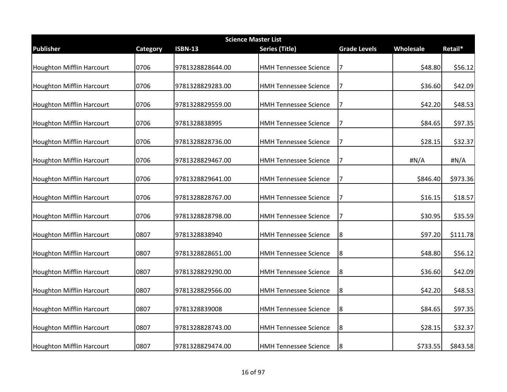|                                  | <b>Science Master List</b> |                  |                              |                     |           |          |  |  |  |
|----------------------------------|----------------------------|------------------|------------------------------|---------------------|-----------|----------|--|--|--|
| <b>Publisher</b>                 | Category                   | <b>ISBN-13</b>   | <b>Series (Title)</b>        | <b>Grade Levels</b> | Wholesale | Retail*  |  |  |  |
| Houghton Mifflin Harcourt        | 0706                       | 9781328828644.00 | <b>HMH Tennessee Science</b> | $\overline{7}$      | \$48.80   | \$56.12  |  |  |  |
| <b>Houghton Mifflin Harcourt</b> | 0706                       | 9781328829283.00 | <b>HMH Tennessee Science</b> | 7                   | \$36.60   | \$42.09  |  |  |  |
| <b>Houghton Mifflin Harcourt</b> | 0706                       | 9781328829559.00 | <b>HMH Tennessee Science</b> | 7                   | \$42.20   | \$48.53  |  |  |  |
| <b>Houghton Mifflin Harcourt</b> | 0706                       | 9781328838995    | <b>HMH Tennessee Science</b> | 7                   | \$84.65   | \$97.35  |  |  |  |
| <b>Houghton Mifflin Harcourt</b> | 0706                       | 9781328828736.00 | <b>HMH Tennessee Science</b> | 7                   | \$28.15   | \$32.37  |  |  |  |
| <b>Houghton Mifflin Harcourt</b> | 0706                       | 9781328829467.00 | <b>HMH Tennessee Science</b> | 7                   | #N/A      | #N/A     |  |  |  |
| <b>Houghton Mifflin Harcourt</b> | 0706                       | 9781328829641.00 | <b>HMH Tennessee Science</b> | 7                   | \$846.40  | \$973.36 |  |  |  |
| <b>Houghton Mifflin Harcourt</b> | 0706                       | 9781328828767.00 | <b>HMH Tennessee Science</b> | 7                   | \$16.15   | \$18.57  |  |  |  |
| <b>Houghton Mifflin Harcourt</b> | 0706                       | 9781328828798.00 | <b>HMH Tennessee Science</b> | 7                   | \$30.95   | \$35.59  |  |  |  |
| <b>Houghton Mifflin Harcourt</b> | 0807                       | 9781328838940    | <b>HMH Tennessee Science</b> | 8                   | \$97.20   | \$111.78 |  |  |  |
| Houghton Mifflin Harcourt        | 0807                       | 9781328828651.00 | <b>HMH Tennessee Science</b> | 8                   | \$48.80   | \$56.12  |  |  |  |
| <b>Houghton Mifflin Harcourt</b> | 0807                       | 9781328829290.00 | <b>HMH Tennessee Science</b> | 8                   | \$36.60   | \$42.09  |  |  |  |
| <b>Houghton Mifflin Harcourt</b> | 0807                       | 9781328829566.00 | <b>HMH Tennessee Science</b> | 8                   | \$42.20   | \$48.53  |  |  |  |
| <b>Houghton Mifflin Harcourt</b> | 0807                       | 9781328839008    | <b>HMH Tennessee Science</b> | 8                   | \$84.65   | \$97.35  |  |  |  |
| <b>Houghton Mifflin Harcourt</b> | 0807                       | 9781328828743.00 | <b>HMH Tennessee Science</b> | 8                   | \$28.15   | \$32.37  |  |  |  |
| <b>Houghton Mifflin Harcourt</b> | 0807                       | 9781328829474.00 | <b>HMH Tennessee Science</b> | 8                   | \$733.55  | \$843.58 |  |  |  |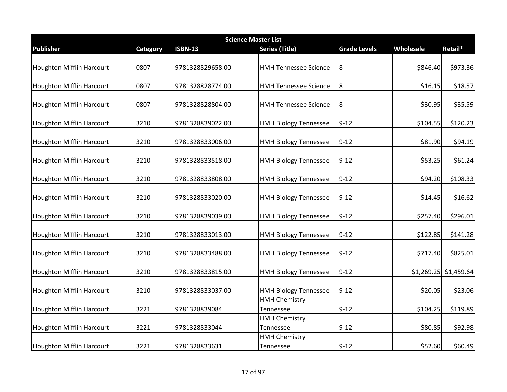|                                  | <b>Science Master List</b> |                  |                                   |                     |           |                         |  |  |  |
|----------------------------------|----------------------------|------------------|-----------------------------------|---------------------|-----------|-------------------------|--|--|--|
| <b>Publisher</b>                 | <b>Category</b>            | <b>ISBN-13</b>   | <b>Series (Title)</b>             | <b>Grade Levels</b> | Wholesale | Retail*                 |  |  |  |
| Houghton Mifflin Harcourt        | 0807                       | 9781328829658.00 | <b>HMH Tennessee Science</b>      | 8                   | \$846.40  | \$973.36                |  |  |  |
| <b>Houghton Mifflin Harcourt</b> | 0807                       | 9781328828774.00 | <b>HMH Tennessee Science</b>      | 8                   | \$16.15   | \$18.57                 |  |  |  |
| <b>Houghton Mifflin Harcourt</b> | 0807                       | 9781328828804.00 | <b>HMH Tennessee Science</b>      | 8                   | \$30.95   | \$35.59                 |  |  |  |
| Houghton Mifflin Harcourt        | 3210                       | 9781328839022.00 | <b>HMH Biology Tennessee</b>      | $9 - 12$            | \$104.55  | \$120.23                |  |  |  |
| Houghton Mifflin Harcourt        | 3210                       | 9781328833006.00 | <b>HMH Biology Tennessee</b>      | $9 - 12$            | \$81.90   | \$94.19                 |  |  |  |
| <b>Houghton Mifflin Harcourt</b> | 3210                       | 9781328833518.00 | <b>HMH Biology Tennessee</b>      | $9 - 12$            | \$53.25   | \$61.24                 |  |  |  |
| <b>Houghton Mifflin Harcourt</b> | 3210                       | 9781328833808.00 | <b>HMH Biology Tennessee</b>      | $9 - 12$            | \$94.20   | \$108.33                |  |  |  |
| Houghton Mifflin Harcourt        | 3210                       | 9781328833020.00 | <b>HMH Biology Tennessee</b>      | $9 - 12$            | \$14.45   | \$16.62                 |  |  |  |
| Houghton Mifflin Harcourt        | 3210                       | 9781328839039.00 | <b>HMH Biology Tennessee</b>      | $9 - 12$            | \$257.40  | \$296.01                |  |  |  |
| Houghton Mifflin Harcourt        | 3210                       | 9781328833013.00 | <b>HMH Biology Tennessee</b>      | $9 - 12$            | \$122.85  | \$141.28                |  |  |  |
| <b>Houghton Mifflin Harcourt</b> | 3210                       | 9781328833488.00 | <b>HMH Biology Tennessee</b>      | $9 - 12$            | \$717.40  | \$825.01                |  |  |  |
| Houghton Mifflin Harcourt        | 3210                       | 9781328833815.00 | <b>HMH Biology Tennessee</b>      | $9 - 12$            |           | $$1,269.25$ $$1,459.64$ |  |  |  |
| <b>Houghton Mifflin Harcourt</b> | 3210                       | 9781328833037.00 | <b>HMH Biology Tennessee</b>      | $9 - 12$            | \$20.05   | \$23.06                 |  |  |  |
| Houghton Mifflin Harcourt        | 3221                       | 9781328839084    | <b>HMH Chemistry</b><br>Tennessee | $9 - 12$            | \$104.25  | \$119.89                |  |  |  |
| <b>Houghton Mifflin Harcourt</b> | 3221                       | 9781328833044    | <b>HMH Chemistry</b><br>Tennessee | $9 - 12$            | \$80.85   | \$92.98                 |  |  |  |
| <b>Houghton Mifflin Harcourt</b> | 3221                       | 9781328833631    | <b>HMH Chemistry</b><br>Tennessee | $9 - 12$            | \$52.60   | \$60.49                 |  |  |  |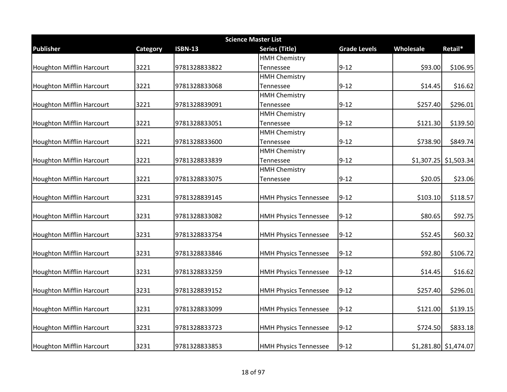|                                  | <b>Science Master List</b> |                |                              |                     |           |                         |  |  |
|----------------------------------|----------------------------|----------------|------------------------------|---------------------|-----------|-------------------------|--|--|
| <b>Publisher</b>                 | Category                   | <b>ISBN-13</b> | <b>Series (Title)</b>        | <b>Grade Levels</b> | Wholesale | Retail*                 |  |  |
|                                  |                            |                | <b>HMH Chemistry</b>         |                     |           |                         |  |  |
| <b>Houghton Mifflin Harcourt</b> | 3221                       | 9781328833822  | Tennessee                    | $9 - 12$            | \$93.00   | \$106.95                |  |  |
|                                  |                            |                | <b>HMH Chemistry</b>         |                     |           |                         |  |  |
| <b>Houghton Mifflin Harcourt</b> | 3221                       | 9781328833068  | Tennessee                    | $9 - 12$            | \$14.45   | \$16.62                 |  |  |
|                                  |                            |                | <b>HMH Chemistry</b>         |                     |           |                         |  |  |
| <b>Houghton Mifflin Harcourt</b> | 3221                       | 9781328839091  | Tennessee                    | $9 - 12$            | \$257.40  | \$296.01                |  |  |
|                                  |                            |                | <b>HMH Chemistry</b>         |                     |           |                         |  |  |
| Houghton Mifflin Harcourt        | 3221                       | 9781328833051  | Tennessee                    | $9 - 12$            | \$121.30  | \$139.50                |  |  |
|                                  |                            |                | <b>HMH Chemistry</b>         |                     |           |                         |  |  |
| <b>Houghton Mifflin Harcourt</b> | 3221                       | 9781328833600  | Tennessee                    | $9 - 12$            | \$738.90  | \$849.74                |  |  |
|                                  |                            |                | <b>HMH Chemistry</b>         |                     |           |                         |  |  |
| Houghton Mifflin Harcourt        | 3221                       | 9781328833839  | Tennessee                    | $9 - 12$            |           | $$1,307.25$ $$1,503.34$ |  |  |
|                                  |                            |                | <b>HMH Chemistry</b>         |                     |           |                         |  |  |
| <b>Houghton Mifflin Harcourt</b> | 3221                       | 9781328833075  | Tennessee                    | $9 - 12$            | \$20.05   | \$23.06                 |  |  |
|                                  |                            |                |                              |                     |           |                         |  |  |
| Houghton Mifflin Harcourt        | 3231                       | 9781328839145  | <b>HMH Physics Tennessee</b> | $9 - 12$            | \$103.10  | \$118.57                |  |  |
|                                  |                            |                |                              |                     |           |                         |  |  |
| <b>Houghton Mifflin Harcourt</b> | 3231                       | 9781328833082  | <b>HMH Physics Tennessee</b> | $9 - 12$            | \$80.65   | \$92.75                 |  |  |
|                                  |                            |                |                              |                     |           |                         |  |  |
| <b>Houghton Mifflin Harcourt</b> | 3231                       | 9781328833754  | <b>HMH Physics Tennessee</b> | $9 - 12$            | \$52.45   | \$60.32                 |  |  |
|                                  |                            |                |                              |                     |           |                         |  |  |
| Houghton Mifflin Harcourt        | 3231                       | 9781328833846  | <b>HMH Physics Tennessee</b> | $9 - 12$            | \$92.80   | \$106.72                |  |  |
|                                  |                            |                |                              |                     |           |                         |  |  |
| <b>Houghton Mifflin Harcourt</b> | 3231                       | 9781328833259  | <b>HMH Physics Tennessee</b> | $9 - 12$            | \$14.45   | \$16.62                 |  |  |
|                                  |                            |                |                              |                     |           |                         |  |  |
| Houghton Mifflin Harcourt        | 3231                       | 9781328839152  | <b>HMH Physics Tennessee</b> | $9 - 12$            | \$257.40  | \$296.01                |  |  |
|                                  |                            |                |                              |                     |           |                         |  |  |
| Houghton Mifflin Harcourt        | 3231                       | 9781328833099  | <b>HMH Physics Tennessee</b> | $9 - 12$            | \$121.00  | \$139.15                |  |  |
|                                  |                            |                |                              |                     |           |                         |  |  |
| <b>Houghton Mifflin Harcourt</b> | 3231                       | 9781328833723  | <b>HMH Physics Tennessee</b> | $9 - 12$            | \$724.50  | \$833.18                |  |  |
|                                  |                            |                |                              |                     |           |                         |  |  |
| <b>Houghton Mifflin Harcourt</b> | 3231                       | 9781328833853  | <b>HMH Physics Tennessee</b> | $9 - 12$            |           | $$1,281.80$ $$1,474.07$ |  |  |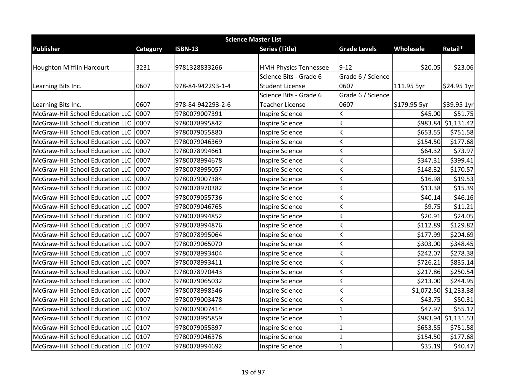| <b>Science Master List</b>            |          |                   |                              |                     |              |                       |  |  |
|---------------------------------------|----------|-------------------|------------------------------|---------------------|--------------|-----------------------|--|--|
| <b>Publisher</b>                      | Category | <b>ISBN-13</b>    | <b>Series (Title)</b>        | <b>Grade Levels</b> | Wholesale    | Retail*               |  |  |
|                                       |          |                   |                              |                     |              |                       |  |  |
| Houghton Mifflin Harcourt             | 3231     | 9781328833266     | <b>HMH Physics Tennessee</b> | $9 - 12$            | \$20.05      | \$23.06               |  |  |
|                                       |          |                   | Science Bits - Grade 6       | Grade 6 / Science   |              |                       |  |  |
| Learning Bits Inc.                    | 0607     | 978-84-942293-1-4 | <b>Student License</b>       | 0607                | 111.95 5yr   | \$24.95 1yr           |  |  |
|                                       |          |                   | Science Bits - Grade 6       | Grade 6 / Science   |              |                       |  |  |
| Learning Bits Inc.                    | 0607     | 978-84-942293-2-6 | <b>Teacher License</b>       | 0607                | \$179.95 5yr | \$39.95 1yr           |  |  |
| McGraw-Hill School Education LLC      | 0007     | 9780079007391     | <b>Inspire Science</b>       | Κ                   | \$45.00      | \$51.75               |  |  |
| McGraw-Hill School Education LLC      | 0007     | 9780078995842     | <b>Inspire Science</b>       | Κ                   |              | \$983.84 \$1,131.42   |  |  |
| McGraw-Hill School Education LLC      | 0007     | 9780079055880     | <b>Inspire Science</b>       | Κ                   | \$653.55     | \$751.58              |  |  |
| McGraw-Hill School Education LLC      | 0007     | 9780079046369     | <b>Inspire Science</b>       | K                   | \$154.50     | \$177.68              |  |  |
| McGraw-Hill School Education LLC      | 0007     | 9780078994661     | <b>Inspire Science</b>       | К                   | \$64.32      | \$73.97               |  |  |
| McGraw-Hill School Education LLC      | 0007     | 9780078994678     | <b>Inspire Science</b>       | Κ                   | \$347.31     | \$399.41              |  |  |
| McGraw-Hill School Education LLC      | 0007     | 9780078995057     | <b>Inspire Science</b>       | К                   | \$148.32     | \$170.57              |  |  |
| McGraw-Hill School Education LLC      | 0007     | 9780079007384     | <b>Inspire Science</b>       | K                   | \$16.98      | \$19.53               |  |  |
| McGraw-Hill School Education LLC      | 0007     | 9780078970382     | <b>Inspire Science</b>       | Κ                   | \$13.38      | \$15.39               |  |  |
| McGraw-Hill School Education LLC      | 0007     | 9780079055736     | <b>Inspire Science</b>       | Κ                   | \$40.14      | \$46.16               |  |  |
| McGraw-Hill School Education LLC      | 0007     | 9780079046765     | <b>Inspire Science</b>       | Κ                   | \$9.75       | \$11.21               |  |  |
| McGraw-Hill School Education LLC      | 0007     | 9780078994852     | <b>Inspire Science</b>       | Κ                   | \$20.91      | \$24.05               |  |  |
| McGraw-Hill School Education LLC      | 0007     | 9780078994876     | <b>Inspire Science</b>       | К                   | \$112.89     | \$129.82              |  |  |
| McGraw-Hill School Education LLC      | 0007     | 9780078995064     | <b>Inspire Science</b>       | K                   | \$177.99     | \$204.69              |  |  |
| McGraw-Hill School Education LLC      | 0007     | 9780079065070     | <b>Inspire Science</b>       | K                   | \$303.00     | \$348.45              |  |  |
| McGraw-Hill School Education LLC      | 0007     | 9780078993404     | <b>Inspire Science</b>       | Κ                   | \$242.07     | \$278.38              |  |  |
| McGraw-Hill School Education LLC      | 0007     | 9780078993411     | <b>Inspire Science</b>       | К                   | \$726.21     | \$835.14              |  |  |
| McGraw-Hill School Education LLC      | 0007     | 9780078970443     | <b>Inspire Science</b>       | Κ                   | \$217.86     | \$250.54              |  |  |
| McGraw-Hill School Education LLC      | 0007     | 9780079065032     | <b>Inspire Science</b>       | K                   | \$213.00     | \$244.95              |  |  |
| McGraw-Hill School Education LLC      | 0007     | 9780078998546     | <b>Inspire Science</b>       | K                   |              | \$1,072.50 \$1,233.38 |  |  |
| McGraw-Hill School Education LLC      | 0007     | 9780079003478     | <b>Inspire Science</b>       | Κ                   | \$43.75      | \$50.31               |  |  |
| McGraw-Hill School Education LLC      | 0107     | 9780079007414     | <b>Inspire Science</b>       | 1                   | \$47.97      | \$55.17               |  |  |
| McGraw-Hill School Education LLC 0107 |          | 9780078995859     | <b>Inspire Science</b>       | 1                   | \$983.94     | \$1,131.53            |  |  |
| McGraw-Hill School Education LLC      | 0107     | 9780079055897     | <b>Inspire Science</b>       | 1                   | \$653.55     | \$751.58              |  |  |
| McGraw-Hill School Education LLC      | 0107     | 9780079046376     | <b>Inspire Science</b>       | 1                   | \$154.50     | \$177.68              |  |  |
| McGraw-Hill School Education LLC      | 0107     | 9780078994692     | <b>Inspire Science</b>       | 1                   | \$35.19      | \$40.47               |  |  |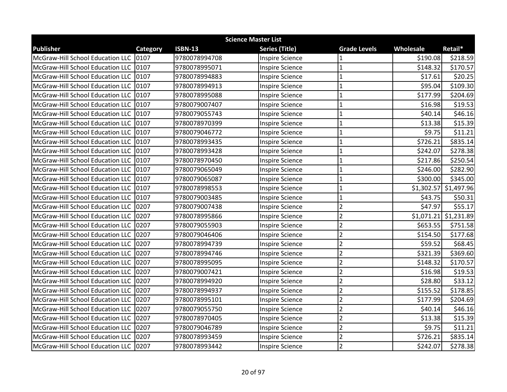| <b>Science Master List</b>            |          |                |                        |                     |            |                       |  |
|---------------------------------------|----------|----------------|------------------------|---------------------|------------|-----------------------|--|
| <b>Publisher</b>                      | Category | <b>ISBN-13</b> | <b>Series (Title)</b>  | <b>Grade Levels</b> | Wholesale  | Retail*               |  |
| McGraw-Hill School Education LLC      | 0107     | 9780078994708  | <b>Inspire Science</b> |                     | \$190.08   | \$218.59              |  |
| McGraw-Hill School Education LLC      | 0107     | 9780078995071  | <b>Inspire Science</b> | $\mathbf{1}$        | \$148.32   | \$170.57              |  |
| McGraw-Hill School Education LLC 0107 |          | 9780078994883  | <b>Inspire Science</b> | $\mathbf{1}$        | \$17.61    | \$20.25               |  |
| McGraw-Hill School Education LLC 0107 |          | 9780078994913  | <b>Inspire Science</b> | $\mathbf{1}$        | \$95.04    | \$109.30              |  |
| McGraw-Hill School Education LLC      | 0107     | 9780078995088  | <b>Inspire Science</b> | $\mathbf{1}$        | \$177.99   | \$204.69              |  |
| McGraw-Hill School Education LLC      | 0107     | 9780079007407  | <b>Inspire Science</b> | 1                   | \$16.98    | \$19.53               |  |
| McGraw-Hill School Education LLC      | 0107     | 9780079055743  | <b>Inspire Science</b> | $\mathbf{1}$        | \$40.14    | \$46.16               |  |
| McGraw-Hill School Education LLC 0107 |          | 9780078970399  | <b>Inspire Science</b> | $\mathbf{1}$        | \$13.38    | \$15.39               |  |
| McGraw-Hill School Education LLC 0107 |          | 9780079046772  | <b>Inspire Science</b> | $\mathbf{1}$        | \$9.75     | \$11.21               |  |
| McGraw-Hill School Education LLC 0107 |          | 9780078993435  | <b>Inspire Science</b> | $\mathbf{1}$        | \$726.21   | \$835.14              |  |
| McGraw-Hill School Education LLC      | 0107     | 9780078993428  | <b>Inspire Science</b> | $\mathbf{1}$        | \$242.07   | \$278.38              |  |
| McGraw-Hill School Education LLC      | 0107     | 9780078970450  | <b>Inspire Science</b> | $\mathbf{1}$        | \$217.86   | \$250.54              |  |
| McGraw-Hill School Education LLC 0107 |          | 9780079065049  | <b>Inspire Science</b> | $\mathbf{1}$        | \$246.00   | \$282.90              |  |
| McGraw-Hill School Education LLC      | 0107     | 9780079065087  | <b>Inspire Science</b> | $\mathbf{1}$        | \$300.00   | \$345.00              |  |
| McGraw-Hill School Education LLC      | 0107     | 9780078998553  | <b>Inspire Science</b> | $\mathbf{1}$        |            | \$1,302.57 \$1,497.96 |  |
| McGraw-Hill School Education LLC      | 0107     | 9780079003485  | <b>Inspire Science</b> | $\mathbf{1}$        | \$43.75    | \$50.31               |  |
| McGraw-Hill School Education LLC      | 0207     | 9780079007438  | <b>Inspire Science</b> | $\overline{2}$      | \$47.97    | \$55.17               |  |
| McGraw-Hill School Education LLC 0207 |          | 9780078995866  | <b>Inspire Science</b> | $\overline{2}$      | \$1,071.21 | \$1,231.89            |  |
| McGraw-Hill School Education LLC      | 0207     | 9780079055903  | <b>Inspire Science</b> | $\overline{2}$      | \$653.55   | \$751.58              |  |
| McGraw-Hill School Education LLC      | 0207     | 9780079046406  | <b>Inspire Science</b> | $\overline{2}$      | \$154.50   | \$177.68              |  |
| McGraw-Hill School Education LLC 0207 |          | 9780078994739  | <b>Inspire Science</b> | $\overline{2}$      | \$59.52    | \$68.45               |  |
| McGraw-Hill School Education LLC      | 0207     | 9780078994746  | <b>Inspire Science</b> | $\overline{2}$      | \$321.39   | \$369.60              |  |
| McGraw-Hill School Education LLC      | 0207     | 9780078995095  | <b>Inspire Science</b> | $\overline{2}$      | \$148.32   | \$170.57              |  |
| McGraw-Hill School Education LLC 0207 |          | 9780079007421  | <b>Inspire Science</b> | $\overline{2}$      | \$16.98    | \$19.53               |  |
| McGraw-Hill School Education LLC      | 0207     | 9780078994920  | <b>Inspire Science</b> | $\overline{2}$      | \$28.80    | \$33.12               |  |
| McGraw-Hill School Education LLC      | 0207     | 9780078994937  | <b>Inspire Science</b> | $\overline{2}$      | \$155.52   | \$178.85              |  |
| McGraw-Hill School Education LLC      | 0207     | 9780078995101  | <b>Inspire Science</b> | $\overline{2}$      | \$177.99   | \$204.69              |  |
| McGraw-Hill School Education LLC 0207 |          | 9780079055750  | <b>Inspire Science</b> | $\overline{2}$      | \$40.14    | \$46.16               |  |
| McGraw-Hill School Education LLC 0207 |          | 9780078970405  | <b>Inspire Science</b> | $\overline{2}$      | \$13.38    | \$15.39               |  |
| McGraw-Hill School Education LLC      | 0207     | 9780079046789  | <b>Inspire Science</b> | $\overline{2}$      | \$9.75     | \$11.21               |  |
| McGraw-Hill School Education LLC 0207 |          | 9780078993459  | <b>Inspire Science</b> | $\overline{2}$      | \$726.21   | \$835.14              |  |
| McGraw-Hill School Education LLC 0207 |          | 9780078993442  | <b>Inspire Science</b> | $\overline{2}$      | \$242.07   | \$278.38              |  |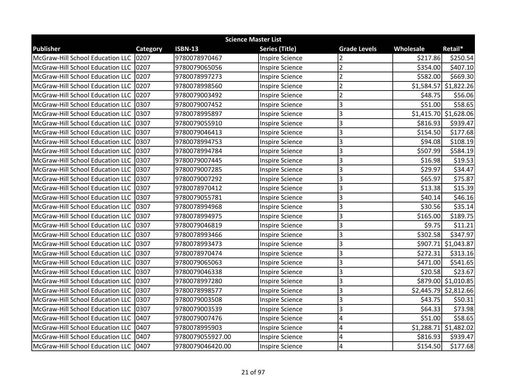| <b>Science Master List</b>            |                 |                  |                        |                         |            |                         |  |
|---------------------------------------|-----------------|------------------|------------------------|-------------------------|------------|-------------------------|--|
| <b>Publisher</b>                      | <b>Category</b> | <b>ISBN-13</b>   | <b>Series (Title)</b>  | <b>Grade Levels</b>     | Wholesale  | Retail*                 |  |
| McGraw-Hill School Education LLC      | 0207            | 9780078970467    | <b>Inspire Science</b> |                         | \$217.86   | \$250.54                |  |
| McGraw-Hill School Education LLC      | 0207            | 9780079065056    | <b>Inspire Science</b> | $\overline{2}$          | \$354.00   | \$407.10                |  |
| McGraw-Hill School Education LLC 0207 |                 | 9780078997273    | <b>Inspire Science</b> | $\overline{2}$          | \$582.00   | \$669.30                |  |
| McGraw-Hill School Education LLC 0207 |                 | 9780078998560    | <b>Inspire Science</b> | $\overline{\mathbf{c}}$ |            | $$1,584.57$ $$1,822.26$ |  |
| McGraw-Hill School Education LLC      | 0207            | 9780079003492    | <b>Inspire Science</b> | $\overline{2}$          | \$48.75    | \$56.06                 |  |
| McGraw-Hill School Education LLC      | 0307            | 9780079007452    | <b>Inspire Science</b> | 3                       | \$51.00    | \$58.65                 |  |
| McGraw-Hill School Education LLC      | 0307            | 9780078995897    | <b>Inspire Science</b> | 3                       |            | $$1,415.70$ $$1,628.06$ |  |
| McGraw-Hill School Education LLC 0307 |                 | 9780079055910    | <b>Inspire Science</b> | 3                       | \$816.93   | \$939.47                |  |
| McGraw-Hill School Education LLC 0307 |                 | 9780079046413    | <b>Inspire Science</b> | 3                       | \$154.50   | \$177.68                |  |
| McGraw-Hill School Education LLC      | 0307            | 9780078994753    | <b>Inspire Science</b> | 3                       | \$94.08    | \$108.19                |  |
| McGraw-Hill School Education LLC      | 0307            | 9780078994784    | <b>Inspire Science</b> | 3                       | \$507.99   | \$584.19                |  |
| McGraw-Hill School Education LLC      | 0307            | 9780079007445    | <b>Inspire Science</b> | 3                       | \$16.98    | \$19.53                 |  |
| McGraw-Hill School Education LLC 0307 |                 | 9780079007285    | <b>Inspire Science</b> | 3                       | \$29.97    | \$34.47                 |  |
| McGraw-Hill School Education LLC      | 0307            | 9780079007292    | <b>Inspire Science</b> | 3                       | \$65.97    | \$75.87                 |  |
| McGraw-Hill School Education LLC      | 0307            | 9780078970412    | <b>Inspire Science</b> | 3                       | \$13.38    | \$15.39                 |  |
| McGraw-Hill School Education LLC      | 0307            | 9780079055781    | <b>Inspire Science</b> | 3                       | \$40.14    | \$46.16                 |  |
| McGraw-Hill School Education LLC      | 0307            | 9780078994968    | <b>Inspire Science</b> | 3                       | \$30.56    | \$35.14                 |  |
| McGraw-Hill School Education LLC 0307 |                 | 9780078994975    | <b>Inspire Science</b> | 3                       | \$165.00   | \$189.75                |  |
| McGraw-Hill School Education LLC      | 0307            | 9780079046819    | <b>Inspire Science</b> | 3                       | \$9.75     | \$11.21                 |  |
| McGraw-Hill School Education LLC      | 0307            | 9780078993466    | <b>Inspire Science</b> | 3                       | \$302.58   | \$347.97                |  |
| McGraw-Hill School Education LLC      | 0307            | 9780078993473    | <b>Inspire Science</b> | 3                       |            | \$907.71 \$1,043.87     |  |
| McGraw-Hill School Education LLC      | 0307            | 9780078970474    | <b>Inspire Science</b> | 3                       | \$272.31   | \$313.16                |  |
| McGraw-Hill School Education LLC      | 0307            | 9780079065063    | <b>Inspire Science</b> | 3                       | \$471.00   | \$541.65                |  |
| McGraw-Hill School Education LLC      | 0307            | 9780079046338    | <b>Inspire Science</b> | 3                       | \$20.58    | \$23.67                 |  |
| McGraw-Hill School Education LLC      | 0307            | 9780078997280    | <b>Inspire Science</b> | 3                       |            | \$879.00 \$1,010.85     |  |
| McGraw-Hill School Education LLC      | 0307            | 9780078998577    | <b>Inspire Science</b> | 3                       |            | $$2,445.79$ $$2,812.66$ |  |
| McGraw-Hill School Education LLC      | 0307            | 9780079003508    | <b>Inspire Science</b> | 3                       | \$43.75    | \$50.31                 |  |
| McGraw-Hill School Education LLC      | 0307            | 9780079003539    | <b>Inspire Science</b> | 3                       | \$64.33    | \$73.98                 |  |
| McGraw-Hill School Education LLC      | 0407            | 9780079007476    | <b>Inspire Science</b> | 4                       | \$51.00    | \$58.65                 |  |
| McGraw-Hill School Education LLC      | 0407            | 9780078995903    | <b>Inspire Science</b> | 4                       | \$1,288.71 | \$1,482.02              |  |
| McGraw-Hill School Education LLC      | 0407            | 9780079055927.00 | <b>Inspire Science</b> | 4                       | \$816.93   | \$939.47                |  |
| McGraw-Hill School Education LLC 0407 |                 | 9780079046420.00 | <b>Inspire Science</b> | 4                       | \$154.50   | \$177.68                |  |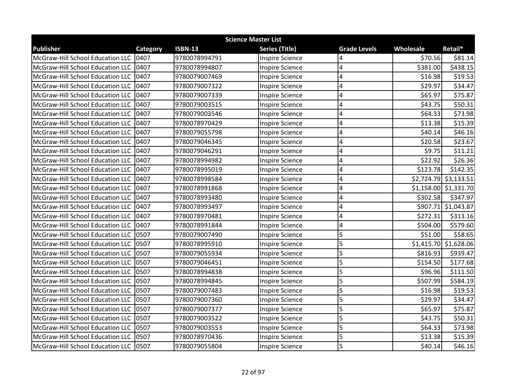| <b>Science Master List</b>            |          |                |                        |                     |           |                         |  |
|---------------------------------------|----------|----------------|------------------------|---------------------|-----------|-------------------------|--|
| <b>Publisher</b>                      | Category | <b>ISBN-13</b> | <b>Series (Title)</b>  | <b>Grade Levels</b> | Wholesale | Retail*                 |  |
| McGraw-Hill School Education LLC      | 0407     | 9780078994791  | <b>Inspire Science</b> | 4                   | \$70.56   | \$81.14                 |  |
| McGraw-Hill School Education LLC      | 0407     | 9780078994807  | <b>Inspire Science</b> | 4                   | \$381.00  | \$438.15                |  |
| McGraw-Hill School Education LLC 0407 |          | 9780079007469  | <b>Inspire Science</b> | 4                   | \$16.98   | \$19.53                 |  |
| McGraw-Hill School Education LLC 0407 |          | 9780079007322  | <b>Inspire Science</b> | 4                   | \$29.97   | \$34.47                 |  |
| McGraw-Hill School Education LLC      | 0407     | 9780079007339  | <b>Inspire Science</b> | 4                   | \$65.97   | \$75.87                 |  |
| McGraw-Hill School Education LLC      | 0407     | 9780079003515  | <b>Inspire Science</b> | 4                   | \$43.75   | \$50.31                 |  |
| McGraw-Hill School Education LLC      | 0407     | 9780079003546  | <b>Inspire Science</b> | 4                   | \$64.33   | \$73.98                 |  |
| McGraw-Hill School Education LLC 0407 |          | 9780078970429  | <b>Inspire Science</b> | 4                   | \$13.38   | \$15.39                 |  |
| McGraw-Hill School Education LLC      | 0407     | 9780079055798  | <b>Inspire Science</b> | 4                   | \$40.14   | \$46.16                 |  |
| McGraw-Hill School Education LLC      | 0407     | 9780079046345  | <b>Inspire Science</b> | 4                   | \$20.58   | \$23.67                 |  |
| McGraw-Hill School Education LLC      | 0407     | 9780079046291  | <b>Inspire Science</b> | 4                   | \$9.75    | \$11.21                 |  |
| McGraw-Hill School Education LLC      | 0407     | 9780078994982  | <b>Inspire Science</b> | 4                   | \$22.92   | \$26.36                 |  |
| McGraw-Hill School Education LLC 0407 |          | 9780078995019  | <b>Inspire Science</b> | 4                   | \$123.78  | \$142.35                |  |
| McGraw-Hill School Education LLC      | 0407     | 9780078998584  | <b>Inspire Science</b> | 4                   |           | \$2,724.79 \$3,133.51   |  |
| McGraw-Hill School Education LLC      | 0407     | 9780078991868  | <b>Inspire Science</b> | 4                   |           | \$1,158.00 \$1,331.70   |  |
| McGraw-Hill School Education LLC      | 0407     | 9780078993480  | <b>Inspire Science</b> | 4                   | \$302.58  | \$347.97                |  |
| McGraw-Hill School Education LLC      | 0407     | 9780078993497  | <b>Inspire Science</b> | 4                   | \$907.71  | \$1,043.87              |  |
| McGraw-Hill School Education LLC 0407 |          | 9780078970481  | <b>Inspire Science</b> | 4                   | \$272.31  | \$313.16                |  |
| McGraw-Hill School Education LLC 0407 |          | 9780078991844  | <b>Inspire Science</b> | 4                   | \$504.00  | \$579.60                |  |
| McGraw-Hill School Education LLC      | 0507     | 9780079007490  | <b>Inspire Science</b> | 5                   | \$51.00   | \$58.65                 |  |
| McGraw-Hill School Education LLC      | 0507     | 9780078995910  | <b>Inspire Science</b> | 5                   |           | $$1,415.70$ $$1,628.06$ |  |
| McGraw-Hill School Education LLC      | 0507     | 9780079055934  | <b>Inspire Science</b> | 5                   | \$816.93  | \$939.47                |  |
| McGraw-Hill School Education LLC 0507 |          | 9780079046451  | <b>Inspire Science</b> | 5                   | \$154.50  | \$177.68                |  |
| McGraw-Hill School Education LLC      | 0507     | 9780078994838  | <b>Inspire Science</b> | 5                   | \$96.96   | \$111.50                |  |
| McGraw-Hill School Education LLC      | 0507     | 9780078994845  | <b>Inspire Science</b> | 5                   | \$507.99  | \$584.19                |  |
| McGraw-Hill School Education LLC      | 0507     | 9780079007483  | <b>Inspire Science</b> | 5                   | \$16.98   | \$19.53                 |  |
| McGraw-Hill School Education LLC      | 0507     | 9780079007360  | <b>Inspire Science</b> | 5                   | \$29.97   | \$34.47                 |  |
| McGraw-Hill School Education LLC      | 0507     | 9780079007377  | <b>Inspire Science</b> | 5                   | \$65.97   | \$75.87                 |  |
| McGraw-Hill School Education LLC      | 0507     | 9780079003522  | <b>Inspire Science</b> | 5                   | \$43.75   | \$50.31                 |  |
| McGraw-Hill School Education LLC      | 0507     | 9780079003553  | <b>Inspire Science</b> | 5                   | \$64.33   | \$73.98                 |  |
| McGraw-Hill School Education LLC      | 0507     | 9780078970436  | <b>Inspire Science</b> | 5                   | \$13.38   | \$15.39                 |  |
| McGraw-Hill School Education LLC 0507 |          | 9780079055804  | <b>Inspire Science</b> | 5                   | \$40.14   | \$46.16                 |  |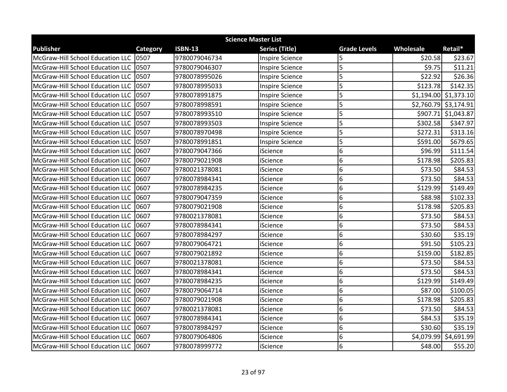| <b>Science Master List</b>             |          |                |                        |                     |           |                         |  |
|----------------------------------------|----------|----------------|------------------------|---------------------|-----------|-------------------------|--|
| <b>Publisher</b>                       | Category | <b>ISBN-13</b> | <b>Series (Title)</b>  | <b>Grade Levels</b> | Wholesale | Retail*                 |  |
| McGraw-Hill School Education LLC       | 0507     | 9780079046734  | <b>Inspire Science</b> | 5                   | \$20.58   | \$23.67                 |  |
| McGraw-Hill School Education LLC       | 0507     | 9780079046307  | <b>Inspire Science</b> | 5                   | \$9.75    | \$11.21                 |  |
| McGraw-Hill School Education LLC 0507  |          | 9780078995026  | <b>Inspire Science</b> | 5                   | \$22.92   | \$26.36                 |  |
| McGraw-Hill School Education LLC 0507  |          | 9780078995033  | <b>Inspire Science</b> | 5                   | \$123.78  | \$142.35                |  |
| McGraw-Hill School Education LLC       | 0507     | 9780078991875  | <b>Inspire Science</b> | 5                   |           | $$1,194.00$ $$1,373.10$ |  |
| McGraw-Hill School Education LLC       | 0507     | 9780078998591  | <b>Inspire Science</b> | 5                   |           | $$2,760.79$ \$3,174.91  |  |
| McGraw-Hill School Education LLC       | 0507     | 9780078993510  | <b>Inspire Science</b> | 5                   |           | \$907.71 \$1,043.87     |  |
| McGraw-Hill School Education LLC 0507  |          | 9780078993503  | <b>Inspire Science</b> | 5                   | \$302.58  | \$347.97                |  |
| McGraw-Hill School Education LLC 0507  |          | 9780078970498  | <b>Inspire Science</b> | 5                   | \$272.31  | \$313.16                |  |
| McGraw-Hill School Education LLC 10507 |          | 9780078991851  | <b>Inspire Science</b> | 5                   | \$591.00  | \$679.65                |  |
| McGraw-Hill School Education LLC       | 0607     | 9780079047366  | iScience               | 6                   | \$96.99   | \$111.54                |  |
| McGraw-Hill School Education LLC       | 0607     | 9780079021908  | iScience               | 6                   | \$178.98  | \$205.83                |  |
| McGraw-Hill School Education LLC 0607  |          | 9780021378081  | iScience               | 6                   | \$73.50   | \$84.53                 |  |
| McGraw-Hill School Education LLC       | 0607     | 9780078984341  | iScience               | 6                   | \$73.50   | \$84.53                 |  |
| McGraw-Hill School Education LLC       | 0607     | 9780078984235  | iScience               | 6                   | \$129.99  | \$149.49                |  |
| McGraw-Hill School Education LLC       | 0607     | 9780079047359  | iScience               | 6                   | \$88.98   | \$102.33                |  |
| McGraw-Hill School Education LLC       | 0607     | 9780079021908  | iScience               | 6                   | \$178.98  | \$205.83                |  |
| McGraw-Hill School Education LLC 0607  |          | 9780021378081  | iScience               | 6                   | \$73.50   | \$84.53                 |  |
| McGraw-Hill School Education LLC       | 0607     | 9780078984341  | iScience               | 6                   | \$73.50   | \$84.53                 |  |
| McGraw-Hill School Education LLC       | 0607     | 9780078984297  | iScience               | 6                   | \$30.60   | \$35.19                 |  |
| McGraw-Hill School Education LLC 10607 |          | 9780079064721  | iScience               | 6                   | \$91.50   | \$105.23                |  |
| McGraw-Hill School Education LLC       | 0607     | 9780079021892  | iScience               | 6                   | \$159.00  | \$182.85                |  |
| McGraw-Hill School Education LLC       | 0607     | 9780021378081  | iScience               | 6                   | \$73.50   | \$84.53                 |  |
| McGraw-Hill School Education LLC       | 0607     | 9780078984341  | iScience               | 6                   | \$73.50   | \$84.53                 |  |
| McGraw-Hill School Education LLC       | 0607     | 9780078984235  | iScience               | 6                   | \$129.99  | \$149.49                |  |
| McGraw-Hill School Education LLC       | 0607     | 9780079064714  | iScience               | 6                   | \$87.00   | \$100.05                |  |
| McGraw-Hill School Education LLC       | 0607     | 9780079021908  | iScience               | 6                   | \$178.98  | \$205.83                |  |
| McGraw-Hill School Education LLC 10607 |          | 9780021378081  | iScience               | 6                   | \$73.50   | \$84.53                 |  |
| McGraw-Hill School Education LLC       | 0607     | 9780078984341  | iScience               | 6                   | \$84.53   | \$35.19                 |  |
| McGraw-Hill School Education LLC       | 0607     | 9780078984297  | iScience               | 6                   | \$30.60   | \$35.19                 |  |
| McGraw-Hill School Education LLC 0607  |          | 9780079064806  | iScience               | 6                   |           | \$4,079.99 \$4,691.99   |  |
| McGraw-Hill School Education LLC 0607  |          | 9780078999772  | iScience               | 6                   | \$48.00   | \$55.20                 |  |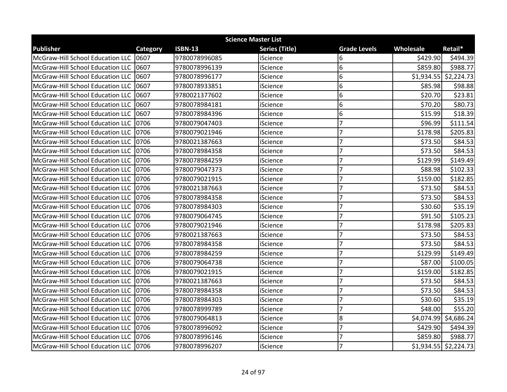| <b>Science Master List</b>              |          |                |                       |                     |                  |                         |  |
|-----------------------------------------|----------|----------------|-----------------------|---------------------|------------------|-------------------------|--|
| <b>Publisher</b>                        | Category | <b>ISBN-13</b> | <b>Series (Title)</b> | <b>Grade Levels</b> | <b>Wholesale</b> | Retail*                 |  |
| McGraw-Hill School Education LLC 0607   |          | 9780078996085  | iScience              | 6                   | \$429.90         | \$494.39                |  |
| McGraw-Hill School Education LLC 10607  |          | 9780078996139  | iScience              | 6                   | \$859.80         | \$988.77                |  |
| McGraw-Hill School Education LLC 10607  |          | 9780078996177  | iScience              | 6                   |                  | $$1,934.55$ $$2,224.73$ |  |
| McGraw-Hill School Education LLC   0607 |          | 9780078933851  | iScience              | 6                   | \$85.98          | \$98.88                 |  |
| McGraw-Hill School Education LLC        | 0607     | 9780021377602  | iScience              | 6                   | \$20.70          | \$23.81                 |  |
| McGraw-Hill School Education LLC        | 0607     | 9780078984181  | iScience              | $\overline{6}$      | \$70.20          | \$80.73                 |  |
| McGraw-Hill School Education LLC 10607  |          | 9780078984396  | iScience              | 6                   | \$15.99          | \$18.39                 |  |
| McGraw-Hill School Education LLC 0706   |          | 9780079047403  | iScience              | $\overline{7}$      | \$96.99          | \$111.54                |  |
| McGraw-Hill School Education LLC 0706   |          | 9780079021946  | iScience              | $\overline{7}$      | \$178.98         | \$205.83                |  |
| McGraw-Hill School Education LLC 0706   |          | 9780021387663  | iScience              | $\overline{7}$      | \$73.50          | \$84.53                 |  |
| McGraw-Hill School Education LLC 0706   |          | 9780078984358  | iScience              | $\overline{7}$      | \$73.50          | \$84.53                 |  |
| McGraw-Hill School Education LLC 0706   |          | 9780078984259  | iScience              | $\overline{7}$      | \$129.99         | \$149.49                |  |
| McGraw-Hill School Education LLC 0706   |          | 9780079047373  | iScience              | $\overline{7}$      | \$88.98          | \$102.33                |  |
| McGraw-Hill School Education LLC   0706 |          | 9780079021915  | iScience              | $\overline{7}$      | \$159.00         | \$182.85                |  |
| McGraw-Hill School Education LLC 0706   |          | 9780021387663  | iScience              | $\overline{7}$      | \$73.50          | \$84.53                 |  |
| McGraw-Hill School Education LLC 0706   |          | 9780078984358  | iScience              | $\overline{7}$      | \$73.50          | \$84.53                 |  |
| McGraw-Hill School Education LLC 0706   |          | 9780078984303  | iScience              | $\overline{7}$      | \$30.60          | \$35.19                 |  |
| McGraw-Hill School Education LLC 0706   |          | 9780079064745  | iScience              | $\overline{7}$      | \$91.50          | \$105.23                |  |
| McGraw-Hill School Education LLC 0706   |          | 9780079021946  | iScience              | $\overline{7}$      | \$178.98         | \$205.83                |  |
| McGraw-Hill School Education LLC 10706  |          | 9780021387663  | iScience              | $\overline{7}$      | \$73.50          | \$84.53                 |  |
| McGraw-Hill School Education LLC 0706   |          | 9780078984358  | iScience              | $\overline{7}$      | \$73.50          | \$84.53                 |  |
| McGraw-Hill School Education LLC 0706   |          | 9780078984259  | iScience              | $\overline{7}$      | \$129.99         | \$149.49                |  |
| McGraw-Hill School Education LLC 0706   |          | 9780079064738  | iScience              | $\overline{7}$      | \$87.00          | \$100.05                |  |
| McGraw-Hill School Education LLC   0706 |          | 9780079021915  | iScience              | $\overline{7}$      | \$159.00         | \$182.85                |  |
| McGraw-Hill School Education LLC 0706   |          | 9780021387663  | iScience              | $\overline{7}$      | \$73.50          | \$84.53                 |  |
| McGraw-Hill School Education LLC 0706   |          | 9780078984358  | iScience              | $\overline{7}$      | \$73.50          | \$84.53                 |  |
| McGraw-Hill School Education LLC 10706  |          | 9780078984303  | iScience              | $\overline{7}$      | \$30.60          | \$35.19                 |  |
| McGraw-Hill School Education LLC 0706   |          | 9780078999789  | iScience              | $\overline{7}$      | \$48.00          | \$55.20                 |  |
| McGraw-Hill School Education LLC 0706   |          | 9780079064813  | iScience              | 8                   |                  | \$4,074.99 \$4,686.24   |  |
| McGraw-Hill School Education LLC 0706   |          | 9780078996092  | iScience              | $\overline{7}$      | \$429.90         | \$494.39                |  |
| McGraw-Hill School Education LLC 0706   |          | 9780078996146  | iScience              | $\overline{7}$      | \$859.80         | \$988.77                |  |
| McGraw-Hill School Education LLC 10706  |          | 9780078996207  | iScience              | $\overline{7}$      |                  | $$1,934.55$ $$2,224.73$ |  |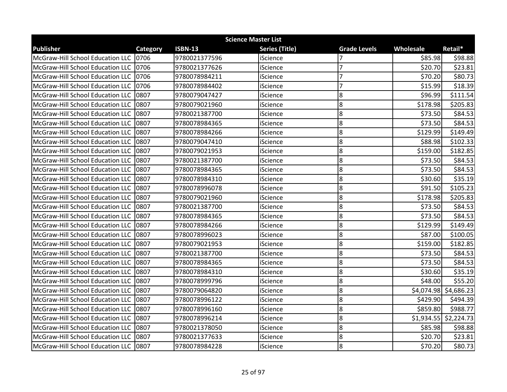| <b>Science Master List</b>              |          |                |                       |                     |           |                         |  |
|-----------------------------------------|----------|----------------|-----------------------|---------------------|-----------|-------------------------|--|
| <b>Publisher</b>                        | Category | <b>ISBN-13</b> | <b>Series (Title)</b> | <b>Grade Levels</b> | Wholesale | Retail*                 |  |
| McGraw-Hill School Education LLC        | 0706     | 9780021377596  | iScience              |                     | \$85.98   | \$98.88                 |  |
| McGraw-Hill School Education LLC        | 0706     | 9780021377626  | iScience              | $\overline{7}$      | \$20.70   | \$23.81                 |  |
| McGraw-Hill School Education LLC 0706   |          | 9780078984211  | iScience              | $\overline{7}$      | \$70.20   | \$80.73                 |  |
| McGraw-Hill School Education LLC 0706   |          | 9780078984402  | iScience              | $\overline{7}$      | \$15.99   | \$18.39                 |  |
| McGraw-Hill School Education LLC        | 0807     | 9780079047427  | iScience              | 8                   | \$96.99   | \$111.54                |  |
| McGraw-Hill School Education LLC        | 0807     | 9780079021960  | iScience              | 8                   | \$178.98  | \$205.83                |  |
| McGraw-Hill School Education LLC        | 0807     | 9780021387700  | iScience              | 8                   | \$73.50   | \$84.53                 |  |
| McGraw-Hill School Education LLC 0807   |          | 9780078984365  | iScience              | 8                   | \$73.50   | \$84.53                 |  |
| McGraw-Hill School Education LLC 0807   |          | 9780078984266  | iScience              | 8                   | \$129.99  | \$149.49                |  |
| McGraw-Hill School Education LLC 10807  |          | 9780079047410  | iScience              | 8                   | \$88.98   | \$102.33                |  |
| McGraw-Hill School Education LLC        | 0807     | 9780079021953  | iScience              | 8                   | \$159.00  | \$182.85                |  |
| McGraw-Hill School Education LLC        | 0807     | 9780021387700  | iScience              | 8                   | \$73.50   | \$84.53                 |  |
| McGraw-Hill School Education LLC 0807   |          | 9780078984365  | iScience              | 8                   | \$73.50   | \$84.53                 |  |
| McGraw-Hill School Education LLC        | 0807     | 9780078984310  | iScience              | 8                   | \$30.60   | \$35.19                 |  |
| <b>McGraw-Hill School Education LLC</b> | 0807     | 9780078996078  | iScience              | 8                   | \$91.50   | \$105.23                |  |
| McGraw-Hill School Education LLC        | 0807     | 9780079021960  | iScience              | 8                   | \$178.98  | \$205.83                |  |
| McGraw-Hill School Education LLC        | 0807     | 9780021387700  | iScience              | 8                   | \$73.50   | \$84.53                 |  |
| McGraw-Hill School Education LLC 10807  |          | 9780078984365  | iScience              | 8                   | \$73.50   | \$84.53                 |  |
| McGraw-Hill School Education LLC        | 0807     | 9780078984266  | iScience              | 8                   | \$129.99  | \$149.49                |  |
| McGraw-Hill School Education LLC        | 0807     | 9780078996023  | iScience              | 8                   | \$87.00   | \$100.05                |  |
| McGraw-Hill School Education LLC 10807  |          | 9780079021953  | iScience              | 8                   | \$159.00  | \$182.85                |  |
| McGraw-Hill School Education LLC        | 0807     | 9780021387700  | iScience              | 8                   | \$73.50   | \$84.53                 |  |
| McGraw-Hill School Education LLC        | 0807     | 9780078984365  | iScience              | 8                   | \$73.50   | \$84.53                 |  |
| McGraw-Hill School Education LLC 10807  |          | 9780078984310  | iScience              | 8                   | \$30.60   | \$35.19                 |  |
| McGraw-Hill School Education LLC        | 0807     | 9780078999796  | iScience              | 8                   | \$48.00   | \$55.20                 |  |
| McGraw-Hill School Education LLC        | 0807     | 9780079064820  | iScience              | 8                   |           | \$4,074.98 \$4,686.23   |  |
| McGraw-Hill School Education LLC        | 0807     | 9780078996122  | iScience              | 8                   | \$429.90  | \$494.39                |  |
| McGraw-Hill School Education LLC 10807  |          | 9780078996160  | iScience              | 8                   | \$859.80  | \$988.77                |  |
| McGraw-Hill School Education LLC 10807  |          | 9780078996214  | iScience              | 8                   |           | $$1,934.55$ $$2,224.73$ |  |
| McGraw-Hill School Education LLC        | 0807     | 9780021378050  | iScience              | 8                   | \$85.98   | \$98.88                 |  |
| McGraw-Hill School Education LLC   0807 |          | 9780021377633  | iScience              | 8                   | \$20.70   | \$23.81                 |  |
| McGraw-Hill School Education LLC 10807  |          | 9780078984228  | iScience              | 8                   | \$70.20   | \$80.73                 |  |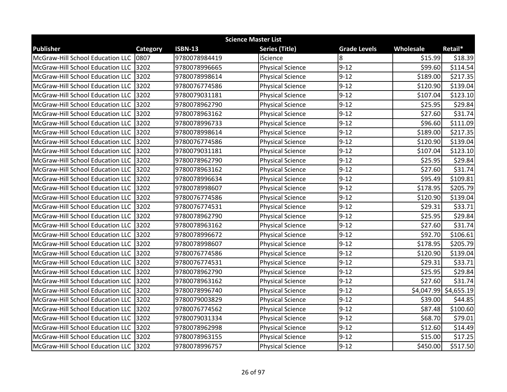| <b>Science Master List</b>            |          |                |                         |                     |           |                        |  |
|---------------------------------------|----------|----------------|-------------------------|---------------------|-----------|------------------------|--|
| <b>Publisher</b>                      | Category | <b>ISBN-13</b> | <b>Series (Title)</b>   | <b>Grade Levels</b> | Wholesale | Retail*                |  |
| McGraw-Hill School Education LLC      | 0807     | 9780078984419  | iScience                | 8                   | \$15.99   | \$18.39                |  |
| McGraw-Hill School Education LLC      | 3202     | 9780078996665  | <b>Physical Science</b> | $9 - 12$            | \$99.60   | \$114.54               |  |
| McGraw-Hill School Education LLC 3202 |          | 9780078998614  | <b>Physical Science</b> | $9 - 12$            | \$189.00  | \$217.35               |  |
| McGraw-Hill School Education LLC      | 3202     | 9780076774586  | <b>Physical Science</b> | $9 - 12$            | \$120.90  | \$139.04               |  |
| McGraw-Hill School Education LLC      | 3202     | 9780079031181  | <b>Physical Science</b> | $9 - 12$            | \$107.04  | \$123.10               |  |
| McGraw-Hill School Education LLC      | 3202     | 9780078962790  | <b>Physical Science</b> | $9 - 12$            | \$25.95   | \$29.84                |  |
| McGraw-Hill School Education LLC      | 3202     | 9780078963162  | <b>Physical Science</b> | $9 - 12$            | \$27.60   | \$31.74                |  |
| McGraw-Hill School Education LLC 3202 |          | 9780078996733  | <b>Physical Science</b> | $9 - 12$            | \$96.60   | \$111.09               |  |
| McGraw-Hill School Education LLC      | 3202     | 9780078998614  | <b>Physical Science</b> | $9 - 12$            | \$189.00  | \$217.35               |  |
| McGraw-Hill School Education LLC      | 3202     | 9780076774586  | <b>Physical Science</b> | $9 - 12$            | \$120.90  | \$139.04               |  |
| McGraw-Hill School Education LLC      | 3202     | 9780079031181  | <b>Physical Science</b> | $9 - 12$            | \$107.04  | \$123.10               |  |
| McGraw-Hill School Education LLC      | 3202     | 9780078962790  | <b>Physical Science</b> | $9 - 12$            | \$25.95   | \$29.84                |  |
| McGraw-Hill School Education LLC      | 3202     | 9780078963162  | <b>Physical Science</b> | $9 - 12$            | \$27.60   | \$31.74                |  |
| McGraw-Hill School Education LLC      | 3202     | 9780078996634  | <b>Physical Science</b> | $9 - 12$            | \$95.49   | \$109.81               |  |
| McGraw-Hill School Education LLC      | 3202     | 9780078998607  | <b>Physical Science</b> | $9 - 12$            | \$178.95  | \$205.79               |  |
| McGraw-Hill School Education LLC      | 3202     | 9780076774586  | <b>Physical Science</b> | $9 - 12$            | \$120.90  | \$139.04               |  |
| McGraw-Hill School Education LLC      | 3202     | 9780076774531  | <b>Physical Science</b> | $9 - 12$            | \$29.31   | \$33.71                |  |
| McGraw-Hill School Education LLC      | 3202     | 9780078962790  | <b>Physical Science</b> | $9 - 12$            | \$25.95   | \$29.84                |  |
| McGraw-Hill School Education LLC      | 3202     | 9780078963162  | <b>Physical Science</b> | $9 - 12$            | \$27.60   | \$31.74                |  |
| McGraw-Hill School Education LLC      | 3202     | 9780078996672  | <b>Physical Science</b> | $9 - 12$            | \$92.70   | \$106.61               |  |
| McGraw-Hill School Education LLC 3202 |          | 9780078998607  | <b>Physical Science</b> | $9 - 12$            | \$178.95  | \$205.79               |  |
| McGraw-Hill School Education LLC      | 3202     | 9780076774586  | <b>Physical Science</b> | $9 - 12$            | \$120.90  | \$139.04               |  |
| McGraw-Hill School Education LLC      | 3202     | 9780076774531  | <b>Physical Science</b> | $9 - 12$            | \$29.31   | \$33.71                |  |
| McGraw-Hill School Education LLC 3202 |          | 9780078962790  | <b>Physical Science</b> | $9 - 12$            | \$25.95   | \$29.84                |  |
| McGraw-Hill School Education LLC      | 3202     | 9780078963162  | <b>Physical Science</b> | $9 - 12$            | \$27.60   | \$31.74                |  |
| McGraw-Hill School Education LLC      | 3202     | 9780078996740  | <b>Physical Science</b> | $9 - 12$            |           | $$4,047.99$ \$4,655.19 |  |
| McGraw-Hill School Education LLC      | 3202     | 9780079003829  | <b>Physical Science</b> | $9 - 12$            | \$39.00   | \$44.85                |  |
| McGraw-Hill School Education LLC      | 3202     | 9780076774562  | <b>Physical Science</b> | $9 - 12$            | \$87.48   | \$100.60               |  |
| McGraw-Hill School Education LLC 3202 |          | 9780079031334  | <b>Physical Science</b> | $9 - 12$            | \$68.70   | \$79.01                |  |
| McGraw-Hill School Education LLC      | 3202     | 9780078962998  | <b>Physical Science</b> | $9 - 12$            | \$12.60   | \$14.49                |  |
| McGraw-Hill School Education LLC      | 3202     | 9780078963155  | <b>Physical Science</b> | $9 - 12$            | \$15.00   | \$17.25                |  |
| McGraw-Hill School Education LLC 3202 |          | 9780078996757  | <b>Physical Science</b> | $9 - 12$            | \$450.00  | \$517.50               |  |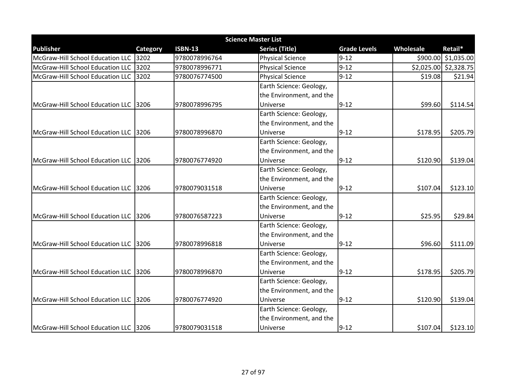| <b>Science Master List</b>            |          |                |                          |                     |           |                       |  |  |
|---------------------------------------|----------|----------------|--------------------------|---------------------|-----------|-----------------------|--|--|
| <b>Publisher</b>                      | Category | <b>ISBN-13</b> | <b>Series (Title)</b>    | <b>Grade Levels</b> | Wholesale | Retail*               |  |  |
| McGraw-Hill School Education LLC 3202 |          | 9780078996764  | <b>Physical Science</b>  | $9 - 12$            |           | \$900.00 \$1,035.00   |  |  |
| McGraw-Hill School Education LLC      | 3202     | 9780078996771  | <b>Physical Science</b>  | $9 - 12$            |           | \$2,025.00 \$2,328.75 |  |  |
| McGraw-Hill School Education LLC      | 3202     | 9780076774500  | <b>Physical Science</b>  | $9 - 12$            | \$19.08   | \$21.94               |  |  |
|                                       |          |                | Earth Science: Geology,  |                     |           |                       |  |  |
|                                       |          |                | the Environment, and the |                     |           |                       |  |  |
| McGraw-Hill School Education LLC 3206 |          | 9780078996795  | Universe                 | $9 - 12$            | \$99.60   | \$114.54              |  |  |
|                                       |          |                | Earth Science: Geology,  |                     |           |                       |  |  |
|                                       |          |                | the Environment, and the |                     |           |                       |  |  |
| McGraw-Hill School Education LLC 3206 |          | 9780078996870  | Universe                 | $9 - 12$            | \$178.95  | \$205.79              |  |  |
|                                       |          |                | Earth Science: Geology,  |                     |           |                       |  |  |
|                                       |          |                | the Environment, and the |                     |           |                       |  |  |
| McGraw-Hill School Education LLC 3206 |          | 9780076774920  | Universe                 | $9 - 12$            | \$120.90  | \$139.04              |  |  |
|                                       |          |                | Earth Science: Geology,  |                     |           |                       |  |  |
|                                       |          |                | the Environment, and the |                     |           |                       |  |  |
| McGraw-Hill School Education LLC 3206 |          | 9780079031518  | Universe                 | $9 - 12$            | \$107.04  | \$123.10              |  |  |
|                                       |          |                | Earth Science: Geology,  |                     |           |                       |  |  |
|                                       |          |                | the Environment, and the |                     |           |                       |  |  |
| McGraw-Hill School Education LLC 3206 |          | 9780076587223  | Universe                 | $9 - 12$            | \$25.95   | \$29.84               |  |  |
|                                       |          |                | Earth Science: Geology,  |                     |           |                       |  |  |
|                                       |          |                | the Environment, and the |                     |           |                       |  |  |
| McGraw-Hill School Education LLC 3206 |          | 9780078996818  | Universe                 | $9 - 12$            | \$96.60   | \$111.09              |  |  |
|                                       |          |                | Earth Science: Geology,  |                     |           |                       |  |  |
|                                       |          |                | the Environment, and the |                     |           |                       |  |  |
| McGraw-Hill School Education LLC 3206 |          | 9780078996870  | Universe                 | $9 - 12$            | \$178.95  | \$205.79              |  |  |
|                                       |          |                | Earth Science: Geology,  |                     |           |                       |  |  |
|                                       |          |                | the Environment, and the |                     |           |                       |  |  |
| McGraw-Hill School Education LLC 3206 |          | 9780076774920  | Universe                 | $9 - 12$            | \$120.90  | \$139.04              |  |  |
|                                       |          |                | Earth Science: Geology,  |                     |           |                       |  |  |
|                                       |          |                | the Environment, and the |                     |           |                       |  |  |
| McGraw-Hill School Education LLC 3206 |          | 9780079031518  | Universe                 | $9 - 12$            | \$107.04  | \$123.10              |  |  |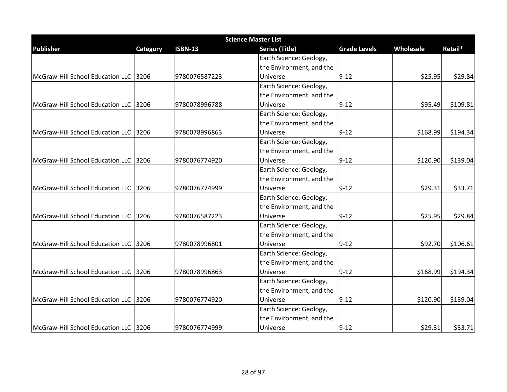| <b>Science Master List</b>             |          |                |                          |                     |           |           |  |  |
|----------------------------------------|----------|----------------|--------------------------|---------------------|-----------|-----------|--|--|
| <b>Publisher</b>                       | Category | <b>ISBN-13</b> | <b>Series (Title)</b>    | <b>Grade Levels</b> | Wholesale | Retail*   |  |  |
|                                        |          |                | Earth Science: Geology,  |                     |           |           |  |  |
|                                        |          |                | the Environment, and the |                     |           |           |  |  |
| McGraw-Hill School Education LLC 3206  |          | 9780076587223  | Universe                 | $9 - 12$            | \$25.95   | \$29.84   |  |  |
|                                        |          |                | Earth Science: Geology,  |                     |           |           |  |  |
|                                        |          |                | the Environment, and the |                     |           |           |  |  |
| McGraw-Hill School Education LLC 3206  |          | 9780078996788  | Universe                 | $9 - 12$            | \$95.49   | \$109.81  |  |  |
|                                        |          |                | Earth Science: Geology,  |                     |           |           |  |  |
|                                        |          |                | the Environment, and the |                     |           |           |  |  |
| McGraw-Hill School Education LLC 3206  |          | 9780078996863  | Universe                 | $9 - 12$            | \$168.99  | \$194.34] |  |  |
|                                        |          |                | Earth Science: Geology,  |                     |           |           |  |  |
|                                        |          |                | the Environment, and the |                     |           |           |  |  |
| McGraw-Hill School Education LLC 3206  |          | 9780076774920  | Universe                 | $9 - 12$            | \$120.90  | \$139.04  |  |  |
|                                        |          |                | Earth Science: Geology,  |                     |           |           |  |  |
|                                        |          |                | the Environment, and the |                     |           |           |  |  |
| McGraw-Hill School Education LLC 3206  |          | 9780076774999  | Universe                 | $9 - 12$            | \$29.31   | \$33.71   |  |  |
|                                        |          |                | Earth Science: Geology,  |                     |           |           |  |  |
|                                        |          |                | the Environment, and the |                     |           |           |  |  |
| McGraw-Hill School Education LLC 3206  |          | 9780076587223  | Universe                 | $9 - 12$            | \$25.95   | \$29.84   |  |  |
|                                        |          |                | Earth Science: Geology,  |                     |           |           |  |  |
|                                        |          |                | the Environment, and the |                     |           |           |  |  |
| McGraw-Hill School Education LLC 13206 |          | 9780078996801  | Universe                 | $9 - 12$            | \$92.70   | \$106.61  |  |  |
|                                        |          |                | Earth Science: Geology,  |                     |           |           |  |  |
|                                        |          |                | the Environment, and the |                     |           |           |  |  |
| McGraw-Hill School Education LLC 13206 |          | 9780078996863  | Universe                 | $9 - 12$            | \$168.99  | \$194.34  |  |  |
|                                        |          |                | Earth Science: Geology,  |                     |           |           |  |  |
|                                        |          |                | the Environment, and the |                     |           |           |  |  |
| McGraw-Hill School Education LLC 3206  |          | 9780076774920  | Universe                 | $9 - 12$            | \$120.90  | \$139.04  |  |  |
|                                        |          |                | Earth Science: Geology,  |                     |           |           |  |  |
|                                        |          |                | the Environment, and the |                     |           |           |  |  |
| McGraw-Hill School Education LLC 3206  |          | 9780076774999  | <b>Universe</b>          | $9 - 12$            | \$29.31   | \$33.71   |  |  |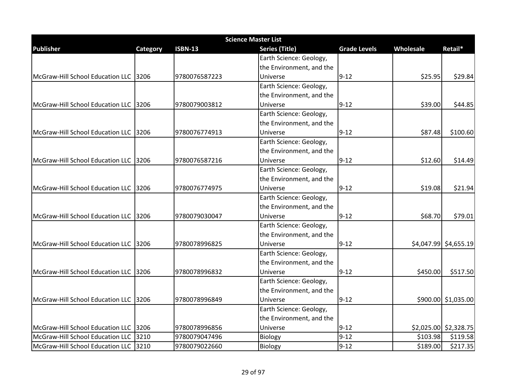| <b>Science Master List</b>            |          |                |                          |                     |           |                       |  |  |
|---------------------------------------|----------|----------------|--------------------------|---------------------|-----------|-----------------------|--|--|
| <b>Publisher</b>                      | Category | <b>ISBN-13</b> | <b>Series (Title)</b>    | <b>Grade Levels</b> | Wholesale | Retail*               |  |  |
|                                       |          |                | Earth Science: Geology,  |                     |           |                       |  |  |
|                                       |          |                | the Environment, and the |                     |           |                       |  |  |
| McGraw-Hill School Education LLC 3206 |          | 9780076587223  | Universe                 | $9 - 12$            | \$25.95   | \$29.84               |  |  |
|                                       |          |                | Earth Science: Geology,  |                     |           |                       |  |  |
|                                       |          |                | the Environment, and the |                     |           |                       |  |  |
| McGraw-Hill School Education LLC 3206 |          | 9780079003812  | Universe                 | $9 - 12$            | \$39.00   | \$44.85               |  |  |
|                                       |          |                | Earth Science: Geology,  |                     |           |                       |  |  |
|                                       |          |                | the Environment, and the |                     |           |                       |  |  |
| McGraw-Hill School Education LLC 3206 |          | 9780076774913  | Universe                 | $9 - 12$            | \$87.48   | \$100.60              |  |  |
|                                       |          |                | Earth Science: Geology,  |                     |           |                       |  |  |
|                                       |          |                | the Environment, and the |                     |           |                       |  |  |
| McGraw-Hill School Education LLC 3206 |          | 9780076587216  | Universe                 | $9 - 12$            | \$12.60   | \$14.49               |  |  |
|                                       |          |                | Earth Science: Geology,  |                     |           |                       |  |  |
|                                       |          |                | the Environment, and the |                     |           |                       |  |  |
| McGraw-Hill School Education LLC 3206 |          | 9780076774975  | Universe                 | $9 - 12$            | \$19.08   | \$21.94               |  |  |
|                                       |          |                | Earth Science: Geology,  |                     |           |                       |  |  |
|                                       |          |                | the Environment, and the |                     |           |                       |  |  |
| McGraw-Hill School Education LLC 3206 |          | 9780079030047  | Universe                 | $9 - 12$            | \$68.70   | \$79.01               |  |  |
|                                       |          |                | Earth Science: Geology,  |                     |           |                       |  |  |
|                                       |          |                | the Environment, and the |                     |           |                       |  |  |
| McGraw-Hill School Education LLC 3206 |          | 9780078996825  | Universe                 | $9 - 12$            |           | \$4,047.99 \$4,655.19 |  |  |
|                                       |          |                | Earth Science: Geology,  |                     |           |                       |  |  |
|                                       |          |                | the Environment, and the |                     |           |                       |  |  |
| McGraw-Hill School Education LLC 3206 |          | 9780078996832  | Universe                 | $9 - 12$            | \$450.00  | \$517.50              |  |  |
|                                       |          |                | Earth Science: Geology,  |                     |           |                       |  |  |
|                                       |          |                | the Environment, and the |                     |           |                       |  |  |
| McGraw-Hill School Education LLC 3206 |          | 9780078996849  | Universe                 | $9 - 12$            |           | \$900.00 \$1,035.00   |  |  |
|                                       |          |                | Earth Science: Geology,  |                     |           |                       |  |  |
|                                       |          |                | the Environment, and the |                     |           |                       |  |  |
| McGraw-Hill School Education LLC 3206 |          | 9780078996856  | Universe                 | $9 - 12$            |           | \$2,025.00 \$2,328.75 |  |  |
| McGraw-Hill School Education LLC 3210 |          | 9780079047496  | Biology                  | $9 - 12$            | \$103.98  | \$119.58              |  |  |
| McGraw-Hill School Education LLC 3210 |          | 9780079022660  | Biology                  | $9 - 12$            | \$189.00  | \$217.35              |  |  |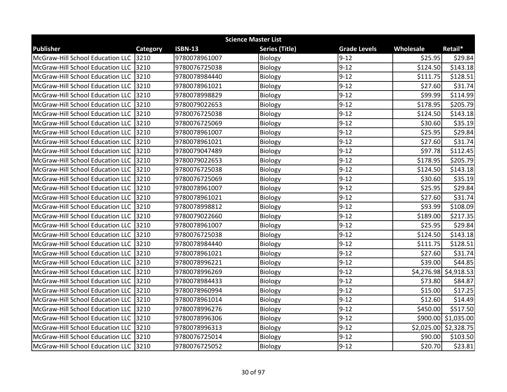| <b>Science Master List</b>            |                 |                |                       |                     |           |                         |  |
|---------------------------------------|-----------------|----------------|-----------------------|---------------------|-----------|-------------------------|--|
| <b>Publisher</b>                      | <b>Category</b> | <b>ISBN-13</b> | <b>Series (Title)</b> | <b>Grade Levels</b> | Wholesale | Retail*                 |  |
| McGraw-Hill School Education LLC      | 3210            | 9780078961007  | Biology               | $9 - 12$            | \$25.95   | \$29.84                 |  |
| McGraw-Hill School Education LLC      | 3210            | 9780076725038  | Biology               | $9 - 12$            | \$124.50  | \$143.18                |  |
| McGraw-Hill School Education LLC 3210 |                 | 9780078984440  | Biology               | $9 - 12$            | \$111.75  | \$128.51                |  |
| McGraw-Hill School Education LLC 3210 |                 | 9780078961021  | Biology               | $9 - 12$            | \$27.60   | \$31.74                 |  |
| McGraw-Hill School Education LLC      | 3210            | 9780078998829  | Biology               | $9 - 12$            | \$99.99   | \$114.99                |  |
| McGraw-Hill School Education LLC 3210 |                 | 9780079022653  | Biology               | $9 - 12$            | \$178.95  | \$205.79                |  |
| McGraw-Hill School Education LLC      | 3210            | 9780076725038  | Biology               | $9 - 12$            | \$124.50  | \$143.18                |  |
| McGraw-Hill School Education LLC 3210 |                 | 9780076725069  | Biology               | $9 - 12$            | \$30.60   | \$35.19                 |  |
| McGraw-Hill School Education LLC      | 3210            | 9780078961007  | Biology               | $9 - 12$            | \$25.95   | \$29.84                 |  |
| McGraw-Hill School Education LLC 3210 |                 | 9780078961021  | Biology               | $9 - 12$            | \$27.60   | \$31.74                 |  |
| McGraw-Hill School Education LLC 3210 |                 | 9780079047489  | Biology               | $9 - 12$            | \$97.78   | \$112.45                |  |
| McGraw-Hill School Education LLC      | 3210            | 9780079022653  | Biology               | $9 - 12$            | \$178.95  | \$205.79                |  |
| McGraw-Hill School Education LLC      | 3210            | 9780076725038  | Biology               | $9 - 12$            | \$124.50  | \$143.18                |  |
| McGraw-Hill School Education LLC 3210 |                 | 9780076725069  | Biology               | $9 - 12$            | \$30.60   | \$35.19                 |  |
| McGraw-Hill School Education LLC 3210 |                 | 9780078961007  | Biology               | $9 - 12$            | \$25.95   | \$29.84                 |  |
| McGraw-Hill School Education LLC 3210 |                 | 9780078961021  | Biology               | $9 - 12$            | \$27.60   | \$31.74                 |  |
| McGraw-Hill School Education LLC 3210 |                 | 9780078998812  | Biology               | $9 - 12$            | \$93.99   | \$108.09                |  |
| McGraw-Hill School Education LLC      | 3210            | 9780079022660  | Biology               | $9 - 12$            | \$189.00  | \$217.35                |  |
| McGraw-Hill School Education LLC 3210 |                 | 9780078961007  | Biology               | $9 - 12$            | \$25.95   | \$29.84                 |  |
| McGraw-Hill School Education LLC      | 3210            | 9780076725038  | <b>Biology</b>        | $9 - 12$            | \$124.50  | \$143.18                |  |
| McGraw-Hill School Education LLC 3210 |                 | 9780078984440  | Biology               | $9 - 12$            | \$111.75  | \$128.51                |  |
| McGraw-Hill School Education LLC      | 3210            | 9780078961021  | Biology               | $9 - 12$            | \$27.60   | \$31.74                 |  |
| McGraw-Hill School Education LLC 3210 |                 | 9780078996221  | Biology               | $9 - 12$            | \$39.00   | \$44.85                 |  |
| McGraw-Hill School Education LLC 3210 |                 | 9780078996269  | Biology               | $9 - 12$            |           | $$4,276.98$ $$4,918.53$ |  |
| McGraw-Hill School Education LLC 3210 |                 | 9780078984433  | Biology               | $9 - 12$            | \$73.80   | \$84.87                 |  |
| McGraw-Hill School Education LLC 3210 |                 | 9780078960994  | Biology               | $9 - 12$            | \$15.00   | \$17.25                 |  |
| McGraw-Hill School Education LLC      | 3210            | 9780078961014  | Biology               | $9 - 12$            | \$12.60   | \$14.49                 |  |
| McGraw-Hill School Education LLC 3210 |                 | 9780078996276  | Biology               | $9 - 12$            | \$450.00  | \$517.50                |  |
| McGraw-Hill School Education LLC 3210 |                 | 9780078996306  | Biology               | $9 - 12$            |           | \$900.00 \$1,035.00     |  |
| McGraw-Hill School Education LLC 3210 |                 | 9780078996313  | Biology               | $9 - 12$            |           | \$2,025.00 \$2,328.75   |  |
| McGraw-Hill School Education LLC 3210 |                 | 9780076725014  | Biology               | $9 - 12$            | \$90.00   | \$103.50                |  |
| McGraw-Hill School Education LLC 3210 |                 | 9780076725052  | Biology               | $9 - 12$            | \$20.70   | \$23.81                 |  |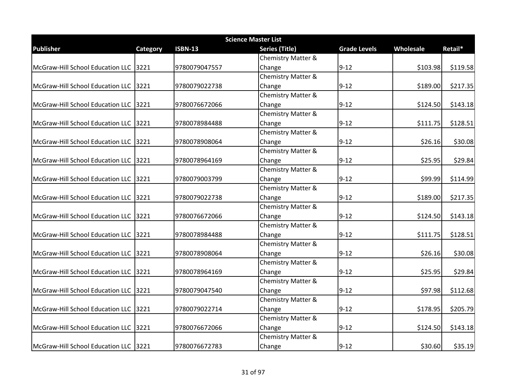| <b>Science Master List</b>            |          |                |                               |                     |           |          |  |
|---------------------------------------|----------|----------------|-------------------------------|---------------------|-----------|----------|--|
| <b>Publisher</b>                      | Category | <b>ISBN-13</b> | <b>Series (Title)</b>         | <b>Grade Levels</b> | Wholesale | Retail*  |  |
|                                       |          |                | <b>Chemistry Matter &amp;</b> |                     |           |          |  |
| McGraw-Hill School Education LLC 3221 |          | 9780079047557  | Change                        | $9 - 12$            | \$103.98  | \$119.58 |  |
|                                       |          |                | <b>Chemistry Matter &amp;</b> |                     |           |          |  |
| McGraw-Hill School Education LLC 3221 |          | 9780079022738  | Change                        | $9 - 12$            | \$189.00  | \$217.35 |  |
|                                       |          |                | <b>Chemistry Matter &amp;</b> |                     |           |          |  |
| McGraw-Hill School Education LLC 3221 |          | 9780076672066  | Change                        | $9 - 12$            | \$124.50  | \$143.18 |  |
|                                       |          |                | <b>Chemistry Matter &amp;</b> |                     |           |          |  |
| McGraw-Hill School Education LLC 3221 |          | 9780078984488  | Change                        | $9 - 12$            | \$111.75  | \$128.51 |  |
|                                       |          |                | Chemistry Matter &            |                     |           |          |  |
| McGraw-Hill School Education LLC 3221 |          | 9780078908064  | Change                        | $9 - 12$            | \$26.16   | \$30.08  |  |
|                                       |          |                | Chemistry Matter &            |                     |           |          |  |
| McGraw-Hill School Education LLC 3221 |          | 9780078964169  | Change                        | $9 - 12$            | \$25.95   | \$29.84  |  |
|                                       |          |                | <b>Chemistry Matter &amp;</b> |                     |           |          |  |
| McGraw-Hill School Education LLC 3221 |          | 9780079003799  | Change                        | $9 - 12$            | \$99.99   | \$114.99 |  |
|                                       |          |                | <b>Chemistry Matter &amp;</b> |                     |           |          |  |
| McGraw-Hill School Education LLC 3221 |          | 9780079022738  | Change                        | $9 - 12$            | \$189.00  | \$217.35 |  |
|                                       |          |                | Chemistry Matter &            |                     |           |          |  |
| McGraw-Hill School Education LLC 3221 |          | 9780076672066  | Change                        | $9 - 12$            | \$124.50  | \$143.18 |  |
|                                       |          |                | <b>Chemistry Matter &amp;</b> |                     |           |          |  |
| McGraw-Hill School Education LLC 3221 |          | 9780078984488  | Change                        | $9 - 12$            | \$111.75  | \$128.51 |  |
|                                       |          |                | Chemistry Matter &            |                     |           |          |  |
| McGraw-Hill School Education LLC 3221 |          | 9780078908064  | Change                        | $9 - 12$            | \$26.16   | \$30.08  |  |
|                                       |          |                | Chemistry Matter &            |                     |           |          |  |
| McGraw-Hill School Education LLC 3221 |          | 9780078964169  | Change                        | $9 - 12$            | \$25.95   | \$29.84  |  |
|                                       |          |                | <b>Chemistry Matter &amp;</b> |                     |           |          |  |
| McGraw-Hill School Education LLC 3221 |          | 9780079047540  | Change                        | $9 - 12$            | \$97.98   | \$112.68 |  |
|                                       |          |                | <b>Chemistry Matter &amp;</b> |                     |           |          |  |
| McGraw-Hill School Education LLC 3221 |          | 9780079022714  | Change                        | $9 - 12$            | \$178.95  | \$205.79 |  |
|                                       |          |                | Chemistry Matter &            |                     |           |          |  |
| McGraw-Hill School Education LLC 3221 |          | 9780076672066  | Change                        | $9 - 12$            | \$124.50  | \$143.18 |  |
|                                       |          |                | <b>Chemistry Matter &amp;</b> |                     |           |          |  |
| McGraw-Hill School Education LLC 3221 |          | 9780076672783  | Change                        | $9 - 12$            | \$30.60   | \$35.19  |  |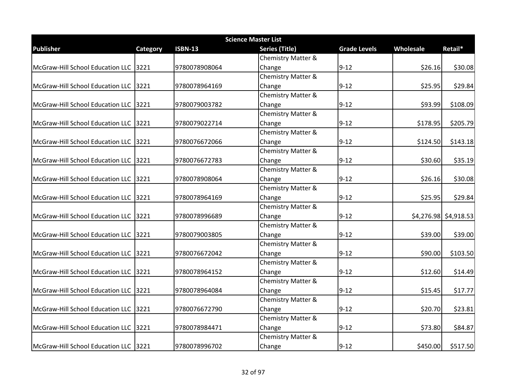| <b>Science Master List</b>            |          |                |                               |                     |           |                       |  |
|---------------------------------------|----------|----------------|-------------------------------|---------------------|-----------|-----------------------|--|
| <b>Publisher</b>                      | Category | <b>ISBN-13</b> | <b>Series (Title)</b>         | <b>Grade Levels</b> | Wholesale | Retail*               |  |
|                                       |          |                | <b>Chemistry Matter &amp;</b> |                     |           |                       |  |
| McGraw-Hill School Education LLC 3221 |          | 9780078908064  | Change                        | $9 - 12$            | \$26.16   | \$30.08               |  |
|                                       |          |                | <b>Chemistry Matter &amp;</b> |                     |           |                       |  |
| McGraw-Hill School Education LLC 3221 |          | 9780078964169  | Change                        | $9 - 12$            | \$25.95   | \$29.84               |  |
|                                       |          |                | <b>Chemistry Matter &amp;</b> |                     |           |                       |  |
| McGraw-Hill School Education LLC 3221 |          | 9780079003782  | Change                        | $9 - 12$            | \$93.99   | \$108.09              |  |
|                                       |          |                | <b>Chemistry Matter &amp;</b> |                     |           |                       |  |
| McGraw-Hill School Education LLC 3221 |          | 9780079022714  | Change                        | $9 - 12$            | \$178.95  | \$205.79              |  |
|                                       |          |                | Chemistry Matter &            |                     |           |                       |  |
| McGraw-Hill School Education LLC 3221 |          | 9780076672066  | Change                        | $9 - 12$            | \$124.50  | \$143.18              |  |
|                                       |          |                | Chemistry Matter &            |                     |           |                       |  |
| McGraw-Hill School Education LLC 3221 |          | 9780076672783  | Change                        | $9 - 12$            | \$30.60   | \$35.19               |  |
|                                       |          |                | <b>Chemistry Matter &amp;</b> |                     |           |                       |  |
| McGraw-Hill School Education LLC 3221 |          | 9780078908064  | Change                        | $9 - 12$            | \$26.16   | \$30.08               |  |
|                                       |          |                | <b>Chemistry Matter &amp;</b> |                     |           |                       |  |
| McGraw-Hill School Education LLC 3221 |          | 9780078964169  | Change                        | $9 - 12$            | \$25.95   | \$29.84               |  |
|                                       |          |                | Chemistry Matter &            |                     |           |                       |  |
| McGraw-Hill School Education LLC 3221 |          | 9780078996689  | Change                        | $9 - 12$            |           | \$4,276.98 \$4,918.53 |  |
|                                       |          |                | <b>Chemistry Matter &amp;</b> |                     |           |                       |  |
| McGraw-Hill School Education LLC 3221 |          | 9780079003805  | Change                        | $9 - 12$            | \$39.00   | \$39.00               |  |
|                                       |          |                | Chemistry Matter &            |                     |           |                       |  |
| McGraw-Hill School Education LLC 3221 |          | 9780076672042  | Change                        | $9 - 12$            | \$90.00   | \$103.50              |  |
|                                       |          |                | <b>Chemistry Matter &amp;</b> |                     |           |                       |  |
| McGraw-Hill School Education LLC 3221 |          | 9780078964152  | Change                        | $9 - 12$            | \$12.60   | \$14.49               |  |
|                                       |          |                | <b>Chemistry Matter &amp;</b> |                     |           |                       |  |
| McGraw-Hill School Education LLC 3221 |          | 9780078964084  | Change                        | $9 - 12$            | \$15.45   | \$17.77               |  |
|                                       |          |                | <b>Chemistry Matter &amp;</b> |                     |           |                       |  |
| McGraw-Hill School Education LLC 3221 |          | 9780076672790  | Change                        | $9 - 12$            | \$20.70   | \$23.81               |  |
|                                       |          |                | Chemistry Matter &            |                     |           |                       |  |
| McGraw-Hill School Education LLC 3221 |          | 9780078984471  | Change                        | $9 - 12$            | \$73.80   | \$84.87               |  |
|                                       |          |                | <b>Chemistry Matter &amp;</b> |                     |           |                       |  |
| McGraw-Hill School Education LLC 3221 |          | 9780078996702  | Change                        | $9 - 12$            | \$450.00  | \$517.50              |  |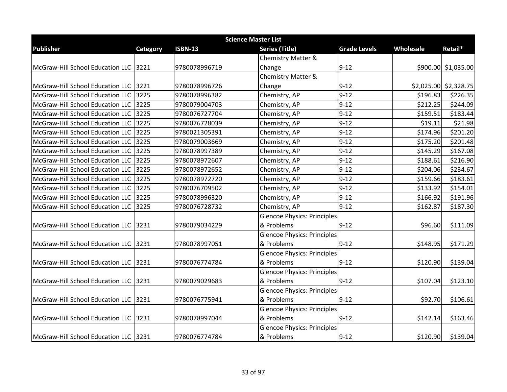| <b>Science Master List</b>             |          |                |                                    |                     |           |                         |  |  |
|----------------------------------------|----------|----------------|------------------------------------|---------------------|-----------|-------------------------|--|--|
| <b>Publisher</b>                       | Category | <b>ISBN-13</b> | <b>Series (Title)</b>              | <b>Grade Levels</b> | Wholesale | Retail*                 |  |  |
|                                        |          |                | <b>Chemistry Matter &amp;</b>      |                     |           |                         |  |  |
| McGraw-Hill School Education LLC 3221  |          | 9780078996719  | Change                             | $9 - 12$            |           | \$900.00 \$1,035.00     |  |  |
|                                        |          |                | <b>Chemistry Matter &amp;</b>      |                     |           |                         |  |  |
| McGraw-Hill School Education LLC 3221  |          | 9780078996726  | Change                             | $9 - 12$            |           | $$2,025.00$ $$2,328.75$ |  |  |
| McGraw-Hill School Education LLC       | 3225     | 9780078996382  | Chemistry, AP                      | $9 - 12$            | \$196.83  | \$226.35                |  |  |
| McGraw-Hill School Education LLC 3225  |          | 9780079004703  | Chemistry, AP                      | $9 - 12$            | \$212.25  | \$244.09                |  |  |
| McGraw-Hill School Education LLC       | 3225     | 9780076727704  | Chemistry, AP                      | $9 - 12$            | \$159.51  | \$183.44                |  |  |
| McGraw-Hill School Education LLC       | 3225     | 9780076728039  | Chemistry, AP                      | $9 - 12$            | \$19.11   | \$21.98                 |  |  |
| McGraw-Hill School Education LLC       | 3225     | 9780021305391  | Chemistry, AP                      | $9 - 12$            | \$174.96  | \$201.20                |  |  |
| McGraw-Hill School Education LLC 3225  |          | 9780079003669  | Chemistry, AP                      | $9 - 12$            | \$175.20  | \$201.48                |  |  |
| McGraw-Hill School Education LLC       | 3225     | 9780078997389  | Chemistry, AP                      | $9 - 12$            | \$145.29  | \$167.08                |  |  |
| McGraw-Hill School Education LLC       | 3225     | 9780078972607  | Chemistry, AP                      | $9 - 12$            | \$188.61  | \$216.90                |  |  |
| McGraw-Hill School Education LLC       | 3225     | 9780078972652  | Chemistry, AP                      | $9 - 12$            | \$204.06  | \$234.67                |  |  |
| McGraw-Hill School Education LLC 3225  |          | 9780078972720  | Chemistry, AP                      | $9 - 12$            | \$159.66  | \$183.61                |  |  |
| McGraw-Hill School Education LLC       | 3225     | 9780076709502  | Chemistry, AP                      | $9 - 12$            | \$133.92  | \$154.01                |  |  |
| McGraw-Hill School Education LLC       | 3225     | 9780078996320  | Chemistry, AP                      | $9 - 12$            | \$166.92  | \$191.96                |  |  |
| McGraw-Hill School Education LLC       | 3225     | 9780076728732  | Chemistry, AP                      | $9 - 12$            | \$162.87  | \$187.30                |  |  |
|                                        |          |                | <b>Glencoe Physics: Principles</b> |                     |           |                         |  |  |
| McGraw-Hill School Education LLC  3231 |          | 9780079034229  | & Problems                         | $9 - 12$            | \$96.60   | \$111.09                |  |  |
|                                        |          |                | <b>Glencoe Physics: Principles</b> |                     |           |                         |  |  |
| McGraw-Hill School Education LLC 3231  |          | 9780078997051  | & Problems                         | $9 - 12$            | \$148.95  | \$171.29                |  |  |
|                                        |          |                | <b>Glencoe Physics: Principles</b> |                     |           |                         |  |  |
| McGraw-Hill School Education LLC 3231  |          | 9780076774784  | & Problems                         | $9 - 12$            | \$120.90  | \$139.04                |  |  |
|                                        |          |                | <b>Glencoe Physics: Principles</b> |                     |           |                         |  |  |
| McGraw-Hill School Education LLC 3231  |          | 9780079029683  | & Problems                         | $9 - 12$            | \$107.04  | \$123.10                |  |  |
|                                        |          |                | <b>Glencoe Physics: Principles</b> |                     |           |                         |  |  |
| McGraw-Hill School Education LLC 3231  |          | 9780076775941  | & Problems                         | $9 - 12$            | \$92.70   | \$106.61                |  |  |
|                                        |          |                | <b>Glencoe Physics: Principles</b> |                     |           |                         |  |  |
| McGraw-Hill School Education LLC 3231  |          | 9780078997044  | & Problems                         | $9 - 12$            | \$142.14  | \$163.46                |  |  |
|                                        |          |                | <b>Glencoe Physics: Principles</b> |                     |           |                         |  |  |
| McGraw-Hill School Education LLC 3231  |          | 9780076774784  | & Problems                         | $9 - 12$            | \$120.90  | \$139.04                |  |  |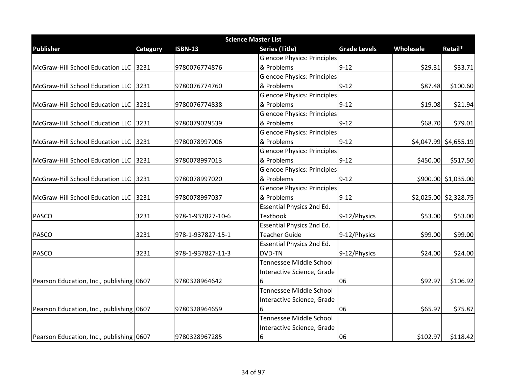| <b>Science Master List</b>               |          |                   |                                    |                     |           |                         |  |  |
|------------------------------------------|----------|-------------------|------------------------------------|---------------------|-----------|-------------------------|--|--|
| <b>Publisher</b>                         | Category | <b>ISBN-13</b>    | <b>Series (Title)</b>              | <b>Grade Levels</b> | Wholesale | Retail*                 |  |  |
|                                          |          |                   | <b>Glencoe Physics: Principles</b> |                     |           |                         |  |  |
| McGraw-Hill School Education LLC 3231    |          | 9780076774876     | & Problems                         | $9 - 12$            | \$29.31   | \$33.71                 |  |  |
|                                          |          |                   | <b>Glencoe Physics: Principles</b> |                     |           |                         |  |  |
| McGraw-Hill School Education LLC 3231    |          | 9780076774760     | & Problems                         | $9 - 12$            | \$87.48   | \$100.60                |  |  |
|                                          |          |                   | <b>Glencoe Physics: Principles</b> |                     |           |                         |  |  |
| McGraw-Hill School Education LLC 3231    |          | 9780076774838     | & Problems                         | $9 - 12$            | \$19.08   | \$21.94                 |  |  |
|                                          |          |                   | <b>Glencoe Physics: Principles</b> |                     |           |                         |  |  |
| McGraw-Hill School Education LLC 3231    |          | 9780079029539     | & Problems                         | $9 - 12$            | \$68.70   | \$79.01                 |  |  |
|                                          |          |                   | <b>Glencoe Physics: Principles</b> |                     |           |                         |  |  |
| McGraw-Hill School Education LLC 3231    |          | 9780078997006     | & Problems                         | $9 - 12$            |           | $$4,047.99$ $$4,655.19$ |  |  |
|                                          |          |                   | <b>Glencoe Physics: Principles</b> |                     |           |                         |  |  |
| McGraw-Hill School Education LLC 3231    |          | 9780078997013     | & Problems                         | $9 - 12$            | \$450.00  | \$517.50                |  |  |
|                                          |          |                   | <b>Glencoe Physics: Principles</b> |                     |           |                         |  |  |
| McGraw-Hill School Education LLC 3231    |          | 9780078997020     | & Problems                         | $9 - 12$            |           | \$900.00 \$1,035.00     |  |  |
|                                          |          |                   | <b>Glencoe Physics: Principles</b> |                     |           |                         |  |  |
| McGraw-Hill School Education LLC 3231    |          | 9780078997037     | & Problems                         | $9 - 12$            |           | \$2,025.00 \$2,328.75   |  |  |
|                                          |          |                   | Essential Physics 2nd Ed.          |                     |           |                         |  |  |
| <b>PASCO</b>                             | 3231     | 978-1-937827-10-6 | <b>Textbook</b>                    | 9-12/Physics        | \$53.00   | \$53.00                 |  |  |
|                                          |          |                   | <b>Essential Physics 2nd Ed.</b>   |                     |           |                         |  |  |
| <b>PASCO</b>                             | 3231     | 978-1-937827-15-1 | <b>Teacher Guide</b>               | 9-12/Physics        | \$99.00   | \$99.00                 |  |  |
|                                          |          |                   | Essential Physics 2nd Ed.          |                     |           |                         |  |  |
| <b>PASCO</b>                             | 3231     | 978-1-937827-11-3 | DVD-TN                             | 9-12/Physics        | \$24.00   | \$24.00                 |  |  |
|                                          |          |                   | Tennessee Middle School            |                     |           |                         |  |  |
|                                          |          |                   | Interactive Science, Grade         |                     |           |                         |  |  |
| Pearson Education, Inc., publishing 0607 |          | 9780328964642     | 6                                  | 06                  | \$92.97   | \$106.92                |  |  |
|                                          |          |                   | Tennessee Middle School            |                     |           |                         |  |  |
|                                          |          |                   | Interactive Science, Grade         |                     |           |                         |  |  |
| Pearson Education, Inc., publishing 0607 |          | 9780328964659     |                                    | 06                  | \$65.97   | \$75.87                 |  |  |
|                                          |          |                   | Tennessee Middle School            |                     |           |                         |  |  |
|                                          |          |                   | Interactive Science, Grade         |                     |           |                         |  |  |
| Pearson Education, Inc., publishing 0607 |          | 9780328967285     | 16                                 | 06                  | \$102.97  | \$118.42                |  |  |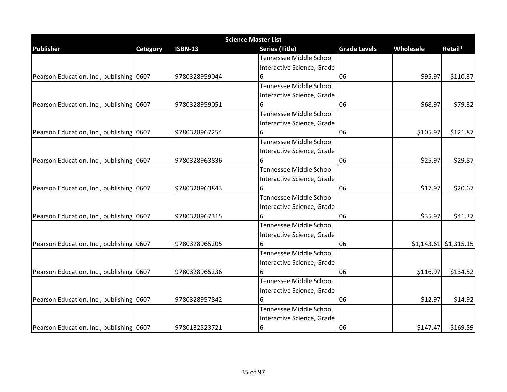| <b>Science Master List</b>               |          |                |                            |                     |           |                         |  |  |
|------------------------------------------|----------|----------------|----------------------------|---------------------|-----------|-------------------------|--|--|
| <b>Publisher</b>                         | Category | <b>ISBN-13</b> | <b>Series (Title)</b>      | <b>Grade Levels</b> | Wholesale | Retail*                 |  |  |
|                                          |          |                | Tennessee Middle School    |                     |           |                         |  |  |
|                                          |          |                | Interactive Science, Grade |                     |           |                         |  |  |
| Pearson Education, Inc., publishing 0607 |          | 9780328959044  | 6                          | 06                  | \$95.97   | \$110.37                |  |  |
|                                          |          |                | Tennessee Middle School    |                     |           |                         |  |  |
|                                          |          |                | Interactive Science, Grade |                     |           |                         |  |  |
| Pearson Education, Inc., publishing 0607 |          | 9780328959051  |                            | 06                  | \$68.97   | \$79.32                 |  |  |
|                                          |          |                | Tennessee Middle School    |                     |           |                         |  |  |
|                                          |          |                | Interactive Science, Grade |                     |           |                         |  |  |
| Pearson Education, Inc., publishing 0607 |          | 9780328967254  | 6                          | 06                  | \$105.97  | \$121.87                |  |  |
|                                          |          |                | Tennessee Middle School    |                     |           |                         |  |  |
|                                          |          |                | Interactive Science, Grade |                     |           |                         |  |  |
| Pearson Education, Inc., publishing 0607 |          | 9780328963836  |                            | 06                  | \$25.97   | \$29.87                 |  |  |
|                                          |          |                | Tennessee Middle School    |                     |           |                         |  |  |
|                                          |          |                | Interactive Science, Grade |                     |           |                         |  |  |
| Pearson Education, Inc., publishing 0607 |          | 9780328963843  | 6                          | 06                  | \$17.97   | \$20.67                 |  |  |
|                                          |          |                | Tennessee Middle School    |                     |           |                         |  |  |
|                                          |          |                | Interactive Science, Grade |                     |           |                         |  |  |
| Pearson Education, Inc., publishing 0607 |          | 9780328967315  |                            | 06                  | \$35.97   | \$41.37                 |  |  |
|                                          |          |                | Tennessee Middle School    |                     |           |                         |  |  |
|                                          |          |                | Interactive Science, Grade |                     |           |                         |  |  |
| Pearson Education, Inc., publishing 0607 |          | 9780328965205  |                            | 06                  |           | $$1,143.61$ $$1,315.15$ |  |  |
|                                          |          |                | Tennessee Middle School    |                     |           |                         |  |  |
|                                          |          |                | Interactive Science, Grade |                     |           |                         |  |  |
| Pearson Education, Inc., publishing 0607 |          | 9780328965236  |                            | 06                  | \$116.97  | \$134.52                |  |  |
|                                          |          |                | Tennessee Middle School    |                     |           |                         |  |  |
|                                          |          |                | Interactive Science, Grade |                     |           |                         |  |  |
| Pearson Education, Inc., publishing 0607 |          | 9780328957842  |                            | 06                  | \$12.97   | \$14.92                 |  |  |
|                                          |          |                | Tennessee Middle School    |                     |           |                         |  |  |
|                                          |          |                | Interactive Science, Grade |                     |           |                         |  |  |
| Pearson Education, Inc., publishing 0607 |          | 9780132523721  | 6                          | 06                  | \$147.47  | \$169.59                |  |  |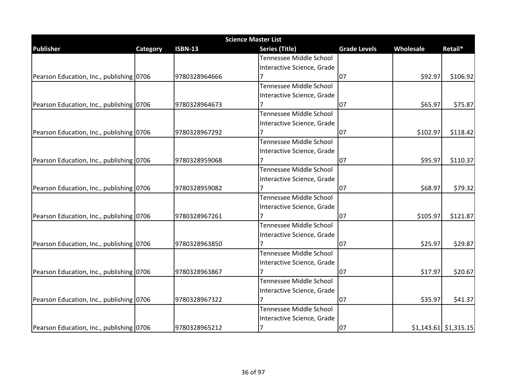| <b>Science Master List</b>               |          |                |                            |                     |           |                         |  |  |
|------------------------------------------|----------|----------------|----------------------------|---------------------|-----------|-------------------------|--|--|
| <b>Publisher</b>                         | Category | <b>ISBN-13</b> | <b>Series (Title)</b>      | <b>Grade Levels</b> | Wholesale | Retail*                 |  |  |
|                                          |          |                | Tennessee Middle School    |                     |           |                         |  |  |
|                                          |          |                | Interactive Science, Grade |                     |           |                         |  |  |
| Pearson Education, Inc., publishing 0706 |          | 9780328964666  |                            | 07                  | \$92.97   | \$106.92                |  |  |
|                                          |          |                | Tennessee Middle School    |                     |           |                         |  |  |
|                                          |          |                | Interactive Science, Grade |                     |           |                         |  |  |
| Pearson Education, Inc., publishing 0706 |          | 9780328964673  |                            | 07                  | \$65.97   | \$75.87                 |  |  |
|                                          |          |                | Tennessee Middle School    |                     |           |                         |  |  |
|                                          |          |                | Interactive Science, Grade |                     |           |                         |  |  |
| Pearson Education, Inc., publishing 0706 |          | 9780328967292  |                            | 07                  | \$102.97  | \$118.42                |  |  |
|                                          |          |                | Tennessee Middle School    |                     |           |                         |  |  |
|                                          |          |                | Interactive Science, Grade |                     |           |                         |  |  |
| Pearson Education, Inc., publishing 0706 |          | 9780328959068  |                            | 07                  | \$95.97   | \$110.37                |  |  |
|                                          |          |                | Tennessee Middle School    |                     |           |                         |  |  |
|                                          |          |                | Interactive Science, Grade |                     |           |                         |  |  |
| Pearson Education, Inc., publishing 0706 |          | 9780328959082  |                            | 07                  | \$68.97   | \$79.32                 |  |  |
|                                          |          |                | Tennessee Middle School    |                     |           |                         |  |  |
|                                          |          |                | Interactive Science, Grade |                     |           |                         |  |  |
| Pearson Education, Inc., publishing 0706 |          | 9780328967261  |                            | 07                  | \$105.97  | \$121.87                |  |  |
|                                          |          |                | Tennessee Middle School    |                     |           |                         |  |  |
|                                          |          |                | Interactive Science, Grade |                     |           |                         |  |  |
| Pearson Education, Inc., publishing 0706 |          | 9780328963850  |                            | 07                  | \$25.97   | \$29.87                 |  |  |
|                                          |          |                | Tennessee Middle School    |                     |           |                         |  |  |
|                                          |          |                | Interactive Science, Grade |                     |           |                         |  |  |
| Pearson Education, Inc., publishing 0706 |          | 9780328963867  |                            | 07                  | \$17.97   | \$20.67                 |  |  |
|                                          |          |                | Tennessee Middle School    |                     |           |                         |  |  |
|                                          |          |                | Interactive Science, Grade |                     |           |                         |  |  |
| Pearson Education, Inc., publishing 0706 |          | 9780328967322  |                            | 07                  | \$35.97   | \$41.37                 |  |  |
|                                          |          |                | Tennessee Middle School    |                     |           |                         |  |  |
|                                          |          |                | Interactive Science, Grade |                     |           |                         |  |  |
| Pearson Education, Inc., publishing 0706 |          | 9780328965212  | 17                         | 07                  |           | $$1,143.61$ $$1,315.15$ |  |  |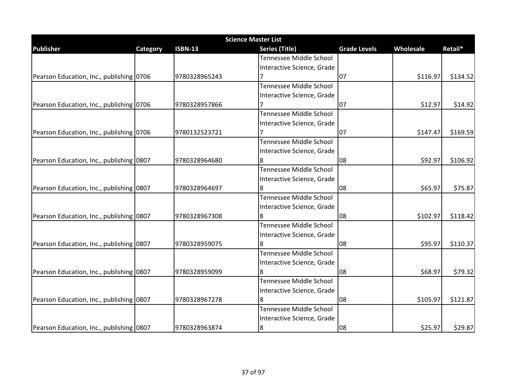| <b>Science Master List</b>               |          |                |                            |                     |           |          |  |  |  |
|------------------------------------------|----------|----------------|----------------------------|---------------------|-----------|----------|--|--|--|
| <b>Publisher</b>                         | Category | <b>ISBN-13</b> | <b>Series (Title)</b>      | <b>Grade Levels</b> | Wholesale | Retail*  |  |  |  |
|                                          |          |                | Tennessee Middle School    |                     |           |          |  |  |  |
|                                          |          |                | Interactive Science, Grade |                     |           |          |  |  |  |
| Pearson Education, Inc., publishing 0706 |          | 9780328965243  |                            | 07                  | \$116.97  | \$134.52 |  |  |  |
|                                          |          |                | Tennessee Middle School    |                     |           |          |  |  |  |
|                                          |          |                | Interactive Science, Grade |                     |           |          |  |  |  |
| Pearson Education, Inc., publishing 0706 |          | 9780328957866  |                            | 07                  | \$12.97   | \$14.92  |  |  |  |
|                                          |          |                | Tennessee Middle School    |                     |           |          |  |  |  |
|                                          |          |                | Interactive Science, Grade |                     |           |          |  |  |  |
| Pearson Education, Inc., publishing 0706 |          | 9780132523721  |                            | 07                  | \$147.47  | \$169.59 |  |  |  |
|                                          |          |                | Tennessee Middle School    |                     |           |          |  |  |  |
|                                          |          |                | Interactive Science, Grade |                     |           |          |  |  |  |
| Pearson Education, Inc., publishing 0807 |          | 9780328964680  |                            | 08                  | \$92.97   | \$106.92 |  |  |  |
|                                          |          |                | Tennessee Middle School    |                     |           |          |  |  |  |
|                                          |          |                | Interactive Science, Grade |                     |           |          |  |  |  |
| Pearson Education, Inc., publishing 0807 |          | 9780328964697  | 8                          | 08                  | \$65.97   | \$75.87  |  |  |  |
|                                          |          |                | Tennessee Middle School    |                     |           |          |  |  |  |
|                                          |          |                | Interactive Science, Grade |                     |           |          |  |  |  |
| Pearson Education, Inc., publishing 0807 |          | 9780328967308  |                            | 08                  | \$102.97  | \$118.42 |  |  |  |
|                                          |          |                | Tennessee Middle School    |                     |           |          |  |  |  |
|                                          |          |                | Interactive Science, Grade |                     |           |          |  |  |  |
| Pearson Education, Inc., publishing 0807 |          | 9780328959075  |                            | 08                  | \$95.97   | \$110.37 |  |  |  |
|                                          |          |                | Tennessee Middle School    |                     |           |          |  |  |  |
|                                          |          |                | Interactive Science, Grade |                     |           |          |  |  |  |
| Pearson Education, Inc., publishing 0807 |          | 9780328959099  |                            | 08                  | \$68.97   | \$79.32  |  |  |  |
|                                          |          |                | Tennessee Middle School    |                     |           |          |  |  |  |
|                                          |          |                | Interactive Science, Grade |                     |           |          |  |  |  |
| Pearson Education, Inc., publishing 0807 |          | 9780328967278  |                            | 08                  | \$105.97  | \$121.87 |  |  |  |
|                                          |          |                | Tennessee Middle School    |                     |           |          |  |  |  |
|                                          |          |                | Interactive Science, Grade |                     |           |          |  |  |  |
| Pearson Education, Inc., publishing 0807 |          | 9780328963874  | 8                          | 08                  | \$25.97   | \$29.87  |  |  |  |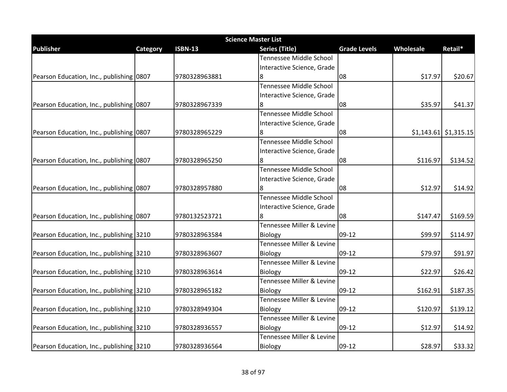|                                          | <b>Science Master List</b> |                |                            |                     |           |                         |  |  |
|------------------------------------------|----------------------------|----------------|----------------------------|---------------------|-----------|-------------------------|--|--|
| <b>Publisher</b>                         | Category                   | <b>ISBN-13</b> | <b>Series (Title)</b>      | <b>Grade Levels</b> | Wholesale | Retail*                 |  |  |
|                                          |                            |                | Tennessee Middle School    |                     |           |                         |  |  |
|                                          |                            |                | Interactive Science, Grade |                     |           |                         |  |  |
| Pearson Education, Inc., publishing 0807 |                            | 9780328963881  |                            | 08                  | \$17.97   | \$20.67                 |  |  |
|                                          |                            |                | Tennessee Middle School    |                     |           |                         |  |  |
|                                          |                            |                | Interactive Science, Grade |                     |           |                         |  |  |
| Pearson Education, Inc., publishing 0807 |                            | 9780328967339  | 8                          | 08                  | \$35.97   | \$41.37                 |  |  |
|                                          |                            |                | Tennessee Middle School    |                     |           |                         |  |  |
|                                          |                            |                | Interactive Science, Grade |                     |           |                         |  |  |
| Pearson Education, Inc., publishing 0807 |                            | 9780328965229  |                            | 08                  |           | $$1,143.61$ $$1,315.15$ |  |  |
|                                          |                            |                | Tennessee Middle School    |                     |           |                         |  |  |
|                                          |                            |                | Interactive Science, Grade |                     |           |                         |  |  |
| Pearson Education, Inc., publishing 0807 |                            | 9780328965250  |                            | 08                  | \$116.97  | \$134.52                |  |  |
|                                          |                            |                | Tennessee Middle School    |                     |           |                         |  |  |
|                                          |                            |                | Interactive Science, Grade |                     |           |                         |  |  |
| Pearson Education, Inc., publishing 0807 |                            | 9780328957880  | 8                          | 08                  | \$12.97   | \$14.92                 |  |  |
|                                          |                            |                | Tennessee Middle School    |                     |           |                         |  |  |
|                                          |                            |                | Interactive Science, Grade |                     |           |                         |  |  |
| Pearson Education, Inc., publishing 0807 |                            | 9780132523721  |                            | 08                  | \$147.47  | \$169.59                |  |  |
|                                          |                            |                | Tennessee Miller & Levine  |                     |           |                         |  |  |
| Pearson Education, Inc., publishing 3210 |                            | 9780328963584  | <b>Biology</b>             | 09-12               | \$99.97   | \$114.97                |  |  |
|                                          |                            |                | Tennessee Miller & Levine  |                     |           |                         |  |  |
| Pearson Education, Inc., publishing 3210 |                            | 9780328963607  | <b>Biology</b>             | 09-12               | \$79.97   | \$91.97                 |  |  |
|                                          |                            |                | Tennessee Miller & Levine  |                     |           |                         |  |  |
| Pearson Education, Inc., publishing 3210 |                            | 9780328963614  | Biology                    | 09-12               | \$22.97   | \$26.42                 |  |  |
|                                          |                            |                | Tennessee Miller & Levine  |                     |           |                         |  |  |
| Pearson Education, Inc., publishing 3210 |                            | 9780328965182  | Biology                    | 09-12               | \$162.91  | \$187.35                |  |  |
|                                          |                            |                | Tennessee Miller & Levine  |                     |           |                         |  |  |
| Pearson Education, Inc., publishing 3210 |                            | 9780328949304  | <b>Biology</b>             | 09-12               | \$120.97  | \$139.12                |  |  |
|                                          |                            |                | Tennessee Miller & Levine  |                     |           |                         |  |  |
| Pearson Education, Inc., publishing 3210 |                            | 9780328936557  | Biology                    | $09-12$             | \$12.97   | \$14.92                 |  |  |
|                                          |                            |                | Tennessee Miller & Levine  |                     |           |                         |  |  |
| Pearson Education, Inc., publishing 3210 |                            | 9780328936564  | Biology                    | 09-12               | \$28.97   | \$33.32                 |  |  |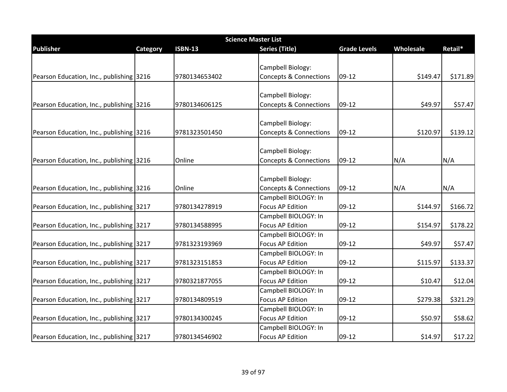| <b>Science Master List</b>               |          |                |                                   |                     |           |          |  |
|------------------------------------------|----------|----------------|-----------------------------------|---------------------|-----------|----------|--|
| <b>Publisher</b>                         | Category | <b>ISBN-13</b> | <b>Series (Title)</b>             | <b>Grade Levels</b> | Wholesale | Retail*  |  |
|                                          |          |                |                                   |                     |           |          |  |
|                                          |          |                | Campbell Biology:                 |                     |           |          |  |
| Pearson Education, Inc., publishing 3216 |          | 9780134653402  | <b>Concepts &amp; Connections</b> | 09-12               | \$149.47  | \$171.89 |  |
|                                          |          |                |                                   |                     |           |          |  |
|                                          |          |                | Campbell Biology:                 |                     |           |          |  |
| Pearson Education, Inc., publishing 3216 |          | 9780134606125  | <b>Concepts &amp; Connections</b> | 09-12               | \$49.97   | \$57.47  |  |
|                                          |          |                | Campbell Biology:                 |                     |           |          |  |
|                                          |          |                |                                   | $09-12$             | \$120.97  | \$139.12 |  |
| Pearson Education, Inc., publishing 3216 |          | 9781323501450  | <b>Concepts &amp; Connections</b> |                     |           |          |  |
|                                          |          |                | Campbell Biology:                 |                     |           |          |  |
| Pearson Education, Inc., publishing 3216 |          | Online         | <b>Concepts &amp; Connections</b> | 09-12               | N/A       | N/A      |  |
|                                          |          |                |                                   |                     |           |          |  |
|                                          |          |                | Campbell Biology:                 |                     |           |          |  |
| Pearson Education, Inc., publishing 3216 |          | Online         | <b>Concepts &amp; Connections</b> | 09-12               | N/A       | N/A      |  |
|                                          |          |                | Campbell BIOLOGY: In              |                     |           |          |  |
| Pearson Education, Inc., publishing 3217 |          | 9780134278919  | <b>Focus AP Edition</b>           | 09-12               | \$144.97  | \$166.72 |  |
|                                          |          |                | Campbell BIOLOGY: In              |                     |           |          |  |
| Pearson Education, Inc., publishing 3217 |          | 9780134588995  | <b>Focus AP Edition</b>           | 09-12               | \$154.97  | \$178.22 |  |
|                                          |          |                | Campbell BIOLOGY: In              |                     |           |          |  |
| Pearson Education, Inc., publishing 3217 |          | 9781323193969  | <b>Focus AP Edition</b>           | 09-12               | \$49.97   | \$57.47  |  |
|                                          |          |                | Campbell BIOLOGY: In              |                     |           |          |  |
| Pearson Education, Inc., publishing 3217 |          | 9781323151853  | <b>Focus AP Edition</b>           | 09-12               | \$115.97  | \$133.37 |  |
|                                          |          |                | Campbell BIOLOGY: In              |                     |           |          |  |
| Pearson Education, Inc., publishing 3217 |          | 9780321877055  | <b>Focus AP Edition</b>           | 09-12               | \$10.47   | \$12.04  |  |
|                                          |          |                | Campbell BIOLOGY: In              |                     |           |          |  |
| Pearson Education, Inc., publishing 3217 |          | 9780134809519  | <b>Focus AP Edition</b>           | 09-12               | \$279.38  | \$321.29 |  |
|                                          |          |                | Campbell BIOLOGY: In              |                     |           |          |  |
| Pearson Education, Inc., publishing 3217 |          | 9780134300245  | <b>Focus AP Edition</b>           | 09-12               | \$50.97   | \$58.62  |  |
|                                          |          |                | Campbell BIOLOGY: In              |                     |           |          |  |
| Pearson Education, Inc., publishing 3217 |          | 9780134546902  | <b>Focus AP Edition</b>           | 09-12               | \$14.97   | \$17.22  |  |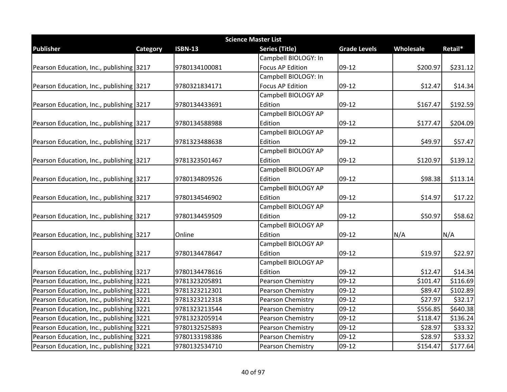| <b>Science Master List</b>               |                 |                |                         |                     |           |          |  |
|------------------------------------------|-----------------|----------------|-------------------------|---------------------|-----------|----------|--|
| <b>Publisher</b>                         | <b>Category</b> | <b>ISBN-13</b> | <b>Series (Title)</b>   | <b>Grade Levels</b> | Wholesale | Retail*  |  |
|                                          |                 |                | Campbell BIOLOGY: In    |                     |           |          |  |
| Pearson Education, Inc., publishing 3217 |                 | 9780134100081  | <b>Focus AP Edition</b> | $09-12$             | \$200.97  | \$231.12 |  |
|                                          |                 |                | Campbell BIOLOGY: In    |                     |           |          |  |
| Pearson Education, Inc., publishing 3217 |                 | 9780321834171  | <b>Focus AP Edition</b> | 09-12               | \$12.47   | \$14.34  |  |
|                                          |                 |                | Campbell BIOLOGY AP     |                     |           |          |  |
| Pearson Education, Inc., publishing 3217 |                 | 9780134433691  | Edition                 | 09-12               | \$167.47  | \$192.59 |  |
|                                          |                 |                | Campbell BIOLOGY AP     |                     |           |          |  |
| Pearson Education, Inc., publishing 3217 |                 | 9780134588988  | Edition                 | 09-12               | \$177.47  | \$204.09 |  |
|                                          |                 |                | Campbell BIOLOGY AP     |                     |           |          |  |
| Pearson Education, Inc., publishing 3217 |                 | 9781323488638  | Edition                 | 09-12               | \$49.97   | \$57.47  |  |
|                                          |                 |                | Campbell BIOLOGY AP     |                     |           |          |  |
| Pearson Education, Inc., publishing 3217 |                 | 9781323501467  | Edition                 | 09-12               | \$120.97  | \$139.12 |  |
|                                          |                 |                | Campbell BIOLOGY AP     |                     |           |          |  |
| Pearson Education, Inc., publishing 3217 |                 | 9780134809526  | Edition                 | 09-12               | \$98.38   | \$113.14 |  |
|                                          |                 |                | Campbell BIOLOGY AP     |                     |           |          |  |
| Pearson Education, Inc., publishing 3217 |                 | 9780134546902  | Edition                 | 09-12               | \$14.97   | \$17.22  |  |
|                                          |                 |                | Campbell BIOLOGY AP     |                     |           |          |  |
| Pearson Education, Inc., publishing 3217 |                 | 9780134459509  | Edition                 | 09-12               | \$50.97   | \$58.62  |  |
|                                          |                 |                | Campbell BIOLOGY AP     |                     |           |          |  |
| Pearson Education, Inc., publishing 3217 |                 | Online         | Edition                 | 09-12               | N/A       | N/A      |  |
|                                          |                 |                | Campbell BIOLOGY AP     |                     |           |          |  |
| Pearson Education, Inc., publishing 3217 |                 | 9780134478647  | Edition                 | 09-12               | \$19.97   | \$22.97  |  |
|                                          |                 |                | Campbell BIOLOGY AP     |                     |           |          |  |
| Pearson Education, Inc., publishing 3217 |                 | 9780134478616  | Edition                 | 09-12               | \$12.47   | \$14.34  |  |
| Pearson Education, Inc., publishing 3221 |                 | 9781323205891  | Pearson Chemistry       | $09-12$             | \$101.47  | \$116.69 |  |
| Pearson Education, Inc., publishing 3221 |                 | 9781323212301  | Pearson Chemistry       | 09-12               | \$89.47   | \$102.89 |  |
| Pearson Education, Inc., publishing 3221 |                 | 9781323212318  | Pearson Chemistry       | 09-12               | \$27.97   | \$32.17  |  |
| Pearson Education, Inc., publishing 3221 |                 | 9781323213544  | Pearson Chemistry       | 09-12               | \$556.85  | \$640.38 |  |
| Pearson Education, Inc., publishing 3221 |                 | 9781323205914  | Pearson Chemistry       | 09-12               | \$118.47  | \$136.24 |  |
| Pearson Education, Inc., publishing 3221 |                 | 9780132525893  | Pearson Chemistry       | $09-12$             | \$28.97   | \$33.32  |  |
| Pearson Education, Inc., publishing 3221 |                 | 9780133198386  | Pearson Chemistry       | 09-12               | \$28.97   | \$33.32  |  |
| Pearson Education, Inc., publishing 3221 |                 | 9780132534710  | Pearson Chemistry       | 09-12               | \$154.47  | \$177.64 |  |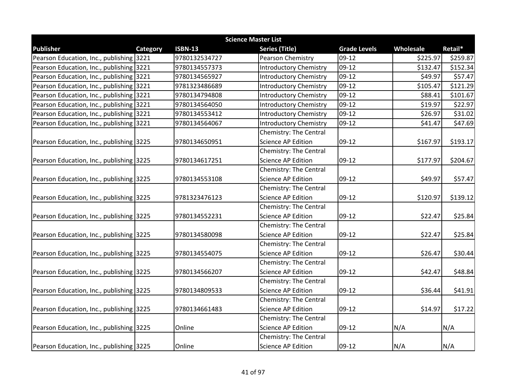|                                          | <b>Science Master List</b> |                |                               |                     |           |          |  |  |  |
|------------------------------------------|----------------------------|----------------|-------------------------------|---------------------|-----------|----------|--|--|--|
| <b>Publisher</b>                         | Category                   | <b>ISBN-13</b> | <b>Series (Title)</b>         | <b>Grade Levels</b> | Wholesale | Retail*  |  |  |  |
| Pearson Education, Inc., publishing 3221 |                            | 9780132534727  | Pearson Chemistry             | 09-12               | \$225.97  | \$259.87 |  |  |  |
| Pearson Education, Inc., publishing 3221 |                            | 9780134557373  | <b>Introductory Chemistry</b> | 09-12               | \$132.47  | \$152.34 |  |  |  |
| Pearson Education, Inc., publishing 3221 |                            | 9780134565927  | <b>Introductory Chemistry</b> | 09-12               | \$49.97   | \$57.47  |  |  |  |
| Pearson Education, Inc., publishing 3221 |                            | 9781323486689  | <b>Introductory Chemistry</b> | 09-12               | \$105.47  | \$121.29 |  |  |  |
| Pearson Education, Inc., publishing 3221 |                            | 9780134794808  | <b>Introductory Chemistry</b> | 09-12               | \$88.41   | \$101.67 |  |  |  |
| Pearson Education, Inc., publishing 3221 |                            | 9780134564050  | <b>Introductory Chemistry</b> | 09-12               | \$19.97   | \$22.97  |  |  |  |
| Pearson Education, Inc., publishing 3221 |                            | 9780134553412  | <b>Introductory Chemistry</b> | 09-12               | \$26.97   | \$31.02  |  |  |  |
| Pearson Education, Inc., publishing 3221 |                            | 9780134564067  | <b>Introductory Chemistry</b> | 09-12               | \$41.47   | \$47.69  |  |  |  |
|                                          |                            |                | Chemistry: The Central        |                     |           |          |  |  |  |
| Pearson Education, Inc., publishing 3225 |                            | 9780134650951  | <b>Science AP Edition</b>     | 09-12               | \$167.97  | \$193.17 |  |  |  |
|                                          |                            |                | Chemistry: The Central        |                     |           |          |  |  |  |
| Pearson Education, Inc., publishing 3225 |                            | 9780134617251  | <b>Science AP Edition</b>     | 09-12               | \$177.97  | \$204.67 |  |  |  |
|                                          |                            |                | Chemistry: The Central        |                     |           |          |  |  |  |
| Pearson Education, Inc., publishing 3225 |                            | 9780134553108  | <b>Science AP Edition</b>     | 09-12               | \$49.97   | \$57.47  |  |  |  |
|                                          |                            |                | Chemistry: The Central        |                     |           |          |  |  |  |
| Pearson Education, Inc., publishing 3225 |                            | 9781323476123  | <b>Science AP Edition</b>     | 09-12               | \$120.97  | \$139.12 |  |  |  |
|                                          |                            |                | Chemistry: The Central        |                     |           |          |  |  |  |
| Pearson Education, Inc., publishing 3225 |                            | 9780134552231  | <b>Science AP Edition</b>     | 09-12               | \$22.47   | \$25.84  |  |  |  |
|                                          |                            |                | Chemistry: The Central        |                     |           |          |  |  |  |
| Pearson Education, Inc., publishing 3225 |                            | 9780134580098  | <b>Science AP Edition</b>     | 09-12               | \$22.47   | \$25.84  |  |  |  |
|                                          |                            |                | Chemistry: The Central        |                     |           |          |  |  |  |
| Pearson Education, Inc., publishing 3225 |                            | 9780134554075  | <b>Science AP Edition</b>     | 09-12               | \$26.47   | \$30.44  |  |  |  |
|                                          |                            |                | Chemistry: The Central        |                     |           |          |  |  |  |
| Pearson Education, Inc., publishing 3225 |                            | 9780134566207  | Science AP Edition            | 09-12               | \$42.47   | \$48.84  |  |  |  |
|                                          |                            |                | Chemistry: The Central        |                     |           |          |  |  |  |
| Pearson Education, Inc., publishing 3225 |                            | 9780134809533  | <b>Science AP Edition</b>     | 09-12               | \$36.44   | \$41.91  |  |  |  |
|                                          |                            |                | Chemistry: The Central        |                     |           |          |  |  |  |
| Pearson Education, Inc., publishing 3225 |                            | 9780134661483  | <b>Science AP Edition</b>     | 09-12               | \$14.97   | \$17.22  |  |  |  |
|                                          |                            |                | Chemistry: The Central        |                     |           |          |  |  |  |
| Pearson Education, Inc., publishing 3225 |                            | Online         | <b>Science AP Edition</b>     | 09-12               | N/A       | N/A      |  |  |  |
|                                          |                            |                | Chemistry: The Central        |                     |           |          |  |  |  |
| Pearson Education, Inc., publishing 3225 |                            | Online         | <b>Science AP Edition</b>     | 09-12               | N/A       | N/A      |  |  |  |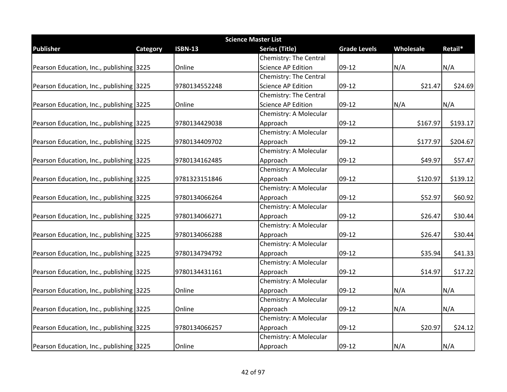| <b>Science Master List</b>               |          |                |                           |                     |           |          |  |  |
|------------------------------------------|----------|----------------|---------------------------|---------------------|-----------|----------|--|--|
| <b>Publisher</b>                         | Category | <b>ISBN-13</b> | Series (Title)            | <b>Grade Levels</b> | Wholesale | Retail*  |  |  |
|                                          |          |                | Chemistry: The Central    |                     |           |          |  |  |
| Pearson Education, Inc., publishing 3225 |          | Online         | <b>Science AP Edition</b> | 09-12               | N/A       | N/A      |  |  |
|                                          |          |                | Chemistry: The Central    |                     |           |          |  |  |
| Pearson Education, Inc., publishing 3225 |          | 9780134552248  | <b>Science AP Edition</b> | 09-12               | \$21.47   | \$24.69  |  |  |
|                                          |          |                | Chemistry: The Central    |                     |           |          |  |  |
| Pearson Education, Inc., publishing 3225 |          | Online         | Science AP Edition        | 09-12               | N/A       | N/A      |  |  |
|                                          |          |                | Chemistry: A Molecular    |                     |           |          |  |  |
| Pearson Education, Inc., publishing 3225 |          | 9780134429038  | Approach                  | 09-12               | \$167.97  | \$193.17 |  |  |
|                                          |          |                | Chemistry: A Molecular    |                     |           |          |  |  |
| Pearson Education, Inc., publishing 3225 |          | 9780134409702  | Approach                  | $09-12$             | \$177.97  | \$204.67 |  |  |
|                                          |          |                | Chemistry: A Molecular    |                     |           |          |  |  |
| Pearson Education, Inc., publishing 3225 |          | 9780134162485  | Approach                  | $09-12$             | \$49.97   | \$57.47  |  |  |
|                                          |          |                | Chemistry: A Molecular    |                     |           |          |  |  |
| Pearson Education, Inc., publishing 3225 |          | 9781323151846  | Approach                  | 09-12               | \$120.97  | \$139.12 |  |  |
|                                          |          |                | Chemistry: A Molecular    |                     |           |          |  |  |
| Pearson Education, Inc., publishing 3225 |          | 9780134066264  | Approach                  | 09-12               | \$52.97   | \$60.92  |  |  |
|                                          |          |                | Chemistry: A Molecular    |                     |           |          |  |  |
| Pearson Education, Inc., publishing 3225 |          | 9780134066271  | Approach                  | 09-12               | \$26.47   | \$30.44  |  |  |
|                                          |          |                | Chemistry: A Molecular    |                     |           |          |  |  |
| Pearson Education, Inc., publishing 3225 |          | 9780134066288  | Approach                  | 09-12               | \$26.47   | \$30.44  |  |  |
|                                          |          |                | Chemistry: A Molecular    |                     |           |          |  |  |
| Pearson Education, Inc., publishing 3225 |          | 9780134794792  | Approach                  | 09-12               | \$35.94   | \$41.33  |  |  |
|                                          |          |                | Chemistry: A Molecular    |                     |           |          |  |  |
| Pearson Education, Inc., publishing 3225 |          | 9780134431161  | Approach                  | 09-12               | \$14.97   | \$17.22  |  |  |
|                                          |          |                | Chemistry: A Molecular    |                     |           |          |  |  |
| Pearson Education, Inc., publishing 3225 |          | Online         | Approach                  | 09-12               | N/A       | N/A      |  |  |
|                                          |          |                | Chemistry: A Molecular    |                     |           |          |  |  |
| Pearson Education, Inc., publishing 3225 |          | Online         | Approach                  | 09-12               | N/A       | N/A      |  |  |
|                                          |          |                | Chemistry: A Molecular    |                     |           |          |  |  |
| Pearson Education, Inc., publishing 3225 |          | 9780134066257  | Approach                  | $09-12$             | \$20.97   | \$24.12  |  |  |
|                                          |          |                | Chemistry: A Molecular    |                     |           |          |  |  |
| Pearson Education, Inc., publishing 3225 |          | Online         | Approach                  | 09-12               | N/A       | N/A      |  |  |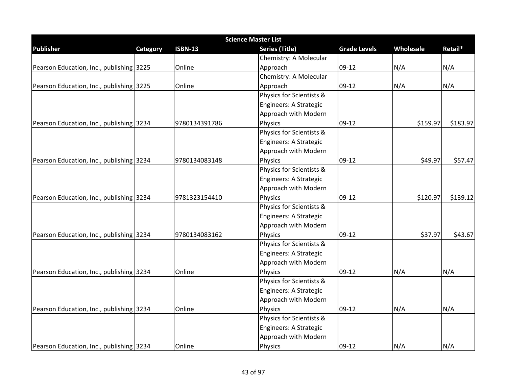| <b>Science Master List</b>               |          |                |                          |                     |           |          |  |  |
|------------------------------------------|----------|----------------|--------------------------|---------------------|-----------|----------|--|--|
| <b>Publisher</b>                         | Category | <b>ISBN-13</b> | <b>Series (Title)</b>    | <b>Grade Levels</b> | Wholesale | Retail*  |  |  |
|                                          |          |                | Chemistry: A Molecular   |                     |           |          |  |  |
| Pearson Education, Inc., publishing 3225 |          | Online         | Approach                 | $09-12$             | N/A       | N/A      |  |  |
|                                          |          |                | Chemistry: A Molecular   |                     |           |          |  |  |
| Pearson Education, Inc., publishing 3225 |          | Online         | Approach                 | 09-12               | N/A       | N/A      |  |  |
|                                          |          |                | Physics for Scientists & |                     |           |          |  |  |
|                                          |          |                | Engineers: A Strategic   |                     |           |          |  |  |
|                                          |          |                | Approach with Modern     |                     |           |          |  |  |
| Pearson Education, Inc., publishing 3234 |          | 9780134391786  | <b>Physics</b>           | $09-12$             | \$159.97  | \$183.97 |  |  |
|                                          |          |                | Physics for Scientists & |                     |           |          |  |  |
|                                          |          |                | Engineers: A Strategic   |                     |           |          |  |  |
|                                          |          |                | Approach with Modern     |                     |           |          |  |  |
| Pearson Education, Inc., publishing 3234 |          | 9780134083148  | Physics                  | $09-12$             | \$49.97   | \$57.47  |  |  |
|                                          |          |                | Physics for Scientists & |                     |           |          |  |  |
|                                          |          |                | Engineers: A Strategic   |                     |           |          |  |  |
|                                          |          |                | Approach with Modern     |                     |           |          |  |  |
| Pearson Education, Inc., publishing 3234 |          | 9781323154410  | Physics                  | 09-12               | \$120.97  | \$139.12 |  |  |
|                                          |          |                | Physics for Scientists & |                     |           |          |  |  |
|                                          |          |                | Engineers: A Strategic   |                     |           |          |  |  |
|                                          |          |                | Approach with Modern     |                     |           |          |  |  |
| Pearson Education, Inc., publishing 3234 |          | 9780134083162  | Physics                  | $09-12$             | \$37.97   | \$43.67  |  |  |
|                                          |          |                | Physics for Scientists & |                     |           |          |  |  |
|                                          |          |                | Engineers: A Strategic   |                     |           |          |  |  |
|                                          |          |                | Approach with Modern     |                     |           |          |  |  |
| Pearson Education, Inc., publishing 3234 |          | Online         | <b>Physics</b>           | 09-12               | N/A       | N/A      |  |  |
|                                          |          |                | Physics for Scientists & |                     |           |          |  |  |
|                                          |          |                | Engineers: A Strategic   |                     |           |          |  |  |
|                                          |          |                | Approach with Modern     |                     |           |          |  |  |
| Pearson Education, Inc., publishing 3234 |          | Online         | <b>Physics</b>           | $09-12$             | N/A       | N/A      |  |  |
|                                          |          |                | Physics for Scientists & |                     |           |          |  |  |
|                                          |          |                | Engineers: A Strategic   |                     |           |          |  |  |
|                                          |          |                | Approach with Modern     |                     |           |          |  |  |
| Pearson Education, Inc., publishing 3234 |          | Online         | <b>Physics</b>           | 09-12               | N/A       | N/A      |  |  |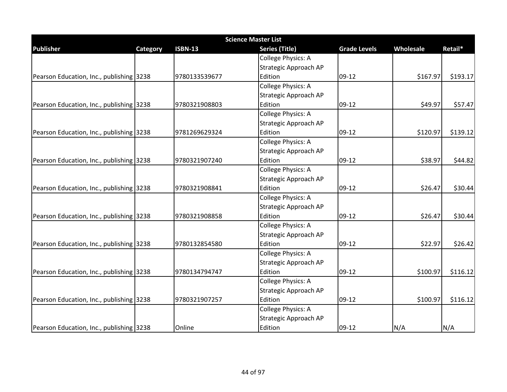|                                          |          |                | <b>Science Master List</b>   |                     |           |          |
|------------------------------------------|----------|----------------|------------------------------|---------------------|-----------|----------|
| <b>Publisher</b>                         | Category | <b>ISBN-13</b> | <b>Series (Title)</b>        | <b>Grade Levels</b> | Wholesale | Retail*  |
|                                          |          |                | College Physics: A           |                     |           |          |
|                                          |          |                | <b>Strategic Approach AP</b> |                     |           |          |
| Pearson Education, Inc., publishing 3238 |          | 9780133539677  | Edition                      | $09-12$             | \$167.97  | \$193.17 |
|                                          |          |                | College Physics: A           |                     |           |          |
|                                          |          |                | Strategic Approach AP        |                     |           |          |
| Pearson Education, Inc., publishing 3238 |          | 9780321908803  | Edition                      | $09-12$             | \$49.97   | \$57.47  |
|                                          |          |                | College Physics: A           |                     |           |          |
|                                          |          |                | Strategic Approach AP        |                     |           |          |
| Pearson Education, Inc., publishing 3238 |          | 9781269629324  | Edition                      | $09-12$             | \$120.97  | \$139.12 |
|                                          |          |                | College Physics: A           |                     |           |          |
|                                          |          |                | Strategic Approach AP        |                     |           |          |
| Pearson Education, Inc., publishing 3238 |          | 9780321907240  | Edition                      | $09-12$             | \$38.97   | \$44.82  |
|                                          |          |                | College Physics: A           |                     |           |          |
|                                          |          |                | Strategic Approach AP        |                     |           |          |
| Pearson Education, Inc., publishing 3238 |          | 9780321908841  | Edition                      | $09-12$             | \$26.47   | \$30.44  |
|                                          |          |                | College Physics: A           |                     |           |          |
|                                          |          |                | Strategic Approach AP        |                     |           |          |
| Pearson Education, Inc., publishing 3238 |          | 9780321908858  | Edition                      | $09-12$             | \$26.47   | \$30.44  |
|                                          |          |                | College Physics: A           |                     |           |          |
|                                          |          |                | Strategic Approach AP        |                     |           |          |
| Pearson Education, Inc., publishing 3238 |          | 9780132854580  | Edition                      | $09-12$             | \$22.97   | \$26.42  |
|                                          |          |                | College Physics: A           |                     |           |          |
|                                          |          |                | Strategic Approach AP        |                     |           |          |
| Pearson Education, Inc., publishing 3238 |          | 9780134794747  | Edition                      | $09-12$             | \$100.97  | \$116.12 |
|                                          |          |                | College Physics: A           |                     |           |          |
|                                          |          |                | Strategic Approach AP        |                     |           |          |
| Pearson Education, Inc., publishing 3238 |          | 9780321907257  | Edition                      | $09-12$             | \$100.97  | \$116.12 |
|                                          |          |                | College Physics: A           |                     |           |          |
|                                          |          |                | Strategic Approach AP        |                     |           |          |
| Pearson Education, Inc., publishing 3238 |          | Online         | Edition                      | 09-12               | N/A       | N/A      |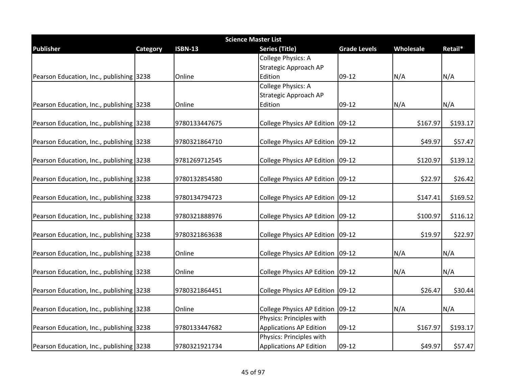| <b>Science Master List</b>               |          |                |                                                            |                     |           |          |  |  |
|------------------------------------------|----------|----------------|------------------------------------------------------------|---------------------|-----------|----------|--|--|
| <b>Publisher</b>                         | Category | <b>ISBN-13</b> | <b>Series (Title)</b>                                      | <b>Grade Levels</b> | Wholesale | Retail*  |  |  |
|                                          |          |                | <b>College Physics: A</b>                                  |                     |           |          |  |  |
|                                          |          |                | Strategic Approach AP                                      |                     |           |          |  |  |
| Pearson Education, Inc., publishing 3238 |          | Online         | Edition                                                    | 09-12               | N/A       | N/A      |  |  |
|                                          |          |                | <b>College Physics: A</b>                                  |                     |           |          |  |  |
|                                          |          |                | Strategic Approach AP                                      |                     |           |          |  |  |
| Pearson Education, Inc., publishing 3238 |          | Online         | Edition                                                    | 09-12               | N/A       | N/A      |  |  |
| Pearson Education, Inc., publishing 3238 |          | 9780133447675  | College Physics AP Edition   09-12                         |                     | \$167.97  | \$193.17 |  |  |
| Pearson Education, Inc., publishing 3238 |          | 9780321864710  | College Physics AP Edition 09-12                           |                     | \$49.97   | \$57.47  |  |  |
| Pearson Education, Inc., publishing 3238 |          | 9781269712545  | College Physics AP Edition 09-12                           |                     | \$120.97  | \$139.12 |  |  |
|                                          |          |                |                                                            |                     |           |          |  |  |
| Pearson Education, Inc., publishing 3238 |          | 9780132854580  | College Physics AP Edition 09-12                           |                     | \$22.97   | \$26.42  |  |  |
| Pearson Education, Inc., publishing 3238 |          | 9780134794723  | College Physics AP Edition   09-12                         |                     | \$147.41  | \$169.52 |  |  |
| Pearson Education, Inc., publishing 3238 |          | 9780321888976  | College Physics AP Edition 09-12                           |                     | \$100.97  | \$116.12 |  |  |
| Pearson Education, Inc., publishing 3238 |          | 9780321863638  | College Physics AP Edition   09-12                         |                     | \$19.97   | \$22.97  |  |  |
| Pearson Education, Inc., publishing 3238 |          | Online         | College Physics AP Edition 09-12                           |                     | N/A       | N/A      |  |  |
| Pearson Education, Inc., publishing 3238 |          | Online         | College Physics AP Edition   09-12                         |                     | N/A       | N/A      |  |  |
| Pearson Education, Inc., publishing 3238 |          | 9780321864451  | College Physics AP Edition   09-12                         |                     | \$26.47   | \$30.44  |  |  |
| Pearson Education, Inc., publishing 3238 |          | Online         | <b>College Physics AP Edition</b>                          | $09-12$             | N/A       | N/A      |  |  |
|                                          |          |                | Physics: Principles with                                   |                     |           |          |  |  |
| Pearson Education, Inc., publishing 3238 |          | 9780133447682  | <b>Applications AP Edition</b><br>Physics: Principles with | 09-12               | \$167.97  | \$193.17 |  |  |
| Pearson Education, Inc., publishing 3238 |          | 9780321921734  | <b>Applications AP Edition</b>                             | $09-12$             | \$49.97   | \$57.47  |  |  |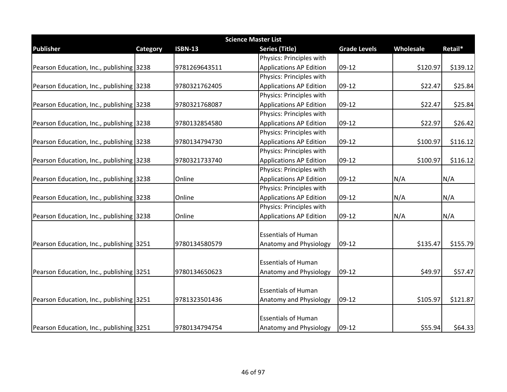| <b>Science Master List</b>               |                 |                |                                |                     |           |          |  |  |
|------------------------------------------|-----------------|----------------|--------------------------------|---------------------|-----------|----------|--|--|
| <b>Publisher</b>                         | <b>Category</b> | <b>ISBN-13</b> | <b>Series (Title)</b>          | <b>Grade Levels</b> | Wholesale | Retail*  |  |  |
|                                          |                 |                | Physics: Principles with       |                     |           |          |  |  |
| Pearson Education, Inc., publishing 3238 |                 | 9781269643511  | <b>Applications AP Edition</b> | 09-12               | \$120.97  | \$139.12 |  |  |
|                                          |                 |                | Physics: Principles with       |                     |           |          |  |  |
| Pearson Education, Inc., publishing 3238 |                 | 9780321762405  | <b>Applications AP Edition</b> | 09-12               | \$22.47   | \$25.84  |  |  |
|                                          |                 |                | Physics: Principles with       |                     |           |          |  |  |
| Pearson Education, Inc., publishing 3238 |                 | 9780321768087  | <b>Applications AP Edition</b> | $09-12$             | \$22.47   | \$25.84  |  |  |
|                                          |                 |                | Physics: Principles with       |                     |           |          |  |  |
| Pearson Education, Inc., publishing 3238 |                 | 9780132854580  | <b>Applications AP Edition</b> | 09-12               | \$22.97   | \$26.42  |  |  |
|                                          |                 |                | Physics: Principles with       |                     |           |          |  |  |
| Pearson Education, Inc., publishing 3238 |                 | 9780134794730  | <b>Applications AP Edition</b> | 09-12               | \$100.97  | \$116.12 |  |  |
|                                          |                 |                | Physics: Principles with       |                     |           |          |  |  |
| Pearson Education, Inc., publishing 3238 |                 | 9780321733740  | <b>Applications AP Edition</b> | 09-12               | \$100.97  | \$116.12 |  |  |
|                                          |                 |                | Physics: Principles with       |                     |           |          |  |  |
| Pearson Education, Inc., publishing 3238 |                 | Online         | <b>Applications AP Edition</b> | 09-12               | N/A       | N/A      |  |  |
|                                          |                 |                | Physics: Principles with       |                     |           |          |  |  |
| Pearson Education, Inc., publishing 3238 |                 | Online         | <b>Applications AP Edition</b> | 09-12               | N/A       | N/A      |  |  |
|                                          |                 |                | Physics: Principles with       |                     |           |          |  |  |
| Pearson Education, Inc., publishing 3238 |                 | Online         | Applications AP Edition        | 09-12               | N/A       | N/A      |  |  |
|                                          |                 |                | <b>Essentials of Human</b>     |                     |           |          |  |  |
| Pearson Education, Inc., publishing 3251 |                 | 9780134580579  | Anatomy and Physiology         | 09-12               | \$135.47  | \$155.79 |  |  |
|                                          |                 |                |                                |                     |           |          |  |  |
|                                          |                 |                | <b>Essentials of Human</b>     |                     |           |          |  |  |
| Pearson Education, Inc., publishing 3251 |                 | 9780134650623  | Anatomy and Physiology         | 09-12               | \$49.97   | \$57.47  |  |  |
|                                          |                 |                | <b>Essentials of Human</b>     |                     |           |          |  |  |
| Pearson Education, Inc., publishing 3251 |                 | 9781323501436  | Anatomy and Physiology         | 09-12               | \$105.97  | \$121.87 |  |  |
|                                          |                 |                | <b>Essentials of Human</b>     |                     |           |          |  |  |
| Pearson Education, Inc., publishing 3251 |                 | 9780134794754  | <b>Anatomy and Physiology</b>  | 09-12               | \$55.94   | \$64.33  |  |  |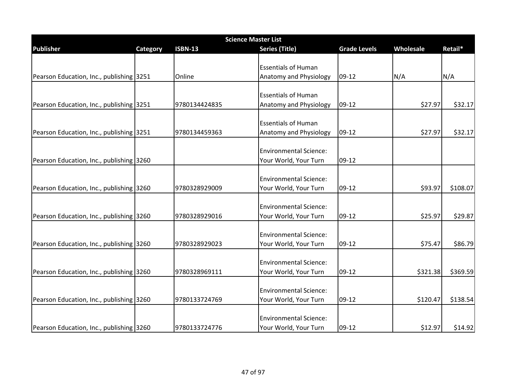| <b>Science Master List</b>               |          |                |                               |                     |           |          |  |  |
|------------------------------------------|----------|----------------|-------------------------------|---------------------|-----------|----------|--|--|
| <b>Publisher</b>                         | Category | <b>ISBN-13</b> | <b>Series (Title)</b>         | <b>Grade Levels</b> | Wholesale | Retail*  |  |  |
|                                          |          |                |                               |                     |           |          |  |  |
|                                          |          |                | <b>Essentials of Human</b>    |                     |           |          |  |  |
| Pearson Education, Inc., publishing 3251 |          | Online         | Anatomy and Physiology        | 09-12               | N/A       | N/A      |  |  |
|                                          |          |                |                               |                     |           |          |  |  |
|                                          |          |                | <b>Essentials of Human</b>    |                     |           |          |  |  |
| Pearson Education, Inc., publishing 3251 |          | 9780134424835  | Anatomy and Physiology        | 09-12               | \$27.97   | \$32.17  |  |  |
|                                          |          |                | <b>Essentials of Human</b>    |                     |           |          |  |  |
|                                          |          | 9780134459363  | Anatomy and Physiology        | 09-12               | \$27.97   | \$32.17  |  |  |
| Pearson Education, Inc., publishing 3251 |          |                |                               |                     |           |          |  |  |
|                                          |          |                | <b>Environmental Science:</b> |                     |           |          |  |  |
| Pearson Education, Inc., publishing 3260 |          |                | Your World, Your Turn         | 09-12               |           |          |  |  |
|                                          |          |                |                               |                     |           |          |  |  |
|                                          |          |                | <b>Environmental Science:</b> |                     |           |          |  |  |
| Pearson Education, Inc., publishing 3260 |          | 9780328929009  | Your World, Your Turn         | 09-12               | \$93.97   | \$108.07 |  |  |
|                                          |          |                |                               |                     |           |          |  |  |
|                                          |          |                | <b>Environmental Science:</b> |                     |           |          |  |  |
| Pearson Education, Inc., publishing 3260 |          | 9780328929016  | Your World, Your Turn         | 09-12               | \$25.97   | \$29.87  |  |  |
|                                          |          |                |                               |                     |           |          |  |  |
|                                          |          |                | <b>Environmental Science:</b> |                     |           |          |  |  |
| Pearson Education, Inc., publishing 3260 |          | 9780328929023  | Your World, Your Turn         | 09-12               | \$75.47   | \$86.79  |  |  |
|                                          |          |                |                               |                     |           |          |  |  |
|                                          |          |                | <b>Environmental Science:</b> |                     |           |          |  |  |
| Pearson Education, Inc., publishing 3260 |          | 9780328969111  | Your World, Your Turn         | 09-12               | \$321.38  | \$369.59 |  |  |
|                                          |          |                | <b>Environmental Science:</b> |                     |           |          |  |  |
| Pearson Education, Inc., publishing 3260 |          | 9780133724769  | Your World, Your Turn         | 09-12               | \$120.47  | \$138.54 |  |  |
|                                          |          |                |                               |                     |           |          |  |  |
|                                          |          |                | <b>Environmental Science:</b> |                     |           |          |  |  |
| Pearson Education, Inc., publishing 3260 |          | 9780133724776  | Your World, Your Turn         | 09-12               | \$12.97   | \$14.92  |  |  |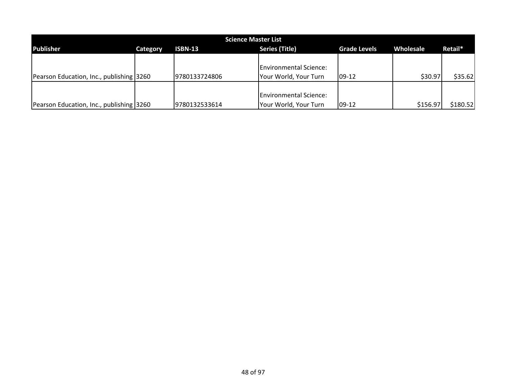| <b>Science Master List</b>               |          |                |                               |                     |           |          |  |  |
|------------------------------------------|----------|----------------|-------------------------------|---------------------|-----------|----------|--|--|
| <b>Publisher</b>                         | Category | <b>ISBN-13</b> | <b>Series (Title)</b>         | <b>Grade Levels</b> | Wholesale | Retail*  |  |  |
|                                          |          |                |                               |                     |           |          |  |  |
|                                          |          |                | <b>Environmental Science:</b> |                     |           |          |  |  |
| Pearson Education, Inc., publishing 3260 |          | 9780133724806  | Your World, Your Turn         | $09-12$             | \$30.97   | \$35.62  |  |  |
|                                          |          |                |                               |                     |           |          |  |  |
|                                          |          |                | <b>Environmental Science:</b> |                     |           |          |  |  |
| Pearson Education, Inc., publishing 3260 |          | 9780132533614  | Your World, Your Turn         | $09-12$             | \$156.97  | \$180.52 |  |  |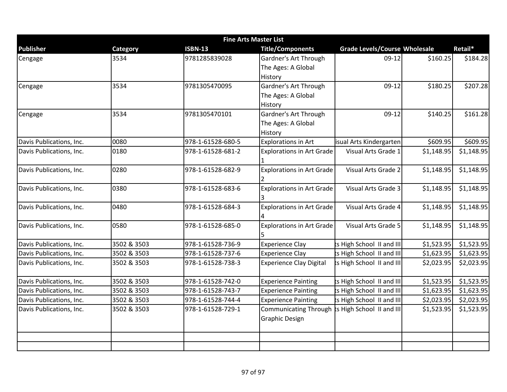| <b>Fine Arts Master List</b> |                 |                   |                                  |                                      |            |            |  |
|------------------------------|-----------------|-------------------|----------------------------------|--------------------------------------|------------|------------|--|
| <b>Publisher</b>             | <b>Category</b> | <b>ISBN-13</b>    | <b>Title/Components</b>          | <b>Grade Levels/Course Wholesale</b> |            | Retail*    |  |
| Cengage                      | 3534            | 9781285839028     | Gardner's Art Through            | $09-12$                              | \$160.25   | \$184.28   |  |
|                              |                 |                   | The Ages: A Global               |                                      |            |            |  |
|                              |                 |                   | History                          |                                      |            |            |  |
| Cengage                      | 3534            | 9781305470095     | Gardner's Art Through            | $09-12$                              | \$180.25   | \$207.28   |  |
|                              |                 |                   | The Ages: A Global               |                                      |            |            |  |
|                              |                 |                   | History                          |                                      |            |            |  |
| Cengage                      | 3534            | 9781305470101     | Gardner's Art Through            | $09-12$                              | \$140.25   | \$161.28   |  |
|                              |                 |                   | The Ages: A Global               |                                      |            |            |  |
|                              |                 |                   | History                          |                                      |            |            |  |
| Davis Publications, Inc.     | 0080            | 978-1-61528-680-5 | <b>Explorations in Art</b>       | isual Arts Kindergarten              | \$609.95   | \$609.95   |  |
| Davis Publications, Inc.     | 0180            | 978-1-61528-681-2 | <b>Explorations in Art Grade</b> | Visual Arts Grade 1                  | \$1,148.95 | \$1,148.95 |  |
|                              |                 |                   |                                  |                                      |            |            |  |
| Davis Publications, Inc.     | 0280            | 978-1-61528-682-9 | <b>Explorations in Art Grade</b> | Visual Arts Grade 2                  | \$1,148.95 | \$1,148.95 |  |
|                              |                 |                   | 2                                |                                      |            |            |  |
| Davis Publications, Inc.     | 0380            | 978-1-61528-683-6 | <b>Explorations in Art Grade</b> | Visual Arts Grade 3                  | \$1,148.95 | \$1,148.95 |  |
|                              |                 |                   | 3                                |                                      |            |            |  |
| Davis Publications, Inc.     | 0480            | 978-1-61528-684-3 | <b>Explorations in Art Grade</b> | Visual Arts Grade 4                  | \$1,148.95 | \$1,148.95 |  |
|                              |                 |                   |                                  |                                      |            |            |  |
| Davis Publications, Inc.     | 0580            | 978-1-61528-685-0 | <b>Explorations in Art Grade</b> | Visual Arts Grade 5                  | \$1,148.95 | \$1,148.95 |  |
|                              |                 |                   |                                  |                                      |            |            |  |
| Davis Publications, Inc.     | 3502 & 3503     | 978-1-61528-736-9 | <b>Experience Clay</b>           | ts High School II and III            | \$1,523.95 | \$1,523.95 |  |
| Davis Publications, Inc.     | 3502 & 3503     | 978-1-61528-737-6 | <b>Experience Clay</b>           | ts High School II and III            | \$1,623.95 | \$1,623.95 |  |
| Davis Publications, Inc.     | 3502 & 3503     | 978-1-61528-738-3 | <b>Experience Clay Digital</b>   | ts High School II and III            | \$2,023.95 | \$2,023.95 |  |
|                              |                 |                   |                                  |                                      |            |            |  |
| Davis Publications, Inc.     | 3502 & 3503     | 978-1-61528-742-0 | <b>Experience Painting</b>       | ts High School II and III            | \$1,523.95 | \$1,523.95 |  |
| Davis Publications, Inc.     | 3502 & 3503     | 978-1-61528-743-7 | <b>Experience Painting</b>       | ts High School II and III            | \$1,623.95 | \$1,623.95 |  |
| Davis Publications, Inc.     | 3502 & 3503     | 978-1-61528-744-4 | <b>Experience Painting</b>       | ts High School II and III            | \$2,023.95 | \$2,023.95 |  |
| Davis Publications, Inc.     | 3502 & 3503     | 978-1-61528-729-1 | <b>Communicating Through</b>     | ts High School II and III            | \$1,523.95 | \$1,523.95 |  |
|                              |                 |                   | <b>Graphic Design</b>            |                                      |            |            |  |
|                              |                 |                   |                                  |                                      |            |            |  |
|                              |                 |                   |                                  |                                      |            |            |  |
|                              |                 |                   |                                  |                                      |            |            |  |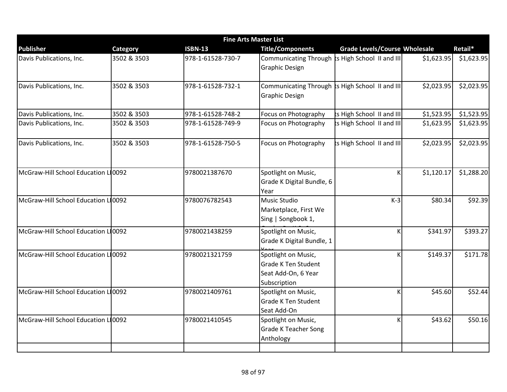|                                     |                 | <b>Fine Arts Master List</b> |                                                                                          |                                      |            |            |
|-------------------------------------|-----------------|------------------------------|------------------------------------------------------------------------------------------|--------------------------------------|------------|------------|
| <b>Publisher</b>                    | <b>Category</b> | <b>ISBN-13</b>               | <b>Title/Components</b>                                                                  | <b>Grade Levels/Course Wholesale</b> |            | Retail*    |
| Davis Publications, Inc.            | 3502 & 3503     | 978-1-61528-730-7            | Communicating Through ts High School II and III<br><b>Graphic Design</b>                 |                                      | \$1,623.95 | \$1,623.95 |
| Davis Publications, Inc.            | 3502 & 3503     | 978-1-61528-732-1            | Communicating Through ts High School II and III<br><b>Graphic Design</b>                 |                                      | \$2,023.95 | \$2,023.95 |
| Davis Publications, Inc.            | 3502 & 3503     | 978-1-61528-748-2            | Focus on Photography                                                                     | ts High School II and III            | \$1,523.95 | \$1,523.95 |
| Davis Publications, Inc.            | 3502 & 3503     | 978-1-61528-749-9            | Focus on Photography                                                                     | ts High School II and III            | \$1,623.95 | \$1,623.95 |
| Davis Publications, Inc.            | 3502 & 3503     | 978-1-61528-750-5            | Focus on Photography                                                                     | ts High School II and III            | \$2,023.95 | \$2,023.95 |
| McGraw-Hill School Education L10092 |                 | 9780021387670                | Spotlight on Music,<br>Grade K Digital Bundle, 6<br>Year                                 | К                                    | \$1,120.17 | \$1,288.20 |
| McGraw-Hill School Education L10092 |                 | 9780076782543                | <b>Music Studio</b><br>Marketplace, First We<br>Sing   Songbook 1,                       | $K-3$                                | \$80.34    | \$92.39    |
| McGraw-Hill School Education L10092 |                 | 9780021438259                | Spotlight on Music,<br>Grade K Digital Bundle, 1                                         | К                                    | \$341.97   | \$393.27   |
| McGraw-Hill School Education L10092 |                 | 9780021321759                | Spotlight on Music,<br><b>Grade K Ten Student</b><br>Seat Add-On, 6 Year<br>Subscription | К                                    | \$149.37   | \$171.78   |
| McGraw-Hill School Education Ll0092 |                 | 9780021409761                | Spotlight on Music,<br><b>Grade K Ten Student</b><br>Seat Add-On                         | K                                    | \$45.60    | \$52.44    |
| McGraw-Hill School Education L10092 |                 | 9780021410545                | Spotlight on Music,<br><b>Grade K Teacher Song</b><br>Anthology                          | К                                    | \$43.62    | \$50.16    |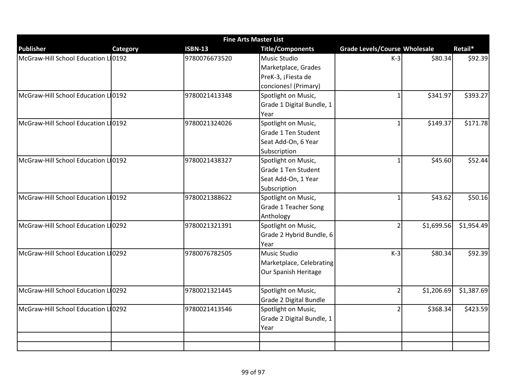|                                     | <b>Fine Arts Master List</b> |                |                             |                                      |            |            |  |  |  |  |
|-------------------------------------|------------------------------|----------------|-----------------------------|--------------------------------------|------------|------------|--|--|--|--|
| <b>Publisher</b>                    | Category                     | <b>ISBN-13</b> | <b>Title/Components</b>     | <b>Grade Levels/Course Wholesale</b> |            | Retail*    |  |  |  |  |
| McGraw-Hill School Education L10192 |                              | 9780076673520  | <b>Music Studio</b>         | $K-3$                                | \$80.34    | \$92.39    |  |  |  |  |
|                                     |                              |                | Marketplace, Grades         |                                      |            |            |  |  |  |  |
|                                     |                              |                | PreK-3, ¡Fiesta de          |                                      |            |            |  |  |  |  |
|                                     |                              |                | conciones! (Primary)        |                                      |            |            |  |  |  |  |
| McGraw-Hill School Education L10192 |                              | 9780021413348  | Spotlight on Music,         |                                      | \$341.97   | \$393.27   |  |  |  |  |
|                                     |                              |                | Grade 1 Digital Bundle, 1   |                                      |            |            |  |  |  |  |
|                                     |                              |                | Year                        |                                      |            |            |  |  |  |  |
| McGraw-Hill School Education L10192 |                              | 9780021324026  | Spotlight on Music,         | 1                                    | \$149.37   | \$171.78   |  |  |  |  |
|                                     |                              |                | Grade 1 Ten Student         |                                      |            |            |  |  |  |  |
|                                     |                              |                | Seat Add-On, 6 Year         |                                      |            |            |  |  |  |  |
|                                     |                              |                | Subscription                |                                      |            |            |  |  |  |  |
| McGraw-Hill School Education LO0192 |                              | 9780021438327  | Spotlight on Music,         | $\mathbf{1}$                         | \$45.60    | \$52.44    |  |  |  |  |
|                                     |                              |                | Grade 1 Ten Student         |                                      |            |            |  |  |  |  |
|                                     |                              |                | Seat Add-On, 1 Year         |                                      |            |            |  |  |  |  |
|                                     |                              |                | Subscription                |                                      |            |            |  |  |  |  |
| McGraw-Hill School Education LO0192 |                              | 9780021388622  | Spotlight on Music,         | $\mathbf{1}$                         | \$43.62    | \$50.16    |  |  |  |  |
|                                     |                              |                | <b>Grade 1 Teacher Song</b> |                                      |            |            |  |  |  |  |
|                                     |                              |                | Anthology                   |                                      |            |            |  |  |  |  |
| McGraw-Hill School Education L10292 |                              | 9780021321391  | Spotlight on Music,         | $\overline{2}$                       | \$1,699.56 | \$1,954.49 |  |  |  |  |
|                                     |                              |                | Grade 2 Hybrid Bundle, 6    |                                      |            |            |  |  |  |  |
|                                     |                              |                | Year                        |                                      |            |            |  |  |  |  |
| McGraw-Hill School Education L10292 |                              | 9780076782505  | Music Studio                | $K-3$                                | \$80.34    | \$92.39    |  |  |  |  |
|                                     |                              |                | Marketplace, Celebrating    |                                      |            |            |  |  |  |  |
|                                     |                              |                | Our Spanish Heritage        |                                      |            |            |  |  |  |  |
|                                     |                              |                |                             |                                      |            |            |  |  |  |  |
| McGraw-Hill School Education LI0292 |                              | 9780021321445  | Spotlight on Music,         | $\mathcal{P}$                        | \$1,206.69 | \$1,387.69 |  |  |  |  |
|                                     |                              |                | Grade 2 Digital Bundle      |                                      |            |            |  |  |  |  |
| McGraw-Hill School Education L10292 |                              | 9780021413546  | Spotlight on Music,         |                                      | \$368.34   | \$423.59   |  |  |  |  |
|                                     |                              |                | Grade 2 Digital Bundle, 1   |                                      |            |            |  |  |  |  |
|                                     |                              |                | Year                        |                                      |            |            |  |  |  |  |
|                                     |                              |                |                             |                                      |            |            |  |  |  |  |
|                                     |                              |                |                             |                                      |            |            |  |  |  |  |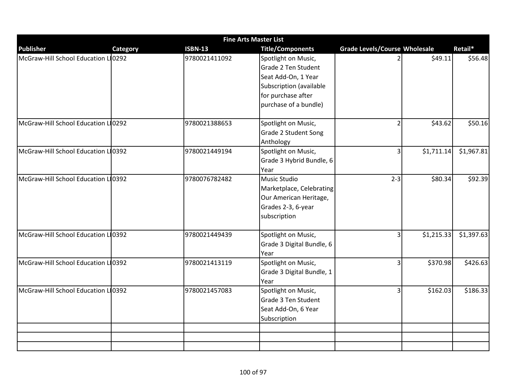|                                     |                 | <b>Fine Arts Master List</b> |                           |                                      |            |            |
|-------------------------------------|-----------------|------------------------------|---------------------------|--------------------------------------|------------|------------|
| <b>Publisher</b>                    | <b>Category</b> | <b>ISBN-13</b>               | <b>Title/Components</b>   | <b>Grade Levels/Course Wholesale</b> |            | Retail*    |
| McGraw-Hill School Education L10292 |                 | 9780021411092                | Spotlight on Music,       |                                      | \$49.11    | \$56.48    |
|                                     |                 |                              | Grade 2 Ten Student       |                                      |            |            |
|                                     |                 |                              | Seat Add-On, 1 Year       |                                      |            |            |
|                                     |                 |                              | Subscription (available   |                                      |            |            |
|                                     |                 |                              | for purchase after        |                                      |            |            |
|                                     |                 |                              | purchase of a bundle)     |                                      |            |            |
| McGraw-Hill School Education L10292 |                 | 9780021388653                | Spotlight on Music,       | $\overline{2}$                       | \$43.62    | \$50.16    |
|                                     |                 |                              | Grade 2 Student Song      |                                      |            |            |
|                                     |                 |                              | Anthology                 |                                      |            |            |
| McGraw-Hill School Education L10392 |                 | 9780021449194                | Spotlight on Music,       | $\overline{3}$                       | \$1,711.14 | \$1,967.81 |
|                                     |                 |                              | Grade 3 Hybrid Bundle, 6  |                                      |            |            |
|                                     |                 |                              | Year                      |                                      |            |            |
| McGraw-Hill School Education L10392 |                 | 9780076782482                | Music Studio              | $2 - 3$                              | \$80.34    | \$92.39    |
|                                     |                 |                              | Marketplace, Celebrating  |                                      |            |            |
|                                     |                 |                              | Our American Heritage,    |                                      |            |            |
|                                     |                 |                              | Grades 2-3, 6-year        |                                      |            |            |
|                                     |                 |                              | subscription              |                                      |            |            |
| McGraw-Hill School Education L10392 |                 | 9780021449439                | Spotlight on Music,       | $\overline{3}$                       | \$1,215.33 | \$1,397.63 |
|                                     |                 |                              | Grade 3 Digital Bundle, 6 |                                      |            |            |
|                                     |                 |                              | Year                      |                                      |            |            |
| McGraw-Hill School Education L10392 |                 | 9780021413119                | Spotlight on Music,       | $\overline{3}$                       | \$370.98   | \$426.63   |
|                                     |                 |                              | Grade 3 Digital Bundle, 1 |                                      |            |            |
|                                     |                 |                              | Year                      |                                      |            |            |
| McGraw-Hill School Education L10392 |                 | 9780021457083                | Spotlight on Music,       | $\overline{3}$                       | \$162.03   | \$186.33   |
|                                     |                 |                              | Grade 3 Ten Student       |                                      |            |            |
|                                     |                 |                              | Seat Add-On, 6 Year       |                                      |            |            |
|                                     |                 |                              | Subscription              |                                      |            |            |
|                                     |                 |                              |                           |                                      |            |            |
|                                     |                 |                              |                           |                                      |            |            |
|                                     |                 |                              |                           |                                      |            |            |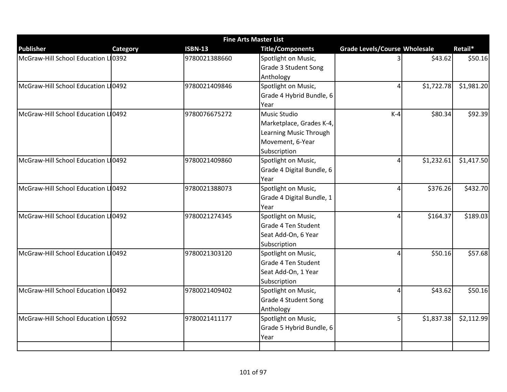| <b>Fine Arts Master List</b>        |          |                |                           |                                      |            |            |  |  |
|-------------------------------------|----------|----------------|---------------------------|--------------------------------------|------------|------------|--|--|
| <b>Publisher</b>                    | Category | <b>ISBN-13</b> | <b>Title/Components</b>   | <b>Grade Levels/Course Wholesale</b> |            | Retail*    |  |  |
| McGraw-Hill School Education LI0392 |          | 9780021388660  | Spotlight on Music,       |                                      | \$43.62    | \$50.16    |  |  |
|                                     |          |                | Grade 3 Student Song      |                                      |            |            |  |  |
|                                     |          |                | Anthology                 |                                      |            |            |  |  |
| McGraw-Hill School Education LI0492 |          | 9780021409846  | Spotlight on Music,       | 4                                    | \$1,722.78 | \$1,981.20 |  |  |
|                                     |          |                | Grade 4 Hybrid Bundle, 6  |                                      |            |            |  |  |
|                                     |          |                | Year                      |                                      |            |            |  |  |
| McGraw-Hill School Education L10492 |          | 9780076675272  | <b>Music Studio</b>       | $K-4$                                | \$80.34    | \$92.39    |  |  |
|                                     |          |                | Marketplace, Grades K-4,  |                                      |            |            |  |  |
|                                     |          |                | Learning Music Through    |                                      |            |            |  |  |
|                                     |          |                | Movement, 6-Year          |                                      |            |            |  |  |
|                                     |          |                | Subscription              |                                      |            |            |  |  |
| McGraw-Hill School Education L10492 |          | 9780021409860  | Spotlight on Music,       | $\Delta$                             | \$1,232.61 | \$1,417.50 |  |  |
|                                     |          |                | Grade 4 Digital Bundle, 6 |                                      |            |            |  |  |
|                                     |          |                | Year                      |                                      |            |            |  |  |
| McGraw-Hill School Education L10492 |          | 9780021388073  | Spotlight on Music,       | 4                                    | \$376.26   | \$432.70   |  |  |
|                                     |          |                | Grade 4 Digital Bundle, 1 |                                      |            |            |  |  |
|                                     |          |                | Year                      |                                      |            |            |  |  |
| McGraw-Hill School Education L10492 |          | 9780021274345  | Spotlight on Music,       | 4                                    | \$164.37   | \$189.03   |  |  |
|                                     |          |                | Grade 4 Ten Student       |                                      |            |            |  |  |
|                                     |          |                | Seat Add-On, 6 Year       |                                      |            |            |  |  |
|                                     |          |                | Subscription              |                                      |            |            |  |  |
| McGraw-Hill School Education L10492 |          | 9780021303120  | Spotlight on Music,       | 4                                    | \$50.16    | \$57.68    |  |  |
|                                     |          |                | Grade 4 Ten Student       |                                      |            |            |  |  |
|                                     |          |                | Seat Add-On, 1 Year       |                                      |            |            |  |  |
|                                     |          |                | Subscription              |                                      |            |            |  |  |
| McGraw-Hill School Education Ll0492 |          | 9780021409402  | Spotlight on Music,       | 4                                    | \$43.62    | \$50.16    |  |  |
|                                     |          |                | Grade 4 Student Song      |                                      |            |            |  |  |
|                                     |          |                | Anthology                 |                                      |            |            |  |  |
| McGraw-Hill School Education LI0592 |          | 9780021411177  | Spotlight on Music,       | 5 <sup>1</sup>                       | \$1,837.38 | \$2,112.99 |  |  |
|                                     |          |                | Grade 5 Hybrid Bundle, 6  |                                      |            |            |  |  |
|                                     |          |                | Year                      |                                      |            |            |  |  |
|                                     |          |                |                           |                                      |            |            |  |  |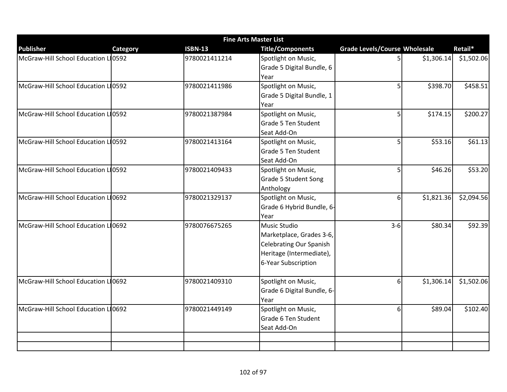| <b>Fine Arts Master List</b>        |          |                |                                |                                      |            |            |  |  |
|-------------------------------------|----------|----------------|--------------------------------|--------------------------------------|------------|------------|--|--|
| <b>Publisher</b>                    | Category | <b>ISBN-13</b> | <b>Title/Components</b>        | <b>Grade Levels/Course Wholesale</b> |            | Retail*    |  |  |
| McGraw-Hill School Education LI0592 |          | 9780021411214  | Spotlight on Music,            | 5 <sub>l</sub>                       | \$1,306.14 | \$1,502.06 |  |  |
|                                     |          |                | Grade 5 Digital Bundle, 6      |                                      |            |            |  |  |
|                                     |          |                | Year                           |                                      |            |            |  |  |
| McGraw-Hill School Education L10592 |          | 9780021411986  | Spotlight on Music,            | 5 <sup>1</sup>                       | \$398.70   | \$458.51   |  |  |
|                                     |          |                | Grade 5 Digital Bundle, 1      |                                      |            |            |  |  |
|                                     |          |                | Year                           |                                      |            |            |  |  |
| McGraw-Hill School Education Ll0592 |          | 9780021387984  | Spotlight on Music,            | 5 <sup>1</sup>                       | \$174.15   | \$200.27   |  |  |
|                                     |          |                | Grade 5 Ten Student            |                                      |            |            |  |  |
|                                     |          |                | Seat Add-On                    |                                      |            |            |  |  |
| McGraw-Hill School Education L10592 |          | 9780021413164  | Spotlight on Music,            | 5 <sup>1</sup>                       | \$53.16    | \$61.13    |  |  |
|                                     |          |                | Grade 5 Ten Student            |                                      |            |            |  |  |
|                                     |          |                | Seat Add-On                    |                                      |            |            |  |  |
| McGraw-Hill School Education L10592 |          | 9780021409433  | Spotlight on Music,            | 5 <sup>1</sup>                       | \$46.26    | \$53.20    |  |  |
|                                     |          |                | Grade 5 Student Song           |                                      |            |            |  |  |
|                                     |          |                | Anthology                      |                                      |            |            |  |  |
| McGraw-Hill School Education L10692 |          | 9780021329137  | Spotlight on Music,            | $6 \mid$                             | \$1,821.36 | \$2,094.56 |  |  |
|                                     |          |                | Grade 6 Hybrid Bundle, 6-      |                                      |            |            |  |  |
|                                     |          |                | Year                           |                                      |            |            |  |  |
| McGraw-Hill School Education LI0692 |          | 9780076675265  | <b>Music Studio</b>            | $3-6$                                | \$80.34    | \$92.39    |  |  |
|                                     |          |                | Marketplace, Grades 3-6,       |                                      |            |            |  |  |
|                                     |          |                | <b>Celebrating Our Spanish</b> |                                      |            |            |  |  |
|                                     |          |                | Heritage (Intermediate),       |                                      |            |            |  |  |
|                                     |          |                | 6-Year Subscription            |                                      |            |            |  |  |
|                                     |          |                |                                |                                      |            |            |  |  |
| McGraw-Hill School Education L10692 |          | 9780021409310  | Spotlight on Music,            | $6 \mid$                             | \$1,306.14 | \$1,502.06 |  |  |
|                                     |          |                | Grade 6 Digital Bundle, 6-     |                                      |            |            |  |  |
|                                     |          |                | Year                           |                                      |            |            |  |  |
| McGraw-Hill School Education L10692 |          | 9780021449149  | Spotlight on Music,            | $6 \mid$                             | \$89.04    | \$102.40   |  |  |
|                                     |          |                | Grade 6 Ten Student            |                                      |            |            |  |  |
|                                     |          |                | Seat Add-On                    |                                      |            |            |  |  |
|                                     |          |                |                                |                                      |            |            |  |  |
|                                     |          |                |                                |                                      |            |            |  |  |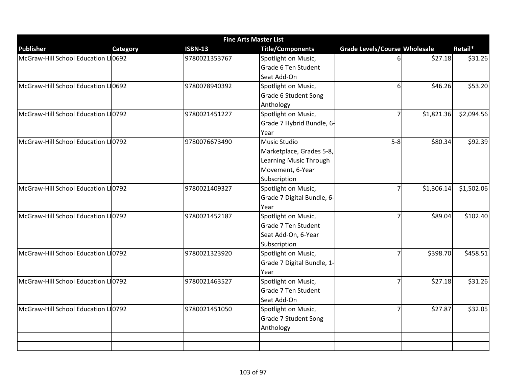| <b>Fine Arts Master List</b>        |                 |                |                            |                                      |            |            |  |  |
|-------------------------------------|-----------------|----------------|----------------------------|--------------------------------------|------------|------------|--|--|
| <b>Publisher</b>                    | <b>Category</b> | <b>ISBN-13</b> | <b>Title/Components</b>    | <b>Grade Levels/Course Wholesale</b> |            | Retail*    |  |  |
| McGraw-Hill School Education L10692 |                 | 9780021353767  | Spotlight on Music,        | 6                                    | \$27.18    | \$31.26    |  |  |
|                                     |                 |                | Grade 6 Ten Student        |                                      |            |            |  |  |
|                                     |                 |                | Seat Add-On                |                                      |            |            |  |  |
| McGraw-Hill School Education L10692 |                 | 9780078940392  | Spotlight on Music,        | 61                                   | \$46.26    | \$53.20    |  |  |
|                                     |                 |                | Grade 6 Student Song       |                                      |            |            |  |  |
|                                     |                 |                | Anthology                  |                                      |            |            |  |  |
| McGraw-Hill School Education LO792  |                 | 9780021451227  | Spotlight on Music,        | $\overline{7}$                       | \$1,821.36 | \$2,094.56 |  |  |
|                                     |                 |                | Grade 7 Hybrid Bundle, 6-  |                                      |            |            |  |  |
|                                     |                 |                | Year                       |                                      |            |            |  |  |
| McGraw-Hill School Education LO792  |                 | 9780076673490  | <b>Music Studio</b>        | $5-8$                                | \$80.34    | \$92.39    |  |  |
|                                     |                 |                | Marketplace, Grades 5-8,   |                                      |            |            |  |  |
|                                     |                 |                | Learning Music Through     |                                      |            |            |  |  |
|                                     |                 |                | Movement, 6-Year           |                                      |            |            |  |  |
|                                     |                 |                | Subscription               |                                      |            |            |  |  |
| McGraw-Hill School Education LO792  |                 | 9780021409327  | Spotlight on Music,        | 7                                    | \$1,306.14 | \$1,502.06 |  |  |
|                                     |                 |                | Grade 7 Digital Bundle, 6- |                                      |            |            |  |  |
|                                     |                 |                | Year                       |                                      |            |            |  |  |
| McGraw-Hill School Education L10792 |                 | 9780021452187  | Spotlight on Music,        | $\overline{7}$                       | \$89.04    | \$102.40   |  |  |
|                                     |                 |                | Grade 7 Ten Student        |                                      |            |            |  |  |
|                                     |                 |                | Seat Add-On, 6-Year        |                                      |            |            |  |  |
|                                     |                 |                | Subscription               |                                      |            |            |  |  |
| McGraw-Hill School Education LO792  |                 | 9780021323920  | Spotlight on Music,        | $\overline{7}$                       | \$398.70   | \$458.51   |  |  |
|                                     |                 |                | Grade 7 Digital Bundle, 1- |                                      |            |            |  |  |
|                                     |                 |                | Year                       |                                      |            |            |  |  |
| McGraw-Hill School Education LO792  |                 | 9780021463527  | Spotlight on Music,        | 7                                    | \$27.18    | \$31.26    |  |  |
|                                     |                 |                | Grade 7 Ten Student        |                                      |            |            |  |  |
|                                     |                 |                | Seat Add-On                |                                      |            |            |  |  |
| McGraw-Hill School Education L10792 |                 | 9780021451050  | Spotlight on Music,        | $\overline{7}$                       | \$27.87    | \$32.05    |  |  |
|                                     |                 |                | Grade 7 Student Song       |                                      |            |            |  |  |
|                                     |                 |                | Anthology                  |                                      |            |            |  |  |
|                                     |                 |                |                            |                                      |            |            |  |  |
|                                     |                 |                |                            |                                      |            |            |  |  |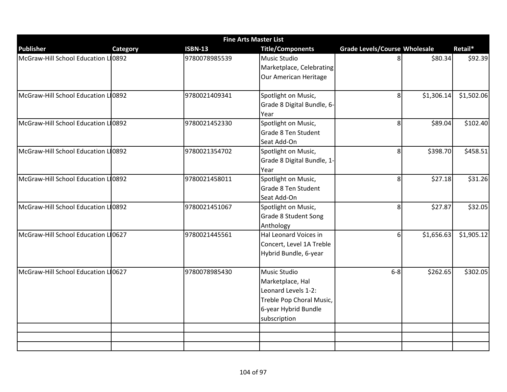|                                     | <b>Fine Arts Master List</b> |                |                             |                                      |            |            |  |  |  |
|-------------------------------------|------------------------------|----------------|-----------------------------|--------------------------------------|------------|------------|--|--|--|
| <b>Publisher</b>                    | Category                     | <b>ISBN-13</b> | <b>Title/Components</b>     | <b>Grade Levels/Course Wholesale</b> |            | Retail*    |  |  |  |
| McGraw-Hill School Education LI0892 |                              | 9780078985539  | Music Studio                | 8                                    | \$80.34    | \$92.39    |  |  |  |
|                                     |                              |                | Marketplace, Celebrating    |                                      |            |            |  |  |  |
|                                     |                              |                | Our American Heritage       |                                      |            |            |  |  |  |
|                                     |                              |                |                             |                                      |            |            |  |  |  |
| McGraw-Hill School Education L10892 |                              | 9780021409341  | Spotlight on Music,         | 8 <sup>1</sup>                       | \$1,306.14 | \$1,502.06 |  |  |  |
|                                     |                              |                | Grade 8 Digital Bundle, 6-  |                                      |            |            |  |  |  |
|                                     |                              |                | Year                        |                                      |            |            |  |  |  |
| McGraw-Hill School Education L10892 |                              | 9780021452330  | Spotlight on Music,         | 8 <sup>1</sup>                       | \$89.04    | \$102.40   |  |  |  |
|                                     |                              |                | Grade 8 Ten Student         |                                      |            |            |  |  |  |
|                                     |                              |                | Seat Add-On                 |                                      |            |            |  |  |  |
| McGraw-Hill School Education LO892  |                              | 9780021354702  | Spotlight on Music,         | 8 <sup>1</sup>                       | \$398.70   | \$458.51   |  |  |  |
|                                     |                              |                | Grade 8 Digital Bundle, 1-  |                                      |            |            |  |  |  |
|                                     |                              |                | Year                        |                                      |            |            |  |  |  |
| McGraw-Hill School Education Ll0892 |                              | 9780021458011  | Spotlight on Music,         | 8 <sup>1</sup>                       | \$27.18    | \$31.26    |  |  |  |
|                                     |                              |                | Grade 8 Ten Student         |                                      |            |            |  |  |  |
|                                     |                              |                | Seat Add-On                 |                                      |            |            |  |  |  |
| McGraw-Hill School Education L10892 |                              | 9780021451067  | Spotlight on Music,         | 8 <sup>1</sup>                       | \$27.87    | \$32.05    |  |  |  |
|                                     |                              |                | <b>Grade 8 Student Song</b> |                                      |            |            |  |  |  |
|                                     |                              |                | Anthology                   |                                      |            |            |  |  |  |
| McGraw-Hill School Education L10627 |                              | 9780021445561  | Hal Leonard Voices in       | 6 <sup>1</sup>                       | \$1,656.63 | \$1,905.12 |  |  |  |
|                                     |                              |                | Concert, Level 1A Treble    |                                      |            |            |  |  |  |
|                                     |                              |                | Hybrid Bundle, 6-year       |                                      |            |            |  |  |  |
|                                     |                              |                |                             |                                      |            |            |  |  |  |
| McGraw-Hill School Education L10627 |                              | 9780078985430  | Music Studio                | $6-8$                                | \$262.65   | \$302.05   |  |  |  |
|                                     |                              |                | Marketplace, Hal            |                                      |            |            |  |  |  |
|                                     |                              |                | Leonard Levels 1-2:         |                                      |            |            |  |  |  |
|                                     |                              |                | Treble Pop Choral Music,    |                                      |            |            |  |  |  |
|                                     |                              |                | 6-year Hybrid Bundle        |                                      |            |            |  |  |  |
|                                     |                              |                | subscription                |                                      |            |            |  |  |  |
|                                     |                              |                |                             |                                      |            |            |  |  |  |
|                                     |                              |                |                             |                                      |            |            |  |  |  |
|                                     |                              |                |                             |                                      |            |            |  |  |  |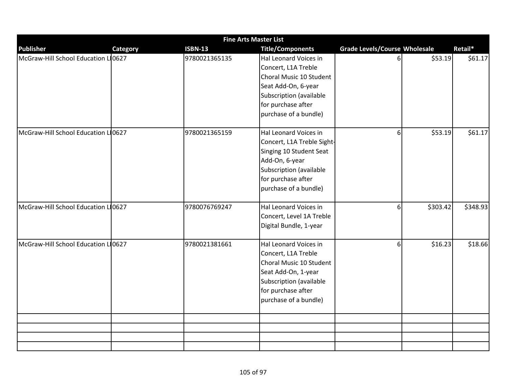|                                     |                 | <b>Fine Arts Master List</b> |                            |                                      |          |          |
|-------------------------------------|-----------------|------------------------------|----------------------------|--------------------------------------|----------|----------|
| <b>Publisher</b>                    | <b>Category</b> | <b>ISBN-13</b>               | <b>Title/Components</b>    | <b>Grade Levels/Course Wholesale</b> |          | Retail*  |
| McGraw-Hill School Education LI0627 |                 | 9780021365135                | Hal Leonard Voices in      | 61                                   | \$53.19  | \$61.17  |
|                                     |                 |                              | Concert, L1A Treble        |                                      |          |          |
|                                     |                 |                              | Choral Music 10 Student    |                                      |          |          |
|                                     |                 |                              | Seat Add-On, 6-year        |                                      |          |          |
|                                     |                 |                              | Subscription (available    |                                      |          |          |
|                                     |                 |                              | for purchase after         |                                      |          |          |
|                                     |                 |                              | purchase of a bundle)      |                                      |          |          |
| McGraw-Hill School Education LI0627 |                 | 9780021365159                | Hal Leonard Voices in      | 6 <sup>1</sup>                       | \$53.19  | \$61.17  |
|                                     |                 |                              | Concert, L1A Treble Sight- |                                      |          |          |
|                                     |                 |                              | Singing 10 Student Seat    |                                      |          |          |
|                                     |                 |                              | Add-On, 6-year             |                                      |          |          |
|                                     |                 |                              | Subscription (available    |                                      |          |          |
|                                     |                 |                              | for purchase after         |                                      |          |          |
|                                     |                 |                              | purchase of a bundle)      |                                      |          |          |
| McGraw-Hill School Education L10627 |                 | 9780076769247                | Hal Leonard Voices in      | 6 <sup>1</sup>                       | \$303.42 | \$348.93 |
|                                     |                 |                              | Concert, Level 1A Treble   |                                      |          |          |
|                                     |                 |                              | Digital Bundle, 1-year     |                                      |          |          |
| McGraw-Hill School Education L10627 |                 | 9780021381661                | Hal Leonard Voices in      | 6 <sup>1</sup>                       | \$16.23  | \$18.66  |
|                                     |                 |                              | Concert, L1A Treble        |                                      |          |          |
|                                     |                 |                              | Choral Music 10 Student    |                                      |          |          |
|                                     |                 |                              | Seat Add-On, 1-year        |                                      |          |          |
|                                     |                 |                              | Subscription (available    |                                      |          |          |
|                                     |                 |                              | for purchase after         |                                      |          |          |
|                                     |                 |                              | purchase of a bundle)      |                                      |          |          |
|                                     |                 |                              |                            |                                      |          |          |
|                                     |                 |                              |                            |                                      |          |          |
|                                     |                 |                              |                            |                                      |          |          |
|                                     |                 |                              |                            |                                      |          |          |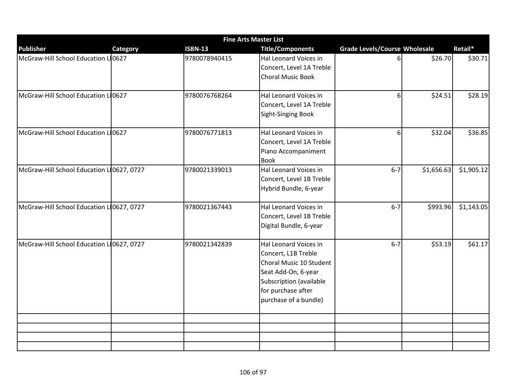|                                           |          | <b>Fine Arts Master List</b> |                                                                                                                                                                          |                                      |            |            |
|-------------------------------------------|----------|------------------------------|--------------------------------------------------------------------------------------------------------------------------------------------------------------------------|--------------------------------------|------------|------------|
| <b>Publisher</b>                          | Category | <b>ISBN-13</b>               | <b>Title/Components</b>                                                                                                                                                  | <b>Grade Levels/Course Wholesale</b> |            | Retail*    |
| McGraw-Hill School Education LI0627       |          | 9780078940415                | Hal Leonard Voices in<br>Concert, Level 1A Treble<br>Choral Music Book                                                                                                   | 6                                    | \$26.70    | \$30.71    |
| McGraw-Hill School Education LO627        |          | 9780076768264                | Hal Leonard Voices in<br>Concert, Level 1A Treble<br>Sight-Singing Book                                                                                                  | $6 \mid$                             | \$24.51    | \$28.19    |
| McGraw-Hill School Education LI0627       |          | 9780076771813                | Hal Leonard Voices in<br>Concert, Level 1A Treble<br>Piano Accompaniment<br><b>Book</b>                                                                                  | 6 <sup>1</sup>                       | \$32.04    | \$36.85    |
| McGraw-Hill School Education L10627, 0727 |          | 9780021339013                | Hal Leonard Voices in<br>Concert, Level 1B Treble<br>Hybrid Bundle, 6-year                                                                                               | $6 - 7$                              | \$1,656.63 | \$1,905.12 |
| McGraw-Hill School Education L10627, 0727 |          | 9780021367443                | Hal Leonard Voices in<br>Concert, Level 1B Treble<br>Digital Bundle, 6-year                                                                                              | $6 - 7$                              | \$993.96   | \$1,143.05 |
| McGraw-Hill School Education L10627, 0727 |          | 9780021342839                | Hal Leonard Voices in<br>Concert, L1B Treble<br>Choral Music 10 Student<br>Seat Add-On, 6-year<br>Subscription (available<br>for purchase after<br>purchase of a bundle) | $6 - 7$                              | \$53.19    | \$61.17    |
|                                           |          |                              |                                                                                                                                                                          |                                      |            |            |
|                                           |          |                              |                                                                                                                                                                          |                                      |            |            |
|                                           |          |                              |                                                                                                                                                                          |                                      |            |            |
|                                           |          |                              |                                                                                                                                                                          |                                      |            |            |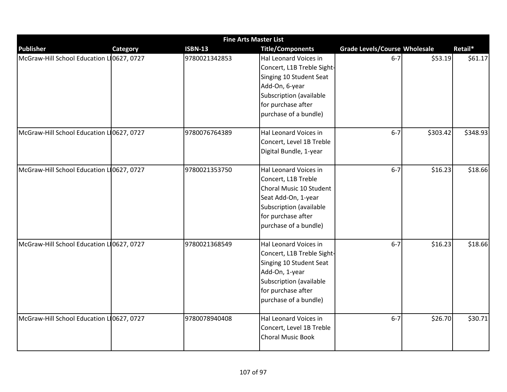|                                           |                 |                | <b>Fine Arts Master List</b>                                                                                                                                               |                                      |          |          |
|-------------------------------------------|-----------------|----------------|----------------------------------------------------------------------------------------------------------------------------------------------------------------------------|--------------------------------------|----------|----------|
| <b>Publisher</b>                          | <b>Category</b> | <b>ISBN-13</b> | <b>Title/Components</b>                                                                                                                                                    | <b>Grade Levels/Course Wholesale</b> |          | Retail*  |
| McGraw-Hill School Education L 0627, 0727 |                 | 9780021342853  | Hal Leonard Voices in<br>Concert, L1B Treble Sight-<br>Singing 10 Student Seat<br>Add-On, 6-year<br>Subscription (available<br>for purchase after<br>purchase of a bundle) | $6 - 7$                              | \$53.19  | \$61.17  |
| McGraw-Hill School Education L 0627, 0727 |                 | 9780076764389  | Hal Leonard Voices in<br>Concert, Level 1B Treble<br>Digital Bundle, 1-year                                                                                                | $6 - 7$                              | \$303.42 | \$348.93 |
| McGraw-Hill School Education L10627, 0727 |                 | 9780021353750  | Hal Leonard Voices in<br>Concert, L1B Treble<br>Choral Music 10 Student<br>Seat Add-On, 1-year<br>Subscription (available<br>for purchase after<br>purchase of a bundle)   | $6 - 7$                              | \$16.23  | \$18.66  |
| McGraw-Hill School Education L 0627, 0727 |                 | 9780021368549  | Hal Leonard Voices in<br>Concert, L1B Treble Sight-<br>Singing 10 Student Seat<br>Add-On, 1-year<br>Subscription (available<br>for purchase after<br>purchase of a bundle) | $6 - 7$                              | \$16.23  | \$18.66  |
| McGraw-Hill School Education L 0627, 0727 |                 | 9780078940408  | Hal Leonard Voices in<br>Concert, Level 1B Treble<br><b>Choral Music Book</b>                                                                                              | $6 - 7$                              | \$26.70  | \$30.71  |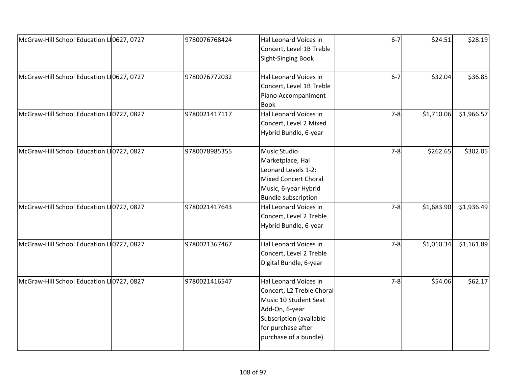| McGraw-Hill School Education L10627, 0727 | 9780076768424 | Hal Leonard Voices in<br>Concert, Level 1B Treble<br>Sight-Singing Book                                                                                                 | $6 - 7$ | \$24.51    | \$28.19    |
|-------------------------------------------|---------------|-------------------------------------------------------------------------------------------------------------------------------------------------------------------------|---------|------------|------------|
| McGraw-Hill School Education L10627, 0727 | 9780076772032 | Hal Leonard Voices in<br>Concert, Level 1B Treble<br>Piano Accompaniment<br><b>Book</b>                                                                                 | $6 - 7$ | \$32.04    | \$36.85    |
| McGraw-Hill School Education L 0727, 0827 | 9780021417117 | Hal Leonard Voices in<br>Concert, Level 2 Mixed<br>Hybrid Bundle, 6-year                                                                                                | $7 - 8$ | \$1,710.06 | \$1,966.57 |
| McGraw-Hill School Education L 0727, 0827 | 9780078985355 | Music Studio<br>Marketplace, Hal<br>Leonard Levels 1-2:<br><b>Mixed Concert Choral</b><br>Music, 6-year Hybrid<br><b>Bundle subscription</b>                            | $7 - 8$ | \$262.65   | \$302.05   |
| McGraw-Hill School Education L10727, 0827 | 9780021417643 | Hal Leonard Voices in<br>Concert, Level 2 Treble<br>Hybrid Bundle, 6-year                                                                                               | $7 - 8$ | \$1,683.90 | \$1,936.49 |
| McGraw-Hill School Education L 0727, 0827 | 9780021367467 | Hal Leonard Voices in<br>Concert, Level 2 Treble<br>Digital Bundle, 6-year                                                                                              | $7-8$   | \$1,010.34 | \$1,161.89 |
| McGraw-Hill School Education L10727, 0827 | 9780021416547 | Hal Leonard Voices in<br>Concert, L2 Treble Choral<br>Music 10 Student Seat<br>Add-On, 6-year<br>Subscription (available<br>for purchase after<br>purchase of a bundle) | $7 - 8$ | \$54.06    | \$62.17    |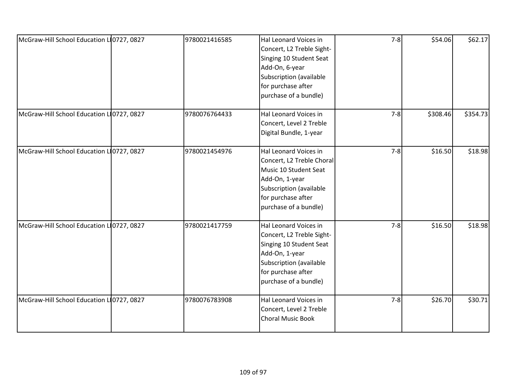| McGraw-Hill School Education L10727, 0827 | 9780021416585 | Hal Leonard Voices in<br>Concert, L2 Treble Sight-<br>Singing 10 Student Seat<br>Add-On, 6-year<br>Subscription (available<br>for purchase after<br>purchase of a bundle) | $7-8$   | \$54.06  | \$62.17  |
|-------------------------------------------|---------------|---------------------------------------------------------------------------------------------------------------------------------------------------------------------------|---------|----------|----------|
| McGraw-Hill School Education L10727, 0827 | 9780076764433 | Hal Leonard Voices in<br>Concert, Level 2 Treble<br>Digital Bundle, 1-year                                                                                                | $7-8$   | \$308.46 | \$354.73 |
| McGraw-Hill School Education L 0727, 0827 | 9780021454976 | Hal Leonard Voices in<br>Concert, L2 Treble Choral<br>Music 10 Student Seat<br>Add-On, 1-year<br>Subscription (available<br>for purchase after<br>purchase of a bundle)   | $7 - 8$ | \$16.50  | \$18.98  |
| McGraw-Hill School Education L10727, 0827 | 9780021417759 | Hal Leonard Voices in<br>Concert, L2 Treble Sight-<br>Singing 10 Student Seat<br>Add-On, 1-year<br>Subscription (available<br>for purchase after<br>purchase of a bundle) | $7-8$   | \$16.50  | \$18.98  |
| McGraw-Hill School Education L 0727, 0827 | 9780076783908 | Hal Leonard Voices in<br>Concert, Level 2 Treble<br><b>Choral Music Book</b>                                                                                              | $7-8$   | \$26.70  | \$30.71  |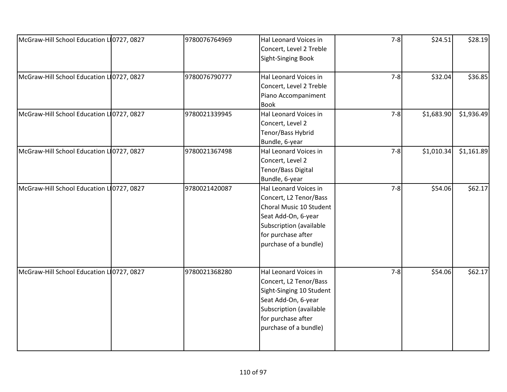| McGraw-Hill School Education L 0727, 0827 | 9780076764969 | Hal Leonard Voices in    | $7-8$ | \$24.51    | \$28.19    |
|-------------------------------------------|---------------|--------------------------|-------|------------|------------|
|                                           |               | Concert, Level 2 Treble  |       |            |            |
|                                           |               | Sight-Singing Book       |       |            |            |
|                                           |               |                          |       |            |            |
| McGraw-Hill School Education L 0727, 0827 | 9780076790777 | Hal Leonard Voices in    | $7-8$ | \$32.04    | \$36.85    |
|                                           |               | Concert, Level 2 Treble  |       |            |            |
|                                           |               | Piano Accompaniment      |       |            |            |
|                                           |               | <b>Book</b>              |       |            |            |
| McGraw-Hill School Education L 0727, 0827 | 9780021339945 | Hal Leonard Voices in    | $7-8$ | \$1,683.90 | \$1,936.49 |
|                                           |               | Concert, Level 2         |       |            |            |
|                                           |               | Tenor/Bass Hybrid        |       |            |            |
|                                           |               | Bundle, 6-year           |       |            |            |
| McGraw-Hill School Education L 0727, 0827 | 9780021367498 | Hal Leonard Voices in    | $7-8$ | \$1,010.34 | \$1,161.89 |
|                                           |               | Concert, Level 2         |       |            |            |
|                                           |               | Tenor/Bass Digital       |       |            |            |
|                                           |               | Bundle, 6-year           |       |            |            |
| McGraw-Hill School Education L 0727, 0827 | 9780021420087 | Hal Leonard Voices in    | $7-8$ | \$54.06    | \$62.17    |
|                                           |               | Concert, L2 Tenor/Bass   |       |            |            |
|                                           |               | Choral Music 10 Student  |       |            |            |
|                                           |               | Seat Add-On, 6-year      |       |            |            |
|                                           |               | Subscription (available  |       |            |            |
|                                           |               | for purchase after       |       |            |            |
|                                           |               |                          |       |            |            |
|                                           |               | purchase of a bundle)    |       |            |            |
|                                           |               |                          |       |            |            |
| McGraw-Hill School Education L 0727, 0827 | 9780021368280 | Hal Leonard Voices in    | $7-8$ | \$54.06    | \$62.17    |
|                                           |               | Concert, L2 Tenor/Bass   |       |            |            |
|                                           |               | Sight-Singing 10 Student |       |            |            |
|                                           |               | Seat Add-On, 6-year      |       |            |            |
|                                           |               | Subscription (available  |       |            |            |
|                                           |               | for purchase after       |       |            |            |
|                                           |               |                          |       |            |            |
|                                           |               | purchase of a bundle)    |       |            |            |
|                                           |               |                          |       |            |            |
|                                           |               |                          |       |            |            |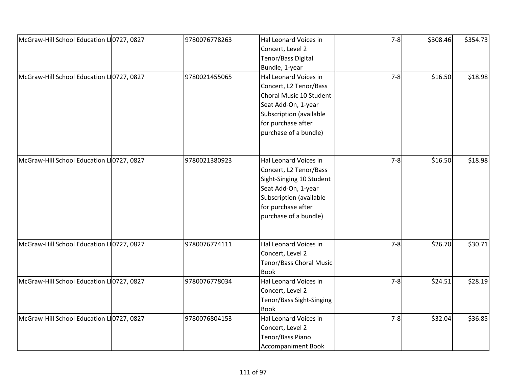| McGraw-Hill School Education L10727, 0827 | 9780076778263 | Hal Leonard Voices in     | $7-8$   | \$308.46 | \$354.73 |
|-------------------------------------------|---------------|---------------------------|---------|----------|----------|
|                                           |               |                           |         |          |          |
|                                           |               | Concert, Level 2          |         |          |          |
|                                           |               | Tenor/Bass Digital        |         |          |          |
|                                           |               | Bundle, 1-year            |         |          |          |
| McGraw-Hill School Education L10727, 0827 | 9780021455065 | Hal Leonard Voices in     | $7 - 8$ | \$16.50  | \$18.98  |
|                                           |               | Concert, L2 Tenor/Bass    |         |          |          |
|                                           |               | Choral Music 10 Student   |         |          |          |
|                                           |               | Seat Add-On, 1-year       |         |          |          |
|                                           |               | Subscription (available   |         |          |          |
|                                           |               | for purchase after        |         |          |          |
|                                           |               | purchase of a bundle)     |         |          |          |
|                                           |               |                           |         |          |          |
| McGraw-Hill School Education L10727, 0827 | 9780021380923 | Hal Leonard Voices in     | $7 - 8$ | \$16.50  | \$18.98  |
|                                           |               | Concert, L2 Tenor/Bass    |         |          |          |
|                                           |               | Sight-Singing 10 Student  |         |          |          |
|                                           |               | Seat Add-On, 1-year       |         |          |          |
|                                           |               | Subscription (available   |         |          |          |
|                                           |               | for purchase after        |         |          |          |
|                                           |               | purchase of a bundle)     |         |          |          |
|                                           |               |                           |         |          |          |
| McGraw-Hill School Education L10727, 0827 | 9780076774111 | Hal Leonard Voices in     | $7-8$   | \$26.70  | \$30.71  |
|                                           |               | Concert, Level 2          |         |          |          |
|                                           |               | Tenor/Bass Choral Music   |         |          |          |
|                                           |               | <b>Book</b>               |         |          |          |
| McGraw-Hill School Education L10727, 0827 | 9780076778034 | Hal Leonard Voices in     | $7 - 8$ | \$24.51  | \$28.19  |
|                                           |               | Concert, Level 2          |         |          |          |
|                                           |               | Tenor/Bass Sight-Singing  |         |          |          |
|                                           |               | <b>Book</b>               |         |          |          |
| McGraw-Hill School Education L10727, 0827 | 9780076804153 | Hal Leonard Voices in     | $7 - 8$ | \$32.04  | \$36.85  |
|                                           |               | Concert, Level 2          |         |          |          |
|                                           |               | Tenor/Bass Piano          |         |          |          |
|                                           |               | <b>Accompaniment Book</b> |         |          |          |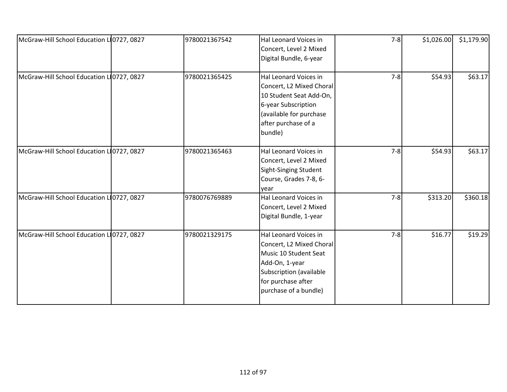| McGraw-Hill School Education L10727, 0827 | 9780021367542 | Hal Leonard Voices in<br>Concert, Level 2 Mixed<br>Digital Bundle, 6-year                                                                                              | $7 - 8$ | \$1,026.00 | \$1,179.90 |
|-------------------------------------------|---------------|------------------------------------------------------------------------------------------------------------------------------------------------------------------------|---------|------------|------------|
| McGraw-Hill School Education L10727, 0827 | 9780021365425 | Hal Leonard Voices in<br>Concert, L2 Mixed Choral<br>10 Student Seat Add-On,<br>6-year Subscription<br>(available for purchase<br>after purchase of a<br>bundle)       | $7-8$   | \$54.93    | \$63.17    |
| McGraw-Hill School Education L10727, 0827 | 9780021365463 | Hal Leonard Voices in<br>Concert, Level 2 Mixed<br>Sight-Singing Student<br>Course, Grades 7-8, 6-<br>year                                                             | $7-8$   | \$54.93    | \$63.17    |
| McGraw-Hill School Education L10727, 0827 | 9780076769889 | Hal Leonard Voices in<br>Concert, Level 2 Mixed<br>Digital Bundle, 1-year                                                                                              | $7-8$   | \$313.20   | \$360.18   |
| McGraw-Hill School Education LO727, 0827  | 9780021329175 | Hal Leonard Voices in<br>Concert, L2 Mixed Choral<br>Music 10 Student Seat<br>Add-On, 1-year<br>Subscription (available<br>for purchase after<br>purchase of a bundle) | $7 - 8$ | \$16.77    | \$19.29    |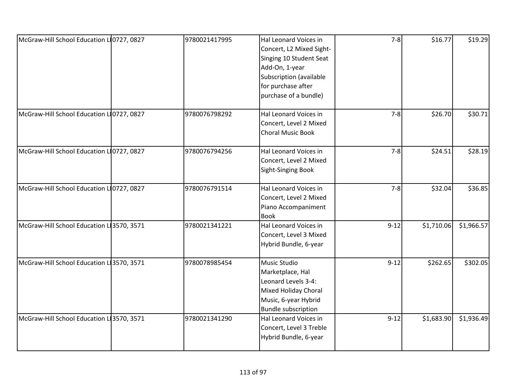| McGraw-Hill School Education L 0727, 0827 | 9780021417995 | Hal Leonard Voices in<br>Concert, L2 Mixed Sight-<br>Singing 10 Student Seat<br>Add-On, 1-year<br>Subscription (available<br>for purchase after | $7 - 8$  | \$16.77    | \$19.29    |
|-------------------------------------------|---------------|-------------------------------------------------------------------------------------------------------------------------------------------------|----------|------------|------------|
|                                           |               | purchase of a bundle)                                                                                                                           |          |            |            |
| McGraw-Hill School Education L10727, 0827 | 9780076798292 | Hal Leonard Voices in<br>Concert, Level 2 Mixed<br><b>Choral Music Book</b>                                                                     | $7 - 8$  | \$26.70    | \$30.71    |
| McGraw-Hill School Education L10727, 0827 | 9780076794256 | Hal Leonard Voices in<br>Concert, Level 2 Mixed<br>Sight-Singing Book                                                                           | $7-8$    | \$24.51    | \$28.19    |
| McGraw-Hill School Education L10727, 0827 | 9780076791514 | Hal Leonard Voices in<br>Concert, Level 2 Mixed<br>Piano Accompaniment<br><b>Book</b>                                                           | $7 - 8$  | \$32.04    | \$36.85    |
| McGraw-Hill School Education L 3570, 3571 | 9780021341221 | Hal Leonard Voices in<br>Concert, Level 3 Mixed<br>Hybrid Bundle, 6-year                                                                        | $9 - 12$ | \$1,710.06 | \$1,966.57 |
| McGraw-Hill School Education L 3570, 3571 | 9780078985454 | Music Studio<br>Marketplace, Hal<br>Leonard Levels 3-4:<br><b>Mixed Holiday Choral</b><br>Music, 6-year Hybrid<br><b>Bundle subscription</b>    | $9 - 12$ | \$262.65   | \$302.05   |
| McGraw-Hill School Education L 3570, 3571 | 9780021341290 | Hal Leonard Voices in<br>Concert, Level 3 Treble<br>Hybrid Bundle, 6-year                                                                       | $9 - 12$ | \$1,683.90 | \$1,936.49 |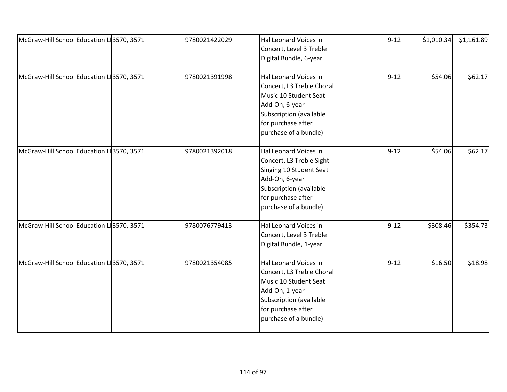| McGraw-Hill School Education L 3570, 3571 | 9780021422029 | Hal Leonard Voices in<br>Concert, Level 3 Treble<br>Digital Bundle, 6-year                                                                                                | $9 - 12$ | \$1,010.34 | \$1,161.89 |
|-------------------------------------------|---------------|---------------------------------------------------------------------------------------------------------------------------------------------------------------------------|----------|------------|------------|
| McGraw-Hill School Education L 3570, 3571 | 9780021391998 | Hal Leonard Voices in<br>Concert, L3 Treble Choral<br>Music 10 Student Seat<br>Add-On, 6-year<br>Subscription (available<br>for purchase after<br>purchase of a bundle)   | $9 - 12$ | \$54.06    | \$62.17    |
| McGraw-Hill School Education LI3570, 3571 | 9780021392018 | Hal Leonard Voices in<br>Concert, L3 Treble Sight-<br>Singing 10 Student Seat<br>Add-On, 6-year<br>Subscription (available<br>for purchase after<br>purchase of a bundle) | $9 - 12$ | \$54.06    | \$62.17    |
| McGraw-Hill School Education L 3570, 3571 | 9780076779413 | Hal Leonard Voices in<br>Concert, Level 3 Treble<br>Digital Bundle, 1-year                                                                                                | $9 - 12$ | \$308.46   | \$354.73   |
| McGraw-Hill School Education L 3570, 3571 | 9780021354085 | Hal Leonard Voices in<br>Concert, L3 Treble Choral<br>Music 10 Student Seat<br>Add-On, 1-year<br>Subscription (available<br>for purchase after<br>purchase of a bundle)   | $9 - 12$ | \$16.50    | \$18.98    |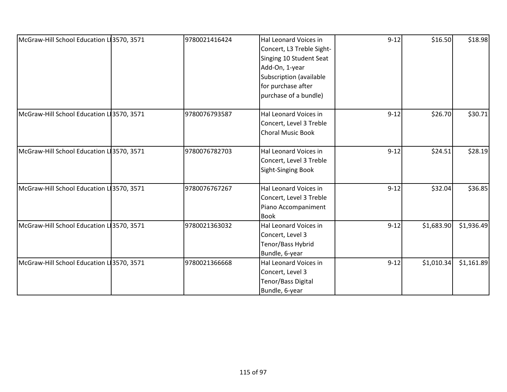| McGraw-Hill School Education LI3570, 3571 | 9780021416424 | Hal Leonard Voices in     | $9 - 12$ | \$16.50    | \$18.98    |
|-------------------------------------------|---------------|---------------------------|----------|------------|------------|
|                                           |               | Concert, L3 Treble Sight- |          |            |            |
|                                           |               | Singing 10 Student Seat   |          |            |            |
|                                           |               | Add-On, 1-year            |          |            |            |
|                                           |               | Subscription (available   |          |            |            |
|                                           |               | for purchase after        |          |            |            |
|                                           |               | purchase of a bundle)     |          |            |            |
| McGraw-Hill School Education L 3570, 3571 | 9780076793587 | Hal Leonard Voices in     | $9 - 12$ | \$26.70    | \$30.71    |
|                                           |               | Concert, Level 3 Treble   |          |            |            |
|                                           |               | <b>Choral Music Book</b>  |          |            |            |
| McGraw-Hill School Education L 3570, 3571 | 9780076782703 | Hal Leonard Voices in     | $9 - 12$ | \$24.51    | \$28.19    |
|                                           |               | Concert, Level 3 Treble   |          |            |            |
|                                           |               | <b>Sight-Singing Book</b> |          |            |            |
| McGraw-Hill School Education L 3570, 3571 | 9780076767267 | Hal Leonard Voices in     | $9 - 12$ | \$32.04    | \$36.85    |
|                                           |               | Concert, Level 3 Treble   |          |            |            |
|                                           |               | Piano Accompaniment       |          |            |            |
|                                           |               | <b>Book</b>               |          |            |            |
| McGraw-Hill School Education LI3570, 3571 | 9780021363032 | Hal Leonard Voices in     | $9 - 12$ | \$1,683.90 | \$1,936.49 |
|                                           |               | Concert, Level 3          |          |            |            |
|                                           |               | Tenor/Bass Hybrid         |          |            |            |
|                                           |               | Bundle, 6-year            |          |            |            |
| McGraw-Hill School Education L 3570, 3571 | 9780021366668 | Hal Leonard Voices in     | $9 - 12$ | \$1,010.34 | \$1,161.89 |
|                                           |               | Concert, Level 3          |          |            |            |
|                                           |               | Tenor/Bass Digital        |          |            |            |
|                                           |               | Bundle, 6-year            |          |            |            |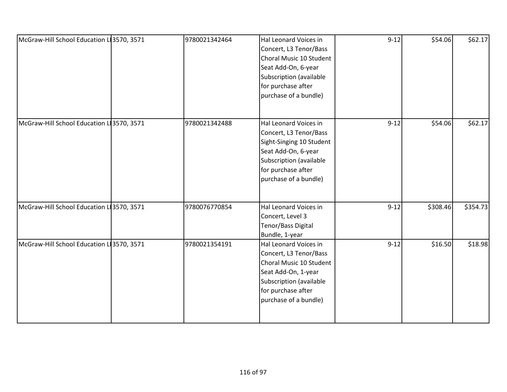| McGraw-Hill School Education L 3570, 3571 | 9780021342464 | Hal Leonard Voices in<br>Concert, L3 Tenor/Bass<br>Choral Music 10 Student<br>Seat Add-On, 6-year<br>Subscription (available<br>for purchase after                           | $9 - 12$ | \$54.06  | \$62.17  |
|-------------------------------------------|---------------|------------------------------------------------------------------------------------------------------------------------------------------------------------------------------|----------|----------|----------|
|                                           |               | purchase of a bundle)                                                                                                                                                        |          |          |          |
| McGraw-Hill School Education L 3570, 3571 | 9780021342488 | Hal Leonard Voices in<br>Concert, L3 Tenor/Bass<br>Sight-Singing 10 Student<br>Seat Add-On, 6-year<br>Subscription (available<br>for purchase after<br>purchase of a bundle) | $9 - 12$ | \$54.06  | \$62.17  |
| McGraw-Hill School Education L 3570, 3571 | 9780076770854 | Hal Leonard Voices in<br>Concert, Level 3<br>Tenor/Bass Digital<br>Bundle, 1-year                                                                                            | $9 - 12$ | \$308.46 | \$354.73 |
| McGraw-Hill School Education L 3570, 3571 | 9780021354191 | Hal Leonard Voices in<br>Concert, L3 Tenor/Bass<br>Choral Music 10 Student<br>Seat Add-On, 1-year<br>Subscription (available<br>for purchase after<br>purchase of a bundle)  | $9 - 12$ | \$16.50  | \$18.98  |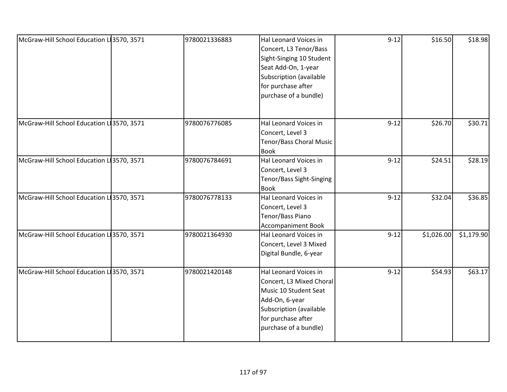| McGraw-Hill School Education L 3570, 3571 | 9780021336883 | Hal Leonard Voices in<br>Concert, L3 Tenor/Bass<br>Sight-Singing 10 Student<br>Seat Add-On, 1-year<br>Subscription (available<br>for purchase after<br>purchase of a bundle) | $9 - 12$ | \$16.50    | \$18.98    |
|-------------------------------------------|---------------|------------------------------------------------------------------------------------------------------------------------------------------------------------------------------|----------|------------|------------|
| McGraw-Hill School Education L 3570, 3571 | 9780076776085 | Hal Leonard Voices in<br>Concert, Level 3<br>Tenor/Bass Choral Music<br><b>Book</b>                                                                                          | $9 - 12$ | \$26.70    | \$30.71    |
| McGraw-Hill School Education L 3570, 3571 | 9780076784691 | Hal Leonard Voices in<br>Concert, Level 3<br>Tenor/Bass Sight-Singing<br><b>Book</b>                                                                                         | $9 - 12$ | \$24.51    | \$28.19    |
| McGraw-Hill School Education L 3570, 3571 | 9780076778133 | Hal Leonard Voices in<br>Concert, Level 3<br>Tenor/Bass Piano<br><b>Accompaniment Book</b>                                                                                   | $9 - 12$ | \$32.04    | \$36.85    |
| McGraw-Hill School Education L 3570, 3571 | 9780021364930 | Hal Leonard Voices in<br>Concert, Level 3 Mixed<br>Digital Bundle, 6-year                                                                                                    | $9 - 12$ | \$1,026.00 | \$1,179.90 |
| McGraw-Hill School Education L 3570, 3571 | 9780021420148 | Hal Leonard Voices in<br>Concert, L3 Mixed Choral<br>Music 10 Student Seat<br>Add-On, 6-year<br>Subscription (available<br>for purchase after<br>purchase of a bundle)       | $9 - 12$ | \$54.93    | \$63.17    |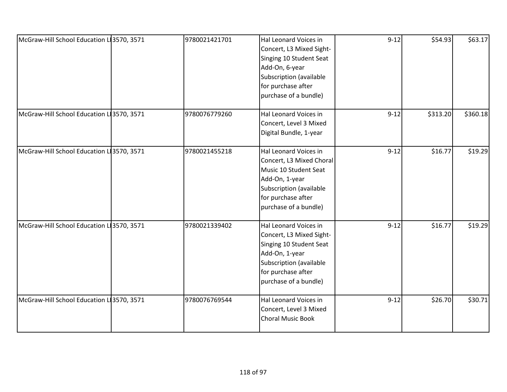| McGraw-Hill School Education L 3570, 3571 | 9780021421701 | Hal Leonard Voices in<br>Concert, L3 Mixed Sight-<br>Singing 10 Student Seat<br>Add-On, 6-year<br>Subscription (available<br>for purchase after<br>purchase of a bundle) | $9 - 12$ | \$54.93  | \$63.17  |
|-------------------------------------------|---------------|--------------------------------------------------------------------------------------------------------------------------------------------------------------------------|----------|----------|----------|
| McGraw-Hill School Education LI3570, 3571 | 9780076779260 | Hal Leonard Voices in<br>Concert, Level 3 Mixed<br>Digital Bundle, 1-year                                                                                                | $9 - 12$ | \$313.20 | \$360.18 |
| McGraw-Hill School Education L 3570, 3571 | 9780021455218 | Hal Leonard Voices in<br>Concert, L3 Mixed Choral<br>Music 10 Student Seat<br>Add-On, 1-year<br>Subscription (available<br>for purchase after<br>purchase of a bundle)   | $9 - 12$ | \$16.77  | \$19.29  |
| McGraw-Hill School Education L 3570, 3571 | 9780021339402 | Hal Leonard Voices in<br>Concert, L3 Mixed Sight-<br>Singing 10 Student Seat<br>Add-On, 1-year<br>Subscription (available<br>for purchase after<br>purchase of a bundle) | $9 - 12$ | \$16.77  | \$19.29  |
| McGraw-Hill School Education L 3570, 3571 | 9780076769544 | Hal Leonard Voices in<br>Concert, Level 3 Mixed<br><b>Choral Music Book</b>                                                                                              | $9 - 12$ | \$26.70  | \$30.71  |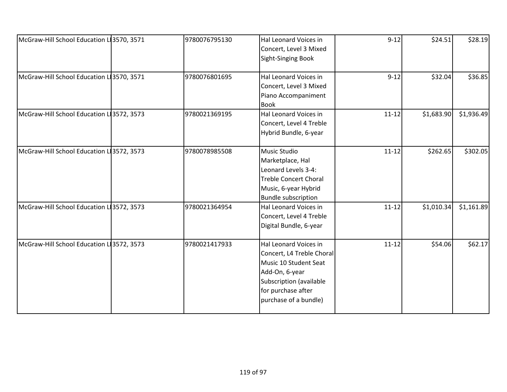| McGraw-Hill School Education L 3570, 3571 | 9780076795130 | Hal Leonard Voices in<br>Concert, Level 3 Mixed<br><b>Sight-Singing Book</b>                                                                                            | $9 - 12$  | \$24.51    | \$28.19    |
|-------------------------------------------|---------------|-------------------------------------------------------------------------------------------------------------------------------------------------------------------------|-----------|------------|------------|
| McGraw-Hill School Education L 3570, 3571 | 9780076801695 | Hal Leonard Voices in<br>Concert, Level 3 Mixed<br>Piano Accompaniment<br><b>Book</b>                                                                                   | $9 - 12$  | \$32.04    | \$36.85    |
| McGraw-Hill School Education L 3572, 3573 | 9780021369195 | Hal Leonard Voices in<br>Concert, Level 4 Treble<br>Hybrid Bundle, 6-year                                                                                               | $11 - 12$ | \$1,683.90 | \$1,936.49 |
| McGraw-Hill School Education L 3572, 3573 | 9780078985508 | Music Studio<br>Marketplace, Hal<br>Leonard Levels 3-4:<br><b>Treble Concert Choral</b><br>Music, 6-year Hybrid<br><b>Bundle subscription</b>                           | $11 - 12$ | \$262.65   | \$302.05   |
| McGraw-Hill School Education L 3572, 3573 | 9780021364954 | Hal Leonard Voices in<br>Concert, Level 4 Treble<br>Digital Bundle, 6-year                                                                                              | $11 - 12$ | \$1,010.34 | \$1,161.89 |
| McGraw-Hill School Education L13572, 3573 | 9780021417933 | Hal Leonard Voices in<br>Concert, L4 Treble Choral<br>Music 10 Student Seat<br>Add-On, 6-year<br>Subscription (available<br>for purchase after<br>purchase of a bundle) | $11 - 12$ | \$54.06    | \$62.17    |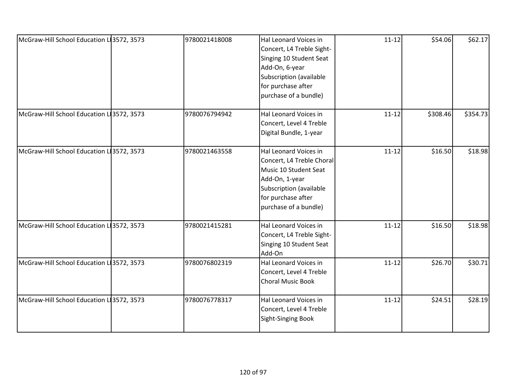| McGraw-Hill School Education L 3572, 3573 | 9780021418008 | Hal Leonard Voices in<br>Concert, L4 Treble Sight-<br>Singing 10 Student Seat<br>Add-On, 6-year<br>Subscription (available<br>for purchase after<br>purchase of a bundle) | $11 - 12$ | \$54.06  | \$62.17  |
|-------------------------------------------|---------------|---------------------------------------------------------------------------------------------------------------------------------------------------------------------------|-----------|----------|----------|
| McGraw-Hill School Education L 3572, 3573 | 9780076794942 | Hal Leonard Voices in<br>Concert, Level 4 Treble<br>Digital Bundle, 1-year                                                                                                | $11 - 12$ | \$308.46 | \$354.73 |
| McGraw-Hill School Education L 3572, 3573 | 9780021463558 | Hal Leonard Voices in<br>Concert, L4 Treble Choral<br>Music 10 Student Seat<br>Add-On, 1-year<br>Subscription (available<br>for purchase after<br>purchase of a bundle)   | $11 - 12$ | \$16.50  | \$18.98  |
| McGraw-Hill School Education L 3572, 3573 | 9780021415281 | Hal Leonard Voices in<br>Concert, L4 Treble Sight-<br>Singing 10 Student Seat<br>Add-On                                                                                   | $11 - 12$ | \$16.50  | \$18.98  |
| McGraw-Hill School Education L 3572, 3573 | 9780076802319 | Hal Leonard Voices in<br>Concert, Level 4 Treble<br>Choral Music Book                                                                                                     | $11 - 12$ | \$26.70  | \$30.71  |
| McGraw-Hill School Education L 3572, 3573 | 9780076778317 | Hal Leonard Voices in<br>Concert, Level 4 Treble<br><b>Sight-Singing Book</b>                                                                                             | $11 - 12$ | \$24.51  | \$28.19  |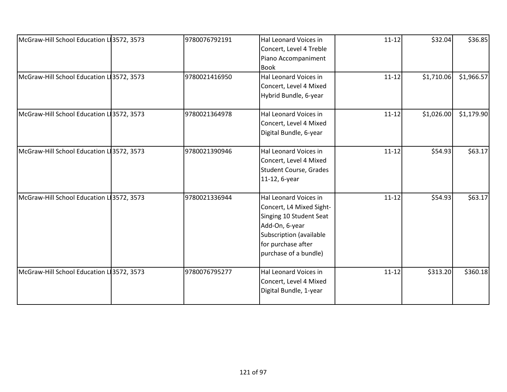| McGraw-Hill School Education L13572, 3573 | 9780076792191 | Hal Leonard Voices in         | $11 - 12$ | \$32.04    | \$36.85    |
|-------------------------------------------|---------------|-------------------------------|-----------|------------|------------|
|                                           |               | Concert, Level 4 Treble       |           |            |            |
|                                           |               | Piano Accompaniment           |           |            |            |
|                                           |               | <b>Book</b>                   |           |            |            |
| McGraw-Hill School Education L13572, 3573 | 9780021416950 | Hal Leonard Voices in         | $11 - 12$ | \$1,710.06 | \$1,966.57 |
|                                           |               | Concert, Level 4 Mixed        |           |            |            |
|                                           |               | Hybrid Bundle, 6-year         |           |            |            |
| McGraw-Hill School Education L 3572, 3573 | 9780021364978 | Hal Leonard Voices in         | $11 - 12$ | \$1,026.00 | \$1,179.90 |
|                                           |               | Concert, Level 4 Mixed        |           |            |            |
|                                           |               | Digital Bundle, 6-year        |           |            |            |
|                                           |               |                               |           |            |            |
| McGraw-Hill School Education L13572, 3573 | 9780021390946 | Hal Leonard Voices in         | $11 - 12$ | \$54.93    | \$63.17    |
|                                           |               | Concert, Level 4 Mixed        |           |            |            |
|                                           |               | <b>Student Course, Grades</b> |           |            |            |
|                                           |               | 11-12, 6-year                 |           |            |            |
| McGraw-Hill School Education L13572, 3573 | 9780021336944 | Hal Leonard Voices in         | $11 - 12$ | \$54.93    | \$63.17    |
|                                           |               | Concert, L4 Mixed Sight-      |           |            |            |
|                                           |               | Singing 10 Student Seat       |           |            |            |
|                                           |               | Add-On, 6-year                |           |            |            |
|                                           |               | Subscription (available       |           |            |            |
|                                           |               | for purchase after            |           |            |            |
|                                           |               | purchase of a bundle)         |           |            |            |
|                                           |               |                               |           |            |            |
| McGraw-Hill School Education L13572, 3573 | 9780076795277 | Hal Leonard Voices in         | $11 - 12$ | \$313.20   | \$360.18   |
|                                           |               | Concert, Level 4 Mixed        |           |            |            |
|                                           |               | Digital Bundle, 1-year        |           |            |            |
|                                           |               |                               |           |            |            |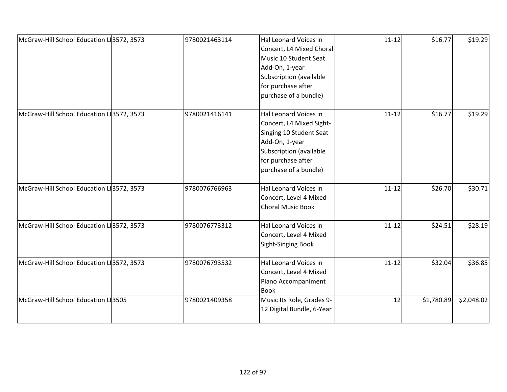| McGraw-Hill School Education L 3572, 3573 | 9780021463114 | Hal Leonard Voices in     | $11 - 12$ | \$16.77    | \$19.29    |
|-------------------------------------------|---------------|---------------------------|-----------|------------|------------|
|                                           |               | Concert, L4 Mixed Choral  |           |            |            |
|                                           |               | Music 10 Student Seat     |           |            |            |
|                                           |               |                           |           |            |            |
|                                           |               | Add-On, 1-year            |           |            |            |
|                                           |               | Subscription (available   |           |            |            |
|                                           |               | for purchase after        |           |            |            |
|                                           |               | purchase of a bundle)     |           |            |            |
| McGraw-Hill School Education L 3572, 3573 | 9780021416141 | Hal Leonard Voices in     | $11 - 12$ | \$16.77    | \$19.29    |
|                                           |               | Concert, L4 Mixed Sight-  |           |            |            |
|                                           |               | Singing 10 Student Seat   |           |            |            |
|                                           |               | Add-On, 1-year            |           |            |            |
|                                           |               | Subscription (available   |           |            |            |
|                                           |               | for purchase after        |           |            |            |
|                                           |               | purchase of a bundle)     |           |            |            |
|                                           |               |                           |           |            |            |
| McGraw-Hill School Education L 3572, 3573 | 9780076766963 | Hal Leonard Voices in     | $11 - 12$ | \$26.70    | \$30.71    |
|                                           |               | Concert, Level 4 Mixed    |           |            |            |
|                                           |               | <b>Choral Music Book</b>  |           |            |            |
| McGraw-Hill School Education L 3572, 3573 | 9780076773312 | Hal Leonard Voices in     | $11 - 12$ | \$24.51    | \$28.19    |
|                                           |               | Concert, Level 4 Mixed    |           |            |            |
|                                           |               | <b>Sight-Singing Book</b> |           |            |            |
|                                           |               |                           |           |            |            |
| McGraw-Hill School Education L 3572, 3573 | 9780076793532 | Hal Leonard Voices in     | $11 - 12$ | \$32.04    | \$36.85    |
|                                           |               | Concert, Level 4 Mixed    |           |            |            |
|                                           |               | Piano Accompaniment       |           |            |            |
|                                           |               | <b>Book</b>               |           |            |            |
| McGraw-Hill School Education L 3505       | 9780021409358 | Music Its Role, Grades 9- | 12        | \$1,780.89 | \$2,048.02 |
|                                           |               | 12 Digital Bundle, 6-Year |           |            |            |
|                                           |               |                           |           |            |            |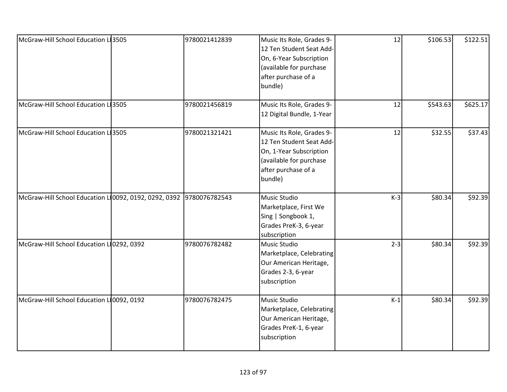| McGraw-Hill School Education L 3505                                 | 9780021412839 | Music Its Role, Grades 9-<br>12 Ten Student Seat Add-<br>On, 6-Year Subscription<br>(available for purchase<br>after purchase of a<br>bundle) | 12      | \$106.53 | \$122.51 |
|---------------------------------------------------------------------|---------------|-----------------------------------------------------------------------------------------------------------------------------------------------|---------|----------|----------|
| McGraw-Hill School Education L 3505                                 | 9780021456819 | Music Its Role, Grades 9-<br>12 Digital Bundle, 1-Year                                                                                        | 12      | \$543.63 | \$625.17 |
| McGraw-Hill School Education LI3505                                 | 9780021321421 | Music Its Role, Grades 9-<br>12 Ten Student Seat Add-<br>On, 1-Year Subscription<br>(available for purchase<br>after purchase of a<br>bundle) | 12      | \$32.55  | \$37.43  |
| McGraw-Hill School Education L 0092, 0192, 0292, 0392 9780076782543 |               | <b>Music Studio</b><br>Marketplace, First We<br>Sing   Songbook 1,<br>Grades PreK-3, 6-year<br>subscription                                   | $K-3$   | \$80.34  | \$92.39  |
| McGraw-Hill School Education L10292, 0392                           | 9780076782482 | <b>Music Studio</b><br>Marketplace, Celebrating<br>Our American Heritage,<br>Grades 2-3, 6-year<br>subscription                               | $2 - 3$ | \$80.34  | \$92.39  |
| McGraw-Hill School Education L 0092, 0192                           | 9780076782475 | Music Studio<br>Marketplace, Celebrating<br>Our American Heritage,<br>Grades PreK-1, 6-year<br>subscription                                   | $K-1$   | \$80.34  | \$92.39  |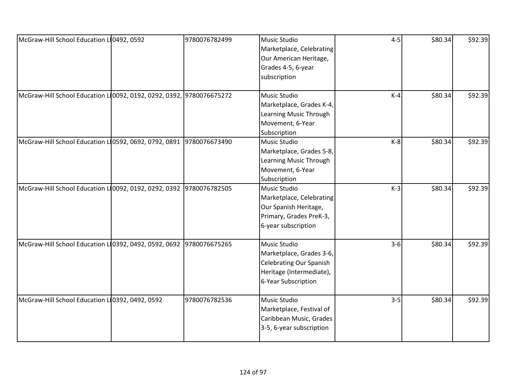| McGraw-Hill School Education L 0492, 0592                           | 9780076782499 | Music Studio                   | $4 - 5$ | \$80.34 | \$92.39 |
|---------------------------------------------------------------------|---------------|--------------------------------|---------|---------|---------|
|                                                                     |               | Marketplace, Celebrating       |         |         |         |
|                                                                     |               | Our American Heritage,         |         |         |         |
|                                                                     |               | Grades 4-5, 6-year             |         |         |         |
|                                                                     |               |                                |         |         |         |
|                                                                     |               | subscription                   |         |         |         |
| McGraw-Hill School Education LO092, 0192, 0292, 0392, 9780076675272 |               | Music Studio                   | $K-4$   | \$80.34 | \$92.39 |
|                                                                     |               | Marketplace, Grades K-4,       |         |         |         |
|                                                                     |               | Learning Music Through         |         |         |         |
|                                                                     |               | Movement, 6-Year               |         |         |         |
|                                                                     |               | Subscription                   |         |         |         |
| McGraw-Hill School Education LO592, 0692, 0792, 0891                | 9780076673490 | Music Studio                   | $K-8$   | \$80.34 | \$92.39 |
|                                                                     |               | Marketplace, Grades 5-8,       |         |         |         |
|                                                                     |               | Learning Music Through         |         |         |         |
|                                                                     |               | Movement, 6-Year               |         |         |         |
|                                                                     |               | Subscription                   |         |         |         |
| McGraw-Hill School Education LO092, 0192, 0292, 0392 9780076782505  |               | <b>Music Studio</b>            | $K-3$   | \$80.34 | \$92.39 |
|                                                                     |               | Marketplace, Celebrating       |         |         |         |
|                                                                     |               | Our Spanish Heritage,          |         |         |         |
|                                                                     |               | Primary, Grades PreK-3,        |         |         |         |
|                                                                     |               | 6-year subscription            |         |         |         |
|                                                                     |               |                                |         |         |         |
| McGraw-Hill School Education L 0392, 0492, 0592, 0692               | 9780076675265 | Music Studio                   | $3 - 6$ | \$80.34 | \$92.39 |
|                                                                     |               | Marketplace, Grades 3-6,       |         |         |         |
|                                                                     |               | <b>Celebrating Our Spanish</b> |         |         |         |
|                                                                     |               | Heritage (Intermediate),       |         |         |         |
|                                                                     |               | 6-Year Subscription            |         |         |         |
| McGraw-Hill School Education L10392, 0492, 0592                     | 9780076782536 | <b>Music Studio</b>            | $3 - 5$ | \$80.34 | \$92.39 |
|                                                                     |               | Marketplace, Festival of       |         |         |         |
|                                                                     |               | Caribbean Music, Grades        |         |         |         |
|                                                                     |               | 3-5, 6-year subscription       |         |         |         |
|                                                                     |               |                                |         |         |         |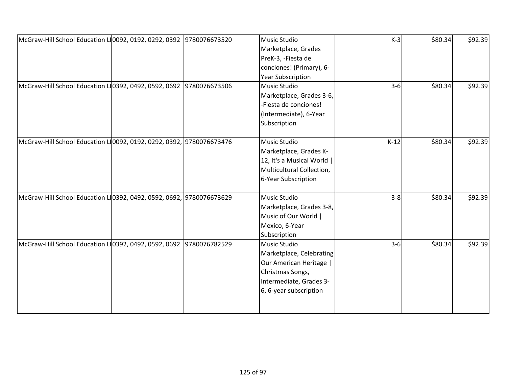| McGraw-Hill School Education LO092, 0192, 0292, 0392 9780076673520   |  | Music Studio              | $K-3$   | \$80.34 | \$92.39 |
|----------------------------------------------------------------------|--|---------------------------|---------|---------|---------|
|                                                                      |  | Marketplace, Grades       |         |         |         |
|                                                                      |  | PreK-3, -Fiesta de        |         |         |         |
|                                                                      |  | conciones! (Primary), 6-  |         |         |         |
|                                                                      |  | <b>Year Subscription</b>  |         |         |         |
| McGraw-Hill School Education L10392, 0492, 0592, 0692 9780076673506  |  | Music Studio              | $3-6$   | \$80.34 | \$92.39 |
|                                                                      |  | Marketplace, Grades 3-6,  |         |         |         |
|                                                                      |  | -Fiesta de conciones!     |         |         |         |
|                                                                      |  | (Intermediate), 6-Year    |         |         |         |
|                                                                      |  | Subscription              |         |         |         |
|                                                                      |  |                           |         |         |         |
| McGraw-Hill School Education L10092, 0192, 0292, 0392, 9780076673476 |  | Music Studio              | $K-12$  | \$80.34 | \$92.39 |
|                                                                      |  | Marketplace, Grades K-    |         |         |         |
|                                                                      |  | 12, It's a Musical World  |         |         |         |
|                                                                      |  | Multicultural Collection, |         |         |         |
|                                                                      |  | 6-Year Subscription       |         |         |         |
|                                                                      |  |                           |         |         |         |
| McGraw-Hill School Education L10392, 0492, 0592, 0692, 9780076673629 |  | Music Studio              | $3 - 8$ | \$80.34 | \$92.39 |
|                                                                      |  | Marketplace, Grades 3-8,  |         |         |         |
|                                                                      |  | Music of Our World        |         |         |         |
|                                                                      |  | Mexico, 6-Year            |         |         |         |
|                                                                      |  | Subscription              |         |         |         |
| McGraw-Hill School Education L10392, 0492, 0592, 0692 9780076782529  |  | Music Studio              | $3-6$   | \$80.34 | \$92.39 |
|                                                                      |  | Marketplace, Celebrating  |         |         |         |
|                                                                      |  | Our American Heritage     |         |         |         |
|                                                                      |  | Christmas Songs,          |         |         |         |
|                                                                      |  | Intermediate, Grades 3-   |         |         |         |
|                                                                      |  | 6, 6-year subscription    |         |         |         |
|                                                                      |  |                           |         |         |         |
|                                                                      |  |                           |         |         |         |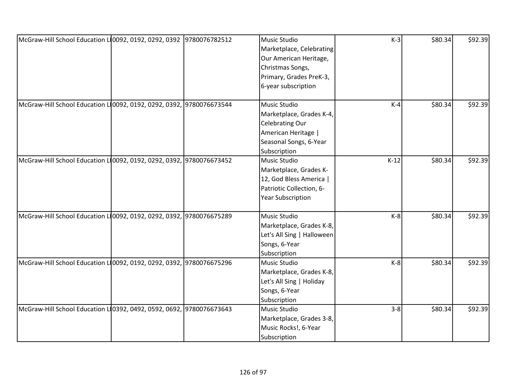| McGraw-Hill School Education LO092, 0192, 0292, 0392 9780076782512   | Music Studio               | $K-3$   | \$80.34 | \$92.39 |
|----------------------------------------------------------------------|----------------------------|---------|---------|---------|
|                                                                      | Marketplace, Celebrating   |         |         |         |
|                                                                      | Our American Heritage,     |         |         |         |
|                                                                      | Christmas Songs,           |         |         |         |
|                                                                      | Primary, Grades PreK-3,    |         |         |         |
|                                                                      | 6-year subscription        |         |         |         |
|                                                                      |                            |         |         |         |
| McGraw-Hill School Education L10092, 0192, 0292, 0392, 9780076673544 | Music Studio               | $K-4$   | \$80.34 | \$92.39 |
|                                                                      | Marketplace, Grades K-4,   |         |         |         |
|                                                                      | <b>Celebrating Our</b>     |         |         |         |
|                                                                      | American Heritage          |         |         |         |
|                                                                      | Seasonal Songs, 6-Year     |         |         |         |
|                                                                      | Subscription               |         |         |         |
| McGraw-Hill School Education L10092, 0192, 0292, 0392, 9780076673452 | Music Studio               | $K-12$  | \$80.34 | \$92.39 |
|                                                                      | Marketplace, Grades K-     |         |         |         |
|                                                                      | 12, God Bless America      |         |         |         |
|                                                                      | Patriotic Collection, 6-   |         |         |         |
|                                                                      | <b>Year Subscription</b>   |         |         |         |
|                                                                      |                            |         |         |         |
| McGraw-Hill School Education L10092, 0192, 0292, 0392, 9780076675289 | Music Studio               | $K-8$   | \$80.34 | \$92.39 |
|                                                                      | Marketplace, Grades K-8,   |         |         |         |
|                                                                      | Let's All Sing   Halloween |         |         |         |
|                                                                      | Songs, 6-Year              |         |         |         |
|                                                                      | Subscription               |         |         |         |
| McGraw-Hill School Education LO092, 0192, 0292, 0392, 9780076675296  | Music Studio               | $K-8$   | \$80.34 | \$92.39 |
|                                                                      | Marketplace, Grades K-8,   |         |         |         |
|                                                                      | Let's All Sing   Holiday   |         |         |         |
|                                                                      | Songs, 6-Year              |         |         |         |
|                                                                      | Subscription               |         |         |         |
| McGraw-Hill School Education L10392, 0492, 0592, 0692, 9780076673643 | Music Studio               | $3 - 8$ | \$80.34 | \$92.39 |
|                                                                      | Marketplace, Grades 3-8,   |         |         |         |
|                                                                      | Music Rocks!, 6-Year       |         |         |         |
|                                                                      | Subscription               |         |         |         |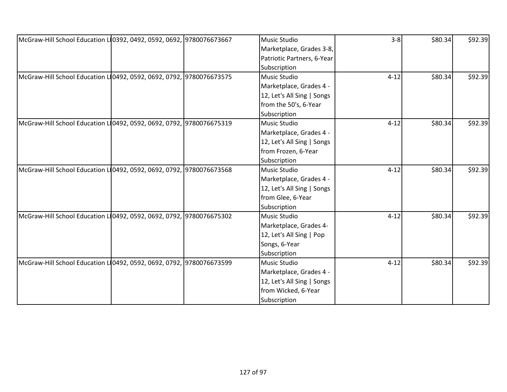| McGraw-Hill School Education L10392, 0492, 0592, 0692, 9780076673667 | Music Studio               | $3 - 8$  | \$80.34 | \$92.39 |
|----------------------------------------------------------------------|----------------------------|----------|---------|---------|
|                                                                      | Marketplace, Grades 3-8,   |          |         |         |
|                                                                      | Patriotic Partners, 6-Year |          |         |         |
|                                                                      | Subscription               |          |         |         |
| McGraw-Hill School Education L10492, 0592, 0692, 0792, 9780076673575 | Music Studio               | $4 - 12$ | \$80.34 | \$92.39 |
|                                                                      | Marketplace, Grades 4 -    |          |         |         |
|                                                                      | 12, Let's All Sing   Songs |          |         |         |
|                                                                      | from the 50's, 6-Year      |          |         |         |
|                                                                      | Subscription               |          |         |         |
| McGraw-Hill School Education L10492, 0592, 0692, 0792, 9780076675319 | Music Studio               | $4 - 12$ | \$80.34 | \$92.39 |
|                                                                      | Marketplace, Grades 4 -    |          |         |         |
|                                                                      | 12, Let's All Sing   Songs |          |         |         |
|                                                                      | from Frozen, 6-Year        |          |         |         |
|                                                                      | Subscription               |          |         |         |
| McGraw-Hill School Education L10492, 0592, 0692, 0792, 9780076673568 | Music Studio               | $4 - 12$ | \$80.34 | \$92.39 |
|                                                                      | Marketplace, Grades 4 -    |          |         |         |
|                                                                      | 12, Let's All Sing   Songs |          |         |         |
|                                                                      | from Glee, 6-Year          |          |         |         |
|                                                                      | Subscription               |          |         |         |
| McGraw-Hill School Education L10492, 0592, 0692, 0792, 9780076675302 | Music Studio               | $4 - 12$ | \$80.34 | \$92.39 |
|                                                                      | Marketplace, Grades 4-     |          |         |         |
|                                                                      | 12, Let's All Sing   Pop   |          |         |         |
|                                                                      | Songs, 6-Year              |          |         |         |
|                                                                      | Subscription               |          |         |         |
| McGraw-Hill School Education L10492, 0592, 0692, 0792, 9780076673599 | Music Studio               | $4 - 12$ | \$80.34 | \$92.39 |
|                                                                      | Marketplace, Grades 4 -    |          |         |         |
|                                                                      | 12, Let's All Sing   Songs |          |         |         |
|                                                                      | from Wicked, 6-Year        |          |         |         |
|                                                                      | Subscription               |          |         |         |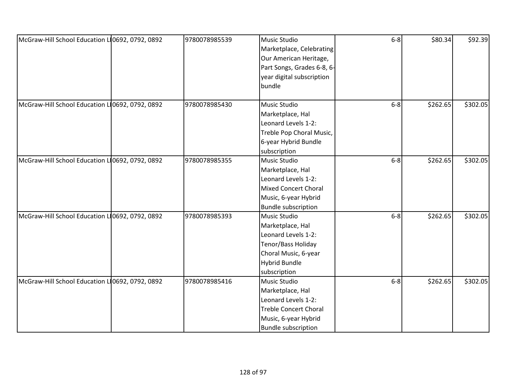| McGraw-Hill School Education L10692, 0792, 0892 | 9780078985539 | Music Studio                 | $6-8$ | \$80.34  | \$92.39  |
|-------------------------------------------------|---------------|------------------------------|-------|----------|----------|
|                                                 |               | Marketplace, Celebrating     |       |          |          |
|                                                 |               | Our American Heritage,       |       |          |          |
|                                                 |               | Part Songs, Grades 6-8, 6-   |       |          |          |
|                                                 |               | year digital subscription    |       |          |          |
|                                                 |               | bundle                       |       |          |          |
|                                                 |               |                              |       |          |          |
| McGraw-Hill School Education L10692, 0792, 0892 | 9780078985430 | Music Studio                 | $6-8$ | \$262.65 | \$302.05 |
|                                                 |               | Marketplace, Hal             |       |          |          |
|                                                 |               | Leonard Levels 1-2:          |       |          |          |
|                                                 |               | Treble Pop Choral Music,     |       |          |          |
|                                                 |               | 6-year Hybrid Bundle         |       |          |          |
|                                                 |               | subscription                 |       |          |          |
| McGraw-Hill School Education L10692, 0792, 0892 | 9780078985355 | Music Studio                 | $6-8$ | \$262.65 | \$302.05 |
|                                                 |               | Marketplace, Hal             |       |          |          |
|                                                 |               | Leonard Levels 1-2:          |       |          |          |
|                                                 |               | <b>Mixed Concert Choral</b>  |       |          |          |
|                                                 |               | Music, 6-year Hybrid         |       |          |          |
|                                                 |               | <b>Bundle subscription</b>   |       |          |          |
| McGraw-Hill School Education L10692, 0792, 0892 | 9780078985393 | Music Studio                 | $6-8$ | \$262.65 | \$302.05 |
|                                                 |               | Marketplace, Hal             |       |          |          |
|                                                 |               | Leonard Levels 1-2:          |       |          |          |
|                                                 |               | Tenor/Bass Holiday           |       |          |          |
|                                                 |               | Choral Music, 6-year         |       |          |          |
|                                                 |               | <b>Hybrid Bundle</b>         |       |          |          |
|                                                 |               | subscription                 |       |          |          |
| McGraw-Hill School Education L10692, 0792, 0892 | 9780078985416 | Music Studio                 | $6-8$ | \$262.65 | \$302.05 |
|                                                 |               | Marketplace, Hal             |       |          |          |
|                                                 |               | Leonard Levels 1-2:          |       |          |          |
|                                                 |               | <b>Treble Concert Choral</b> |       |          |          |
|                                                 |               | Music, 6-year Hybrid         |       |          |          |
|                                                 |               | <b>Bundle subscription</b>   |       |          |          |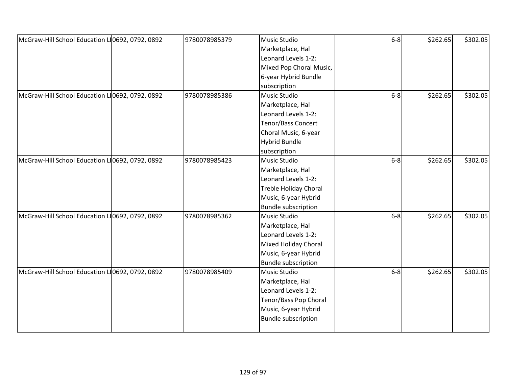| McGraw-Hill School Education L10692, 0792, 0892 | 9780078985379 | Music Studio                 | $6-8$   | \$262.65 | \$302.05 |
|-------------------------------------------------|---------------|------------------------------|---------|----------|----------|
|                                                 |               | Marketplace, Hal             |         |          |          |
|                                                 |               | Leonard Levels 1-2:          |         |          |          |
|                                                 |               | Mixed Pop Choral Music,      |         |          |          |
|                                                 |               | 6-year Hybrid Bundle         |         |          |          |
|                                                 |               | subscription                 |         |          |          |
| McGraw-Hill School Education L10692, 0792, 0892 | 9780078985386 | Music Studio                 | $6-8$   | \$262.65 | \$302.05 |
|                                                 |               | Marketplace, Hal             |         |          |          |
|                                                 |               | Leonard Levels 1-2:          |         |          |          |
|                                                 |               | Tenor/Bass Concert           |         |          |          |
|                                                 |               | Choral Music, 6-year         |         |          |          |
|                                                 |               | <b>Hybrid Bundle</b>         |         |          |          |
|                                                 |               | subscription                 |         |          |          |
| McGraw-Hill School Education L10692, 0792, 0892 | 9780078985423 | Music Studio                 | $6-8$   | \$262.65 | \$302.05 |
|                                                 |               | Marketplace, Hal             |         |          |          |
|                                                 |               | Leonard Levels 1-2:          |         |          |          |
|                                                 |               | <b>Treble Holiday Choral</b> |         |          |          |
|                                                 |               | Music, 6-year Hybrid         |         |          |          |
|                                                 |               | <b>Bundle subscription</b>   |         |          |          |
| McGraw-Hill School Education L10692, 0792, 0892 | 9780078985362 | Music Studio                 | $6 - 8$ | \$262.65 | \$302.05 |
|                                                 |               | Marketplace, Hal             |         |          |          |
|                                                 |               | Leonard Levels 1-2:          |         |          |          |
|                                                 |               | Mixed Holiday Choral         |         |          |          |
|                                                 |               | Music, 6-year Hybrid         |         |          |          |
|                                                 |               | <b>Bundle subscription</b>   |         |          |          |
| McGraw-Hill School Education L10692, 0792, 0892 | 9780078985409 | Music Studio                 | $6 - 8$ | \$262.65 | \$302.05 |
|                                                 |               | Marketplace, Hal             |         |          |          |
|                                                 |               | Leonard Levels 1-2:          |         |          |          |
|                                                 |               | Tenor/Bass Pop Choral        |         |          |          |
|                                                 |               | Music, 6-year Hybrid         |         |          |          |
|                                                 |               | <b>Bundle subscription</b>   |         |          |          |
|                                                 |               |                              |         |          |          |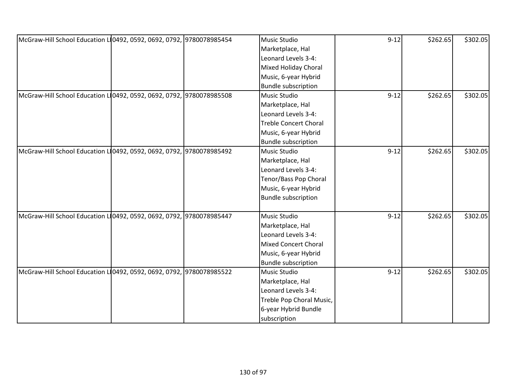| McGraw-Hill School Education L 0492, 0592, 0692, 0792, 9780078985454 | Music Studio                 | $9 - 12$ | \$262.65 | \$302.05 |
|----------------------------------------------------------------------|------------------------------|----------|----------|----------|
|                                                                      | Marketplace, Hal             |          |          |          |
|                                                                      | Leonard Levels 3-4:          |          |          |          |
|                                                                      | Mixed Holiday Choral         |          |          |          |
|                                                                      | Music, 6-year Hybrid         |          |          |          |
|                                                                      | <b>Bundle subscription</b>   |          |          |          |
| McGraw-Hill School Education L10492, 0592, 0692, 0792, 9780078985508 | Music Studio                 | $9 - 12$ | \$262.65 | \$302.05 |
|                                                                      | Marketplace, Hal             |          |          |          |
|                                                                      | Leonard Levels 3-4:          |          |          |          |
|                                                                      | <b>Treble Concert Choral</b> |          |          |          |
|                                                                      | Music, 6-year Hybrid         |          |          |          |
|                                                                      | <b>Bundle subscription</b>   |          |          |          |
| McGraw-Hill School Education L10492, 0592, 0692, 0792, 9780078985492 | Music Studio                 | $9 - 12$ | \$262.65 | \$302.05 |
|                                                                      | Marketplace, Hal             |          |          |          |
|                                                                      | Leonard Levels 3-4:          |          |          |          |
|                                                                      | Tenor/Bass Pop Choral        |          |          |          |
|                                                                      | Music, 6-year Hybrid         |          |          |          |
|                                                                      | <b>Bundle subscription</b>   |          |          |          |
|                                                                      |                              |          |          |          |
| McGraw-Hill School Education L 0492, 0592, 0692, 0792, 9780078985447 | Music Studio                 | $9 - 12$ | \$262.65 | \$302.05 |
|                                                                      | Marketplace, Hal             |          |          |          |
|                                                                      | Leonard Levels 3-4:          |          |          |          |
|                                                                      | <b>Mixed Concert Choral</b>  |          |          |          |
|                                                                      | Music, 6-year Hybrid         |          |          |          |
|                                                                      | <b>Bundle subscription</b>   |          |          |          |
| McGraw-Hill School Education L 0492, 0592, 0692, 0792, 9780078985522 | Music Studio                 | $9 - 12$ | \$262.65 | \$302.05 |
|                                                                      | Marketplace, Hal             |          |          |          |
|                                                                      | Leonard Levels 3-4:          |          |          |          |
|                                                                      | Treble Pop Choral Music,     |          |          |          |
|                                                                      | 6-year Hybrid Bundle         |          |          |          |
|                                                                      | subscription                 |          |          |          |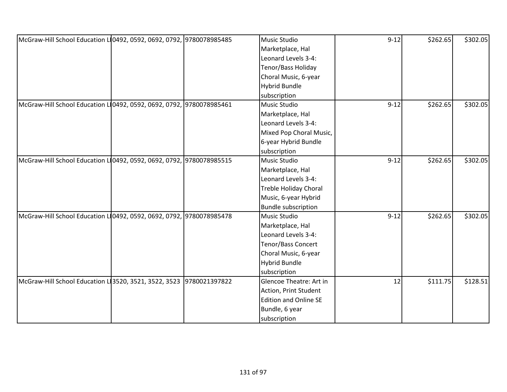| McGraw-Hill School Education L 0492, 0592, 0692, 0792, 9780078985485 | <b>Music Studio</b>          | $9 - 12$ | \$262.65 | \$302.05 |
|----------------------------------------------------------------------|------------------------------|----------|----------|----------|
|                                                                      | Marketplace, Hal             |          |          |          |
|                                                                      | Leonard Levels 3-4:          |          |          |          |
|                                                                      | Tenor/Bass Holiday           |          |          |          |
|                                                                      | Choral Music, 6-year         |          |          |          |
|                                                                      | <b>Hybrid Bundle</b>         |          |          |          |
|                                                                      | subscription                 |          |          |          |
| McGraw-Hill School Education L10492, 0592, 0692, 0792, 9780078985461 | <b>Music Studio</b>          | $9 - 12$ | \$262.65 | \$302.05 |
|                                                                      | Marketplace, Hal             |          |          |          |
|                                                                      | Leonard Levels 3-4:          |          |          |          |
|                                                                      | Mixed Pop Choral Music,      |          |          |          |
|                                                                      | 6-year Hybrid Bundle         |          |          |          |
|                                                                      | subscription                 |          |          |          |
| McGraw-Hill School Education L 0492, 0592, 0692, 0792, 9780078985515 | Music Studio                 | $9 - 12$ | \$262.65 | \$302.05 |
|                                                                      | Marketplace, Hal             |          |          |          |
|                                                                      | Leonard Levels 3-4:          |          |          |          |
|                                                                      | <b>Treble Holiday Choral</b> |          |          |          |
|                                                                      | Music, 6-year Hybrid         |          |          |          |
|                                                                      | <b>Bundle subscription</b>   |          |          |          |
| McGraw-Hill School Education L10492, 0592, 0692, 0792, 9780078985478 | <b>Music Studio</b>          | $9 - 12$ | \$262.65 | \$302.05 |
|                                                                      | Marketplace, Hal             |          |          |          |
|                                                                      | Leonard Levels 3-4:          |          |          |          |
|                                                                      | Tenor/Bass Concert           |          |          |          |
|                                                                      | Choral Music, 6-year         |          |          |          |
|                                                                      | <b>Hybrid Bundle</b>         |          |          |          |
|                                                                      | subscription                 |          |          |          |
| McGraw-Hill School Education L 3520, 3521, 3522, 3523 9780021397822  | Glencoe Theatre: Art in      | 12       | \$111.75 | \$128.51 |
|                                                                      | Action, Print Student        |          |          |          |
|                                                                      | <b>Edition and Online SE</b> |          |          |          |
|                                                                      | Bundle, 6 year               |          |          |          |
|                                                                      | subscription                 |          |          |          |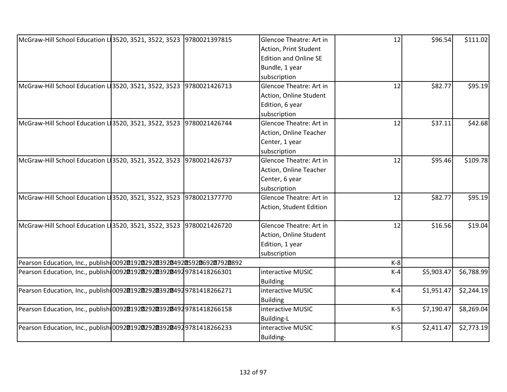|                                |                                                                                                                                                                                                                                  |            | \$111.02           |
|--------------------------------|----------------------------------------------------------------------------------------------------------------------------------------------------------------------------------------------------------------------------------|------------|--------------------|
| Action, Print Student          |                                                                                                                                                                                                                                  |            |                    |
| <b>Edition and Online SE</b>   |                                                                                                                                                                                                                                  |            |                    |
| Bundle, 1 year                 |                                                                                                                                                                                                                                  |            |                    |
| subscription                   |                                                                                                                                                                                                                                  |            |                    |
| Glencoe Theatre: Art in        | 12                                                                                                                                                                                                                               | \$82.77    | \$95.19            |
| Action, Online Student         |                                                                                                                                                                                                                                  |            |                    |
| Edition, 6 year                |                                                                                                                                                                                                                                  |            |                    |
| subscription                   |                                                                                                                                                                                                                                  |            |                    |
| Glencoe Theatre: Art in        | 12                                                                                                                                                                                                                               | \$37.11    | \$42.68            |
|                                |                                                                                                                                                                                                                                  |            |                    |
|                                |                                                                                                                                                                                                                                  |            |                    |
| subscription                   |                                                                                                                                                                                                                                  |            |                    |
| Glencoe Theatre: Art in        | 12                                                                                                                                                                                                                               | \$95.46    | \$109.78           |
|                                |                                                                                                                                                                                                                                  |            |                    |
|                                |                                                                                                                                                                                                                                  |            |                    |
| subscription                   |                                                                                                                                                                                                                                  |            |                    |
| <b>Glencoe Theatre: Art in</b> | 12                                                                                                                                                                                                                               |            | \$95.19            |
|                                |                                                                                                                                                                                                                                  |            |                    |
|                                |                                                                                                                                                                                                                                  |            |                    |
| Glencoe Theatre: Art in        | 12                                                                                                                                                                                                                               | \$16.56    | \$19.04            |
| Action, Online Student         |                                                                                                                                                                                                                                  |            |                    |
|                                |                                                                                                                                                                                                                                  |            |                    |
|                                |                                                                                                                                                                                                                                  |            |                    |
|                                | $K-8$                                                                                                                                                                                                                            |            |                    |
| interactive MUSIC              | $K-4$                                                                                                                                                                                                                            | \$5,903.47 | \$6,788.99         |
|                                |                                                                                                                                                                                                                                  |            |                    |
| interactive MUSIC              | $K-4$                                                                                                                                                                                                                            | \$1,951.47 | \$2,244.19         |
|                                |                                                                                                                                                                                                                                  |            |                    |
| interactive MUSIC              | $K-5$                                                                                                                                                                                                                            | \$7,190.47 | \$8,269.04         |
| <b>Building-L</b>              |                                                                                                                                                                                                                                  |            |                    |
| interactive MUSIC              | $K-5$                                                                                                                                                                                                                            | \$2,411.47 | \$2,773.19         |
|                                |                                                                                                                                                                                                                                  |            |                    |
|                                | Glencoe Theatre: Art in<br>Action, Online Teacher<br>Center, 1 year<br>Action, Online Teacher<br>Center, 6 year<br>Action, Student Edition<br>Edition, 1 year<br>subscription<br><b>Building</b><br><b>Building</b><br>Building- | 12         | \$96.54<br>\$82.77 |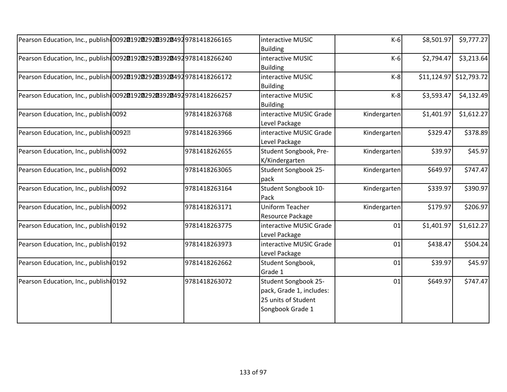| Pearson Education, Inc., publish 009201920292039204929781418266165  |               | interactive MUSIC<br><b>Building</b>                                                        | $K-6$        | \$8,501.97 | \$9,777.27                |
|---------------------------------------------------------------------|---------------|---------------------------------------------------------------------------------------------|--------------|------------|---------------------------|
| Pearson Education, Inc., publishi 009201920292039204929781418266240 |               | interactive MUSIC<br><b>Building</b>                                                        | $K-6$        | \$2,794.47 | \$3,213.64                |
| Pearson Education, Inc., publish 009201920292039204929781418266172  |               | interactive MUSIC<br><b>Building</b>                                                        | $K-8$        |            | $$11,124.97$ $$12,793.72$ |
| Pearson Education, Inc., publish 009201920292039204929781418266257  |               | interactive MUSIC<br><b>Building</b>                                                        | $K-8$        | \$3,593.47 | \$4,132.49                |
| Pearson Education, Inc., publishi0092                               | 9781418263768 | interactive MUSIC Grade<br>Level Package                                                    | Kindergarten | \$1,401.97 | \$1,612.27                |
| Pearson Education, Inc., publish 00922                              | 9781418263966 | interactive MUSIC Grade<br>Level Package                                                    | Kindergarten | \$329.47   | \$378.89                  |
| Pearson Education, Inc., publish 0092                               | 9781418262655 | Student Songbook, Pre-<br>K/Kindergarten                                                    | Kindergarten | \$39.97    | \$45.97                   |
| Pearson Education, Inc., publishi0092                               | 9781418263065 | Student Songbook 25-<br>pack                                                                | Kindergarten | \$649.97   | \$747.47                  |
| Pearson Education, Inc., publish 0092                               | 9781418263164 | Student Songbook 10-<br>Pack                                                                | Kindergarten | \$339.97   | \$390.97                  |
| Pearson Education, Inc., publishi 0092                              | 9781418263171 | <b>Uniform Teacher</b><br>Resource Package                                                  | Kindergarten | \$179.97   | \$206.97                  |
| Pearson Education, Inc., publish 0192                               | 9781418263775 | interactive MUSIC Grade<br>Level Package                                                    | 01           | \$1,401.97 | \$1,612.27                |
| Pearson Education, Inc., publish 0192                               | 9781418263973 | interactive MUSIC Grade<br>Level Package                                                    | 01           | \$438.47   | \$504.24                  |
| Pearson Education, Inc., publish 0192                               | 9781418262662 | Student Songbook,<br>Grade 1                                                                | 01           | \$39.97    | \$45.97                   |
| Pearson Education, Inc., publishi 0192                              | 9781418263072 | Student Songbook 25-<br>pack, Grade 1, includes:<br>25 units of Student<br>Songbook Grade 1 | 01           | \$649.97   | \$747.47                  |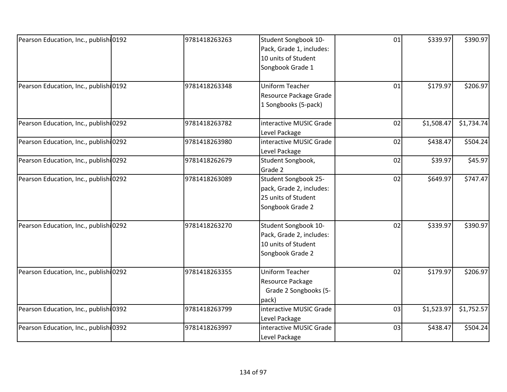| Pearson Education, Inc., publish 0192  | 9781418263263 | Student Songbook 10-     | 01 | \$339.97   | \$390.97   |
|----------------------------------------|---------------|--------------------------|----|------------|------------|
|                                        |               | Pack, Grade 1, includes: |    |            |            |
|                                        |               | 10 units of Student      |    |            |            |
|                                        |               | Songbook Grade 1         |    |            |            |
|                                        |               |                          |    |            |            |
| Pearson Education, Inc., publish 0192  | 9781418263348 | <b>Uniform Teacher</b>   | 01 | \$179.97   | \$206.97   |
|                                        |               | Resource Package Grade   |    |            |            |
|                                        |               | 1 Songbooks (5-pack)     |    |            |            |
| Pearson Education, Inc., publishi 0292 | 9781418263782 | interactive MUSIC Grade  | 02 | \$1,508.47 | \$1,734.74 |
|                                        |               | Level Package            |    |            |            |
| Pearson Education, Inc., publish 0292  | 9781418263980 | interactive MUSIC Grade  | 02 | \$438.47   | \$504.24   |
|                                        |               | Level Package            |    |            |            |
| Pearson Education, Inc., publish 0292  | 9781418262679 | Student Songbook,        | 02 | \$39.97    | \$45.97    |
|                                        |               | Grade 2                  |    |            |            |
| Pearson Education, Inc., publish 0292  | 9781418263089 | Student Songbook 25-     | 02 | \$649.97   | \$747.47   |
|                                        |               | pack, Grade 2, includes: |    |            |            |
|                                        |               | 25 units of Student      |    |            |            |
|                                        |               | Songbook Grade 2         |    |            |            |
| Pearson Education, Inc., publish 0292  | 9781418263270 | Student Songbook 10-     | 02 | \$339.97   | \$390.97   |
|                                        |               | Pack, Grade 2, includes: |    |            |            |
|                                        |               | 10 units of Student      |    |            |            |
|                                        |               | Songbook Grade 2         |    |            |            |
| Pearson Education, Inc., publish 0292  | 9781418263355 | <b>Uniform Teacher</b>   | 02 | \$179.97   | \$206.97   |
|                                        |               | Resource Package         |    |            |            |
|                                        |               | Grade 2 Songbooks (5-    |    |            |            |
|                                        |               | pack)                    |    |            |            |
| Pearson Education, Inc., publishi0392  | 9781418263799 | interactive MUSIC Grade  | 03 | \$1,523.97 | \$1,752.57 |
|                                        |               | Level Package            |    |            |            |
| Pearson Education, Inc., publishi 0392 | 9781418263997 | interactive MUSIC Grade  | 03 | \$438.47   | \$504.24   |
|                                        |               | Level Package            |    |            |            |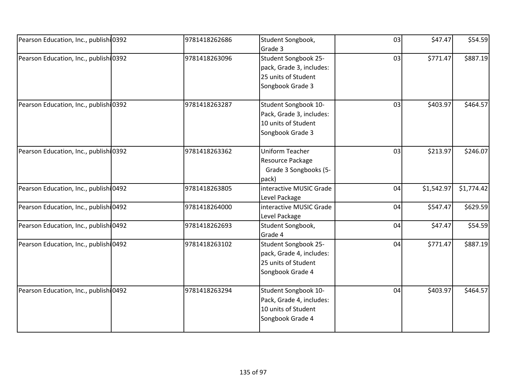| Pearson Education, Inc., publish 0392  | 9781418262686 | Student Songbook,<br>Grade 3                                                                | 03 | \$47.47    | \$54.59    |
|----------------------------------------|---------------|---------------------------------------------------------------------------------------------|----|------------|------------|
| Pearson Education, Inc., publish 0392  | 9781418263096 | Student Songbook 25-<br>pack, Grade 3, includes:<br>25 units of Student<br>Songbook Grade 3 | 03 | \$771.47   | \$887.19   |
| Pearson Education, Inc., publish 0392  | 9781418263287 | Student Songbook 10-<br>Pack, Grade 3, includes:<br>10 units of Student<br>Songbook Grade 3 | 03 | \$403.97   | \$464.57   |
| Pearson Education, Inc., publishi0392  | 9781418263362 | Uniform Teacher<br>Resource Package<br>Grade 3 Songbooks (5-<br>pack)                       | 03 | \$213.97   | \$246.07   |
| Pearson Education, Inc., publish 0492  | 9781418263805 | interactive MUSIC Grade<br>Level Package                                                    | 04 | \$1,542.97 | \$1,774.42 |
| Pearson Education, Inc., publishi 0492 | 9781418264000 | interactive MUSIC Grade<br>Level Package                                                    | 04 | \$547.47   | \$629.59   |
| Pearson Education, Inc., publish 0492  | 9781418262693 | Student Songbook,<br>Grade 4                                                                | 04 | \$47.47    | \$54.59    |
| Pearson Education, Inc., publish 0492  | 9781418263102 | Student Songbook 25-<br>pack, Grade 4, includes:<br>25 units of Student<br>Songbook Grade 4 | 04 | \$771.47   | \$887.19   |
| Pearson Education, Inc., publish 0492  | 9781418263294 | Student Songbook 10-<br>Pack, Grade 4, includes:<br>10 units of Student<br>Songbook Grade 4 | 04 | \$403.97   | \$464.57   |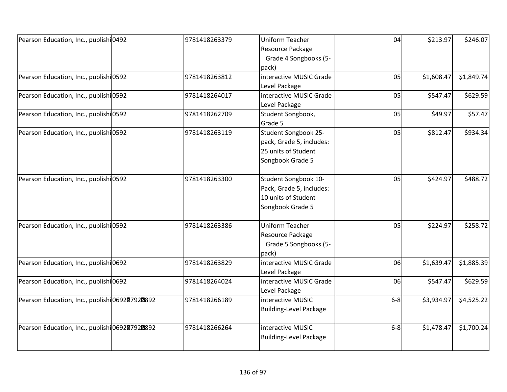| Pearson Education, Inc., publishi 0492<br>Resource Package<br>Grade 4 Songbooks (5-<br>pack)<br>Pearson Education, Inc., publishi 0592<br>9781418263812<br>interactive MUSIC Grade<br>05<br>\$1,608.47<br>Level Package<br>Pearson Education, Inc., publish 0592<br>9781418264017<br>interactive MUSIC Grade<br>05<br>\$547.47<br>Level Package<br>Pearson Education, Inc., publishi0592<br>05<br>9781418262709<br>Student Songbook,<br>\$49.97<br>Grade 5<br>Student Songbook 25-<br>Pearson Education, Inc., publish 0592<br>05<br>\$812.47<br>9781418263119<br>pack, Grade 5, includes:<br>25 units of Student<br>Songbook Grade 5<br>Student Songbook 10-<br>Pearson Education, Inc., publish 0592<br>9781418263300<br>05<br>\$424.97<br>Pack, Grade 5, includes:<br>10 units of Student<br>Songbook Grade 5<br>Uniform Teacher<br>Pearson Education, Inc., publishi 0592<br>05<br>\$224.97<br>9781418263386<br>Resource Package<br>Grade 5 Songbooks (5-<br>pack)<br>Pearson Education, Inc., publish 0692<br>9781418263829<br>interactive MUSIC Grade<br>06<br>\$1,639.47<br>Level Package<br>Pearson Education, Inc., publishi 0692<br>9781418264024<br>interactive MUSIC Grade<br>06<br>\$547.47<br>Level Package<br>Pearson Education, Inc., publishi 069207920892<br>9781418266189<br>interactive MUSIC<br>\$3,934.97<br>$6-8$<br><b>Building-Level Package</b><br>Pearson Education, Inc., publishi 069207920892<br>interactive MUSIC<br>$6-8$<br>\$1,478.47<br>9781418266264<br><b>Building-Level Package</b> |  |               |                 |    |          |          |
|---------------------------------------------------------------------------------------------------------------------------------------------------------------------------------------------------------------------------------------------------------------------------------------------------------------------------------------------------------------------------------------------------------------------------------------------------------------------------------------------------------------------------------------------------------------------------------------------------------------------------------------------------------------------------------------------------------------------------------------------------------------------------------------------------------------------------------------------------------------------------------------------------------------------------------------------------------------------------------------------------------------------------------------------------------------------------------------------------------------------------------------------------------------------------------------------------------------------------------------------------------------------------------------------------------------------------------------------------------------------------------------------------------------------------------------------------------------------------------------------------------------------------|--|---------------|-----------------|----|----------|----------|
|                                                                                                                                                                                                                                                                                                                                                                                                                                                                                                                                                                                                                                                                                                                                                                                                                                                                                                                                                                                                                                                                                                                                                                                                                                                                                                                                                                                                                                                                                                                           |  | 9781418263379 | Uniform Teacher | 04 | \$213.97 | \$246.07 |
|                                                                                                                                                                                                                                                                                                                                                                                                                                                                                                                                                                                                                                                                                                                                                                                                                                                                                                                                                                                                                                                                                                                                                                                                                                                                                                                                                                                                                                                                                                                           |  |               |                 |    |          |          |
|                                                                                                                                                                                                                                                                                                                                                                                                                                                                                                                                                                                                                                                                                                                                                                                                                                                                                                                                                                                                                                                                                                                                                                                                                                                                                                                                                                                                                                                                                                                           |  |               |                 |    |          |          |
| \$1,849.74<br>\$629.59<br>\$57.47                                                                                                                                                                                                                                                                                                                                                                                                                                                                                                                                                                                                                                                                                                                                                                                                                                                                                                                                                                                                                                                                                                                                                                                                                                                                                                                                                                                                                                                                                         |  |               |                 |    |          |          |
|                                                                                                                                                                                                                                                                                                                                                                                                                                                                                                                                                                                                                                                                                                                                                                                                                                                                                                                                                                                                                                                                                                                                                                                                                                                                                                                                                                                                                                                                                                                           |  |               |                 |    |          |          |
|                                                                                                                                                                                                                                                                                                                                                                                                                                                                                                                                                                                                                                                                                                                                                                                                                                                                                                                                                                                                                                                                                                                                                                                                                                                                                                                                                                                                                                                                                                                           |  |               |                 |    |          |          |
|                                                                                                                                                                                                                                                                                                                                                                                                                                                                                                                                                                                                                                                                                                                                                                                                                                                                                                                                                                                                                                                                                                                                                                                                                                                                                                                                                                                                                                                                                                                           |  |               |                 |    |          |          |
|                                                                                                                                                                                                                                                                                                                                                                                                                                                                                                                                                                                                                                                                                                                                                                                                                                                                                                                                                                                                                                                                                                                                                                                                                                                                                                                                                                                                                                                                                                                           |  |               |                 |    |          |          |
|                                                                                                                                                                                                                                                                                                                                                                                                                                                                                                                                                                                                                                                                                                                                                                                                                                                                                                                                                                                                                                                                                                                                                                                                                                                                                                                                                                                                                                                                                                                           |  |               |                 |    |          |          |
| \$934.34<br>\$488.72<br>\$258.72<br>\$1,885.39<br>\$629.59<br>\$4,525.22                                                                                                                                                                                                                                                                                                                                                                                                                                                                                                                                                                                                                                                                                                                                                                                                                                                                                                                                                                                                                                                                                                                                                                                                                                                                                                                                                                                                                                                  |  |               |                 |    |          |          |
|                                                                                                                                                                                                                                                                                                                                                                                                                                                                                                                                                                                                                                                                                                                                                                                                                                                                                                                                                                                                                                                                                                                                                                                                                                                                                                                                                                                                                                                                                                                           |  |               |                 |    |          |          |
|                                                                                                                                                                                                                                                                                                                                                                                                                                                                                                                                                                                                                                                                                                                                                                                                                                                                                                                                                                                                                                                                                                                                                                                                                                                                                                                                                                                                                                                                                                                           |  |               |                 |    |          |          |
|                                                                                                                                                                                                                                                                                                                                                                                                                                                                                                                                                                                                                                                                                                                                                                                                                                                                                                                                                                                                                                                                                                                                                                                                                                                                                                                                                                                                                                                                                                                           |  |               |                 |    |          |          |
|                                                                                                                                                                                                                                                                                                                                                                                                                                                                                                                                                                                                                                                                                                                                                                                                                                                                                                                                                                                                                                                                                                                                                                                                                                                                                                                                                                                                                                                                                                                           |  |               |                 |    |          |          |
|                                                                                                                                                                                                                                                                                                                                                                                                                                                                                                                                                                                                                                                                                                                                                                                                                                                                                                                                                                                                                                                                                                                                                                                                                                                                                                                                                                                                                                                                                                                           |  |               |                 |    |          |          |
| \$1,700.24                                                                                                                                                                                                                                                                                                                                                                                                                                                                                                                                                                                                                                                                                                                                                                                                                                                                                                                                                                                                                                                                                                                                                                                                                                                                                                                                                                                                                                                                                                                |  |               |                 |    |          |          |
|                                                                                                                                                                                                                                                                                                                                                                                                                                                                                                                                                                                                                                                                                                                                                                                                                                                                                                                                                                                                                                                                                                                                                                                                                                                                                                                                                                                                                                                                                                                           |  |               |                 |    |          |          |
|                                                                                                                                                                                                                                                                                                                                                                                                                                                                                                                                                                                                                                                                                                                                                                                                                                                                                                                                                                                                                                                                                                                                                                                                                                                                                                                                                                                                                                                                                                                           |  |               |                 |    |          |          |
|                                                                                                                                                                                                                                                                                                                                                                                                                                                                                                                                                                                                                                                                                                                                                                                                                                                                                                                                                                                                                                                                                                                                                                                                                                                                                                                                                                                                                                                                                                                           |  |               |                 |    |          |          |
|                                                                                                                                                                                                                                                                                                                                                                                                                                                                                                                                                                                                                                                                                                                                                                                                                                                                                                                                                                                                                                                                                                                                                                                                                                                                                                                                                                                                                                                                                                                           |  |               |                 |    |          |          |
|                                                                                                                                                                                                                                                                                                                                                                                                                                                                                                                                                                                                                                                                                                                                                                                                                                                                                                                                                                                                                                                                                                                                                                                                                                                                                                                                                                                                                                                                                                                           |  |               |                 |    |          |          |
|                                                                                                                                                                                                                                                                                                                                                                                                                                                                                                                                                                                                                                                                                                                                                                                                                                                                                                                                                                                                                                                                                                                                                                                                                                                                                                                                                                                                                                                                                                                           |  |               |                 |    |          |          |
|                                                                                                                                                                                                                                                                                                                                                                                                                                                                                                                                                                                                                                                                                                                                                                                                                                                                                                                                                                                                                                                                                                                                                                                                                                                                                                                                                                                                                                                                                                                           |  |               |                 |    |          |          |
|                                                                                                                                                                                                                                                                                                                                                                                                                                                                                                                                                                                                                                                                                                                                                                                                                                                                                                                                                                                                                                                                                                                                                                                                                                                                                                                                                                                                                                                                                                                           |  |               |                 |    |          |          |
|                                                                                                                                                                                                                                                                                                                                                                                                                                                                                                                                                                                                                                                                                                                                                                                                                                                                                                                                                                                                                                                                                                                                                                                                                                                                                                                                                                                                                                                                                                                           |  |               |                 |    |          |          |
|                                                                                                                                                                                                                                                                                                                                                                                                                                                                                                                                                                                                                                                                                                                                                                                                                                                                                                                                                                                                                                                                                                                                                                                                                                                                                                                                                                                                                                                                                                                           |  |               |                 |    |          |          |
|                                                                                                                                                                                                                                                                                                                                                                                                                                                                                                                                                                                                                                                                                                                                                                                                                                                                                                                                                                                                                                                                                                                                                                                                                                                                                                                                                                                                                                                                                                                           |  |               |                 |    |          |          |
|                                                                                                                                                                                                                                                                                                                                                                                                                                                                                                                                                                                                                                                                                                                                                                                                                                                                                                                                                                                                                                                                                                                                                                                                                                                                                                                                                                                                                                                                                                                           |  |               |                 |    |          |          |
|                                                                                                                                                                                                                                                                                                                                                                                                                                                                                                                                                                                                                                                                                                                                                                                                                                                                                                                                                                                                                                                                                                                                                                                                                                                                                                                                                                                                                                                                                                                           |  |               |                 |    |          |          |
|                                                                                                                                                                                                                                                                                                                                                                                                                                                                                                                                                                                                                                                                                                                                                                                                                                                                                                                                                                                                                                                                                                                                                                                                                                                                                                                                                                                                                                                                                                                           |  |               |                 |    |          |          |
|                                                                                                                                                                                                                                                                                                                                                                                                                                                                                                                                                                                                                                                                                                                                                                                                                                                                                                                                                                                                                                                                                                                                                                                                                                                                                                                                                                                                                                                                                                                           |  |               |                 |    |          |          |
|                                                                                                                                                                                                                                                                                                                                                                                                                                                                                                                                                                                                                                                                                                                                                                                                                                                                                                                                                                                                                                                                                                                                                                                                                                                                                                                                                                                                                                                                                                                           |  |               |                 |    |          |          |
|                                                                                                                                                                                                                                                                                                                                                                                                                                                                                                                                                                                                                                                                                                                                                                                                                                                                                                                                                                                                                                                                                                                                                                                                                                                                                                                                                                                                                                                                                                                           |  |               |                 |    |          |          |
|                                                                                                                                                                                                                                                                                                                                                                                                                                                                                                                                                                                                                                                                                                                                                                                                                                                                                                                                                                                                                                                                                                                                                                                                                                                                                                                                                                                                                                                                                                                           |  |               |                 |    |          |          |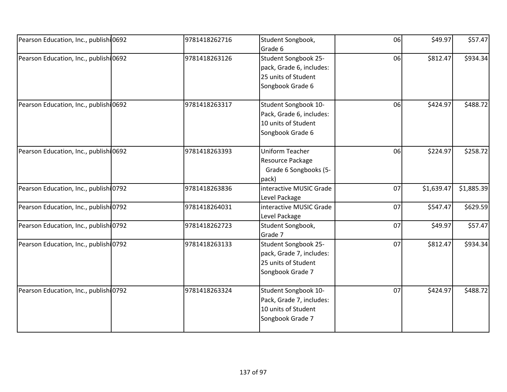| Pearson Education, Inc., publishi 0692 | 9781418262716 | Student Songbook,<br>Grade 6                                                                | 06 | \$49.97    | \$57.47    |
|----------------------------------------|---------------|---------------------------------------------------------------------------------------------|----|------------|------------|
| Pearson Education, Inc., publish 0692  | 9781418263126 | Student Songbook 25-<br>pack, Grade 6, includes:<br>25 units of Student<br>Songbook Grade 6 | 06 | \$812.47   | \$934.34   |
| Pearson Education, Inc., publish 0692  | 9781418263317 | Student Songbook 10-<br>Pack, Grade 6, includes:<br>10 units of Student<br>Songbook Grade 6 | 06 | \$424.97   | \$488.72   |
| Pearson Education, Inc., publishi 0692 | 9781418263393 | <b>Uniform Teacher</b><br>Resource Package<br>Grade 6 Songbooks (5-<br>pack)                | 06 | \$224.97   | \$258.72   |
| Pearson Education, Inc., publishi 0792 | 9781418263836 | interactive MUSIC Grade<br>Level Package                                                    | 07 | \$1,639.47 | \$1,885.39 |
| Pearson Education, Inc., publishi 0792 | 9781418264031 | interactive MUSIC Grade<br>Level Package                                                    | 07 | \$547.47   | \$629.59   |
| Pearson Education, Inc., publish 0792  | 9781418262723 | Student Songbook,<br>Grade 7                                                                | 07 | \$49.97    | \$57.47    |
| Pearson Education, Inc., publish 0792  | 9781418263133 | Student Songbook 25-<br>pack, Grade 7, includes:<br>25 units of Student<br>Songbook Grade 7 | 07 | \$812.47   | \$934.34   |
| Pearson Education, Inc., publish 0792  | 9781418263324 | Student Songbook 10-<br>Pack, Grade 7, includes:<br>10 units of Student<br>Songbook Grade 7 | 07 | \$424.97   | \$488.72   |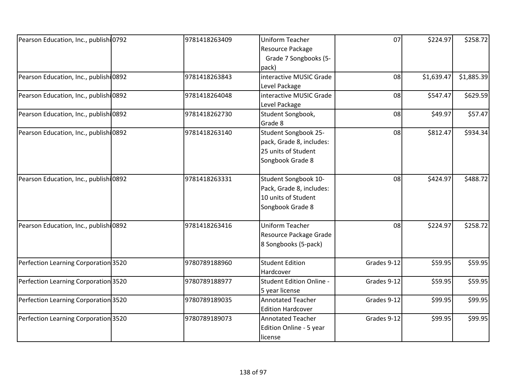| Pearson Education, Inc., publish 0792<br>9781418263409 | <b>Uniform Teacher</b>          | 07          | \$224.97   | \$258.72   |
|--------------------------------------------------------|---------------------------------|-------------|------------|------------|
|                                                        | Resource Package                |             |            |            |
|                                                        | Grade 7 Songbooks (5-           |             |            |            |
|                                                        | pack)                           |             |            |            |
| Pearson Education, Inc., publishi0892<br>9781418263843 | interactive MUSIC Grade         | 08          | \$1,639.47 | \$1,885.39 |
|                                                        | Level Package                   |             |            |            |
| Pearson Education, Inc., publishi0892<br>9781418264048 | interactive MUSIC Grade         | 08          | \$547.47   | \$629.59   |
|                                                        | Level Package                   |             |            |            |
| Pearson Education, Inc., publishi0892<br>9781418262730 | Student Songbook,               | 08          | \$49.97    | \$57.47    |
|                                                        | Grade 8                         |             |            |            |
| Pearson Education, Inc., publish 0892<br>9781418263140 | Student Songbook 25-            | 08          | \$812.47   | \$934.34   |
|                                                        | pack, Grade 8, includes:        |             |            |            |
|                                                        | 25 units of Student             |             |            |            |
|                                                        | Songbook Grade 8                |             |            |            |
|                                                        |                                 |             |            |            |
| Pearson Education, Inc., publishi0892<br>9781418263331 | Student Songbook 10-            | 08          | \$424.97   | \$488.72   |
|                                                        | Pack, Grade 8, includes:        |             |            |            |
|                                                        | 10 units of Student             |             |            |            |
|                                                        | Songbook Grade 8                |             |            |            |
| Pearson Education, Inc., publish 0892<br>9781418263416 | <b>Uniform Teacher</b>          | 08          | \$224.97   | \$258.72   |
|                                                        | Resource Package Grade          |             |            |            |
|                                                        | 8 Songbooks (5-pack)            |             |            |            |
| Perfection Learning Corporation 3520<br>9780789188960  | <b>Student Edition</b>          | Grades 9-12 | \$59.95    | \$59.95    |
|                                                        | Hardcover                       |             |            |            |
| Perfection Learning Corporation 3520<br>9780789188977  | <b>Student Edition Online -</b> | Grades 9-12 | \$59.95    | \$59.95    |
|                                                        | 5 year license                  |             |            |            |
| Perfection Learning Corporation 3520<br>9780789189035  | <b>Annotated Teacher</b>        | Grades 9-12 | \$99.95    | \$99.95    |
|                                                        | <b>Edition Hardcover</b>        |             |            |            |
| Perfection Learning Corporation 3520<br>9780789189073  | <b>Annotated Teacher</b>        | Grades 9-12 | \$99.95    | \$99.95    |
|                                                        | Edition Online - 5 year         |             |            |            |
|                                                        | license                         |             |            |            |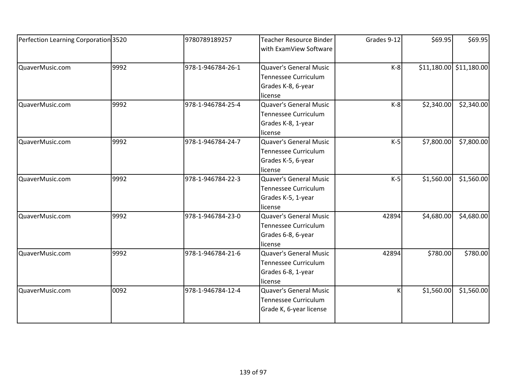| Perfection Learning Corporation 3520 |      | 9780789189257     | <b>Teacher Resource Binder</b><br>with ExamView Software                                      | Grades 9-12 | \$69.95    | \$69.95                 |
|--------------------------------------|------|-------------------|-----------------------------------------------------------------------------------------------|-------------|------------|-------------------------|
| QuaverMusic.com                      | 9992 | 978-1-946784-26-1 | Quaver's General Music<br><b>Tennessee Curriculum</b><br>Grades K-8, 6-year<br>license        | $K-8$       |            | \$11,180.00 \$11,180.00 |
| QuaverMusic.com                      | 9992 | 978-1-946784-25-4 | <b>Quaver's General Music</b><br><b>Tennessee Curriculum</b><br>Grades K-8, 1-year<br>license | $K-8$       | \$2,340.00 | \$2,340.00              |
| QuaverMusic.com                      | 9992 | 978-1-946784-24-7 | Quaver's General Music<br><b>Tennessee Curriculum</b><br>Grades K-5, 6-year<br>license        | $K-5$       | \$7,800.00 | \$7,800.00              |
| QuaverMusic.com                      | 9992 | 978-1-946784-22-3 | Quaver's General Music<br><b>Tennessee Curriculum</b><br>Grades K-5, 1-year<br>license        | $K-5$       | \$1,560.00 | \$1,560.00              |
| QuaverMusic.com                      | 9992 | 978-1-946784-23-0 | <b>Quaver's General Music</b><br>Tennessee Curriculum<br>Grades 6-8, 6-year<br>license        | 42894       | \$4,680.00 | \$4,680.00              |
| QuaverMusic.com                      | 9992 | 978-1-946784-21-6 | Quaver's General Music<br><b>Tennessee Curriculum</b><br>Grades 6-8, 1-year<br>license        | 42894       | \$780.00   | \$780.00                |
| QuaverMusic.com                      | 0092 | 978-1-946784-12-4 | <b>Quaver's General Music</b><br><b>Tennessee Curriculum</b><br>Grade K, 6-year license       | K           | \$1,560.00 | \$1,560.00              |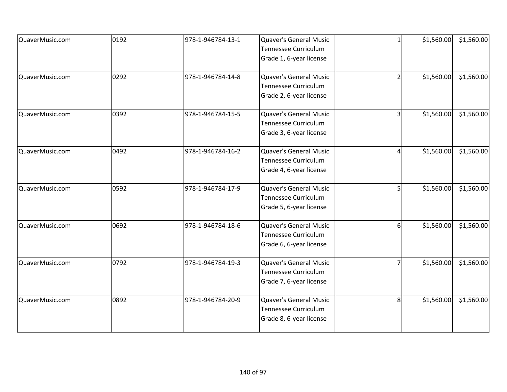| QuaverMusic.com | 0192 | 978-1-946784-13-1 | Quaver's General Music<br>Tennessee Curriculum<br>Grade 1, 6-year license               | $\mathbf{1}$   | \$1,560.00 | \$1,560.00 |
|-----------------|------|-------------------|-----------------------------------------------------------------------------------------|----------------|------------|------------|
| QuaverMusic.com | 0292 | 978-1-946784-14-8 | Quaver's General Music<br>Tennessee Curriculum<br>Grade 2, 6-year license               | $\overline{2}$ | \$1,560.00 | \$1,560.00 |
| QuaverMusic.com | 0392 | 978-1-946784-15-5 | <b>Quaver's General Music</b><br><b>Tennessee Curriculum</b><br>Grade 3, 6-year license | 3              | \$1,560.00 | \$1,560.00 |
| QuaverMusic.com | 0492 | 978-1-946784-16-2 | Quaver's General Music<br><b>Tennessee Curriculum</b><br>Grade 4, 6-year license        | 4              | \$1,560.00 | \$1,560.00 |
| QuaverMusic.com | 0592 | 978-1-946784-17-9 | Quaver's General Music<br>Tennessee Curriculum<br>Grade 5, 6-year license               | 5              | \$1,560.00 | \$1,560.00 |
| QuaverMusic.com | 0692 | 978-1-946784-18-6 | Quaver's General Music<br><b>Tennessee Curriculum</b><br>Grade 6, 6-year license        | 6              | \$1,560.00 | \$1,560.00 |
| QuaverMusic.com | 0792 | 978-1-946784-19-3 | Quaver's General Music<br><b>Tennessee Curriculum</b><br>Grade 7, 6-year license        | 7              | \$1,560.00 | \$1,560.00 |
| QuaverMusic.com | 0892 | 978-1-946784-20-9 | Quaver's General Music<br>Tennessee Curriculum<br>Grade 8, 6-year license               | 8              | \$1,560.00 | \$1,560.00 |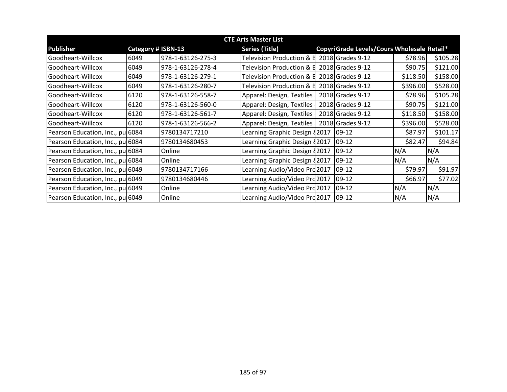| <b>CTE Arts Master List</b>      |                           |                   |                               |  |                                             |          |          |
|----------------------------------|---------------------------|-------------------|-------------------------------|--|---------------------------------------------|----------|----------|
| <b>Publisher</b>                 | <b>Category # ISBN-13</b> |                   | <b>Series (Title)</b>         |  | Copyri Grade Levels/Cours Wholesale Retail* |          |          |
| Goodheart-Willcox                | 6049                      | 978-1-63126-275-3 | Television Production &       |  | 2018 Grades 9-12                            | \$78.96  | \$105.28 |
| Goodheart-Willcox                | 6049                      | 978-1-63126-278-4 | Television Production &       |  | 2018 Grades 9-12                            | \$90.75  | \$121.00 |
| Goodheart-Willcox                | 6049                      | 978-1-63126-279-1 | Television Production &       |  | 2018 Grades 9-12                            | \$118.50 | \$158.00 |
| Goodheart-Willcox                | 6049                      | 978-1-63126-280-7 | Television Production &       |  | 2018 Grades 9-12                            | \$396.00 | \$528.00 |
| Goodheart-Willcox                | 6120                      | 978-1-63126-558-7 | Apparel: Design, Textiles     |  | 2018 Grades 9-12                            | \$78.96  | \$105.28 |
| lGoodheart-Willcox               | 6120                      | 978-1-63126-560-0 | Apparel: Design, Textiles     |  | 2018 Grades 9-12                            | \$90.75  | \$121.00 |
| lGoodheart-Willcox               | 6120                      | 978-1-63126-561-7 | Apparel: Design, Textiles     |  | 2018 Grades 9-12                            | \$118.50 | \$158.00 |
| Goodheart-Willcox                | 6120                      | 978-1-63126-566-2 | Apparel: Design, Textiles     |  | 2018 Grades 9-12                            | \$396.00 | \$528.00 |
| Pearson Education, Inc., pu 6084 |                           | 9780134717210     | Learning Graphic Design 82017 |  | $ 09-12 $                                   | \$87.97  | \$101.17 |
| Pearson Education, Inc., pu 6084 |                           | 9780134680453     | Learning Graphic Design {2017 |  | $09-12$                                     | \$82.47  | \$94.84  |
| Pearson Education, Inc., pu 6084 |                           | Online            | Learning Graphic Design {2017 |  | $09-12$                                     | N/A      | N/A      |
| Pearson Education, Inc., pu 6084 |                           | Online            | Learning Graphic Design 82017 |  | 09-12                                       | N/A      | N/A      |
| Pearson Education, Inc., pu 6049 |                           | 9780134717166     | Learning Audio/Video Pro 2017 |  | 09-12                                       | \$79.97  | \$91.97  |
| Pearson Education, Inc., pu 6049 |                           | 9780134680446     | Learning Audio/Video Prd 2017 |  | 09-12                                       | \$66.97  | \$77.02  |
| Pearson Education, Inc., pu 6049 |                           | Online            | Learning Audio/Video Prd2017  |  | $09-12$                                     | N/A      | N/A      |
| Pearson Education, Inc., pu 6049 |                           | Online            | Learning Audio/Video Prd 2017 |  | 09-12                                       | N/A      | N/A      |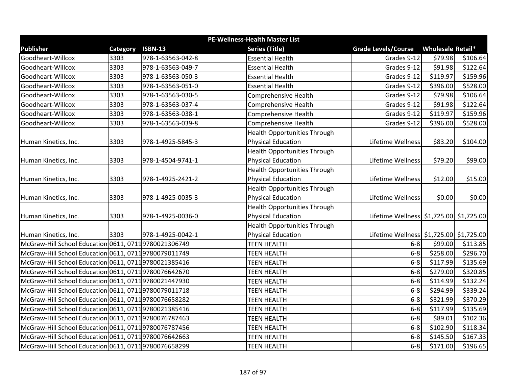|                                                      | PE-Wellness-Health Master List |                   |                                     |                                             |                   |          |  |
|------------------------------------------------------|--------------------------------|-------------------|-------------------------------------|---------------------------------------------|-------------------|----------|--|
| <b>Publisher</b>                                     | Category                       | <b>ISBN-13</b>    | <b>Series (Title)</b>               | <b>Grade Levels/Course</b>                  | Wholesale Retail* |          |  |
| Goodheart-Willcox                                    | 3303                           | 978-1-63563-042-8 | <b>Essential Health</b>             | Grades 9-12                                 | \$79.98           | \$106.64 |  |
| Goodheart-Willcox                                    | 3303                           | 978-1-63563-049-7 | <b>Essential Health</b>             | Grades 9-12                                 | \$91.98           | \$122.64 |  |
| Goodheart-Willcox                                    | 3303                           | 978-1-63563-050-3 | <b>Essential Health</b>             | Grades 9-12                                 | \$119.97          | \$159.96 |  |
| Goodheart-Willcox                                    | 3303                           | 978-1-63563-051-0 | <b>Essential Health</b>             | Grades 9-12                                 | \$396.00          | \$528.00 |  |
| Goodheart-Willcox                                    | 3303                           | 978-1-63563-030-5 | Comprehensive Health                | Grades 9-12                                 | \$79.98           | \$106.64 |  |
| Goodheart-Willcox                                    | 3303                           | 978-1-63563-037-4 | <b>Comprehensive Health</b>         | Grades 9-12                                 | \$91.98           | \$122.64 |  |
| Goodheart-Willcox                                    | 3303                           | 978-1-63563-038-1 | <b>Comprehensive Health</b>         | Grades 9-12                                 | \$119.97          | \$159.96 |  |
| Goodheart-Willcox                                    | 3303                           | 978-1-63563-039-8 | <b>Comprehensive Health</b>         | Grades 9-12                                 | \$396.00          | \$528.00 |  |
|                                                      |                                |                   | <b>Health Opportunities Through</b> |                                             |                   |          |  |
| Human Kinetics, Inc.                                 | 3303                           | 978-1-4925-5845-3 | <b>Physical Education</b>           | Lifetime Wellness                           | \$83.20           | \$104.00 |  |
|                                                      |                                |                   | <b>Health Opportunities Through</b> |                                             |                   |          |  |
| Human Kinetics, Inc.                                 | 3303                           | 978-1-4504-9741-1 | <b>Physical Education</b>           | Lifetime Wellness                           | \$79.20           | \$99.00  |  |
|                                                      |                                |                   | <b>Health Opportunities Through</b> |                                             |                   |          |  |
| Human Kinetics, Inc.                                 | 3303                           | 978-1-4925-2421-2 | <b>Physical Education</b>           | Lifetime Wellness                           | \$12.00           | \$15.00  |  |
|                                                      |                                |                   | <b>Health Opportunities Through</b> |                                             |                   |          |  |
| Human Kinetics, Inc.                                 | 3303                           | 978-1-4925-0035-3 | <b>Physical Education</b>           | Lifetime Wellness                           | \$0.00            | \$0.00   |  |
|                                                      |                                |                   | <b>Health Opportunities Through</b> |                                             |                   |          |  |
| Human Kinetics, Inc.                                 | 3303                           | 978-1-4925-0036-0 | <b>Physical Education</b>           | Lifetime Wellness   \$1,725.00   \$1,725.00 |                   |          |  |
|                                                      |                                |                   | <b>Health Opportunities Through</b> |                                             |                   |          |  |
| Human Kinetics, Inc.                                 | 3303                           | 978-1-4925-0042-1 | <b>Physical Education</b>           | Lifetime Wellness \$1,725.00 \$1,725.00     |                   |          |  |
| McGraw-Hill School Education 0611, 07119780021306749 |                                |                   | <b>TEEN HEALTH</b>                  | $6 - 8$                                     | \$99.00           | \$113.85 |  |
| McGraw-Hill School Education 0611, 07119780079011749 |                                |                   | <b>TEEN HEALTH</b>                  | $6 - 8$                                     | \$258.00          | \$296.70 |  |
| McGraw-Hill School Education 0611, 07119780021385416 |                                |                   | <b>TEEN HEALTH</b>                  | $6 - 8$                                     | \$117.99          | \$135.69 |  |
| McGraw-Hill School Education 0611, 07119780076642670 |                                |                   | <b>TEEN HEALTH</b>                  | $6-8$                                       | \$279.00          | \$320.85 |  |
| McGraw-Hill School Education 0611, 07119780021447930 |                                |                   | <b>TEEN HEALTH</b>                  | $6 - 8$                                     | \$114.99          | \$132.24 |  |
| McGraw-Hill School Education 0611, 07119780079011718 |                                |                   | <b>TEEN HEALTH</b>                  | $6-8$                                       | \$294.99          | \$339.24 |  |
| McGraw-Hill School Education 0611, 07119780076658282 |                                |                   | <b>TEEN HEALTH</b>                  | $6 - 8$                                     | \$321.99          | \$370.29 |  |
| McGraw-Hill School Education 0611, 07119780021385416 |                                |                   | <b>TEEN HEALTH</b>                  | $6 - 8$                                     | \$117.99          | \$135.69 |  |
| McGraw-Hill School Education 0611, 07119780076787463 |                                |                   | <b>TEEN HEALTH</b>                  | $6 - 8$                                     | \$89.01           | \$102.36 |  |
| McGraw-Hill School Education 0611, 07119780076787456 |                                |                   | <b>TEEN HEALTH</b>                  | $6-8$                                       | \$102.90          | \$118.34 |  |
| McGraw-Hill School Education 0611, 07119780076642663 |                                |                   | <b>TEEN HEALTH</b>                  | $6 - 8$                                     | \$145.50          | \$167.33 |  |
| McGraw-Hill School Education 0611, 07119780076658299 |                                |                   | <b>TEEN HEALTH</b>                  | $6 - 8$                                     | \$171.00          | \$196.65 |  |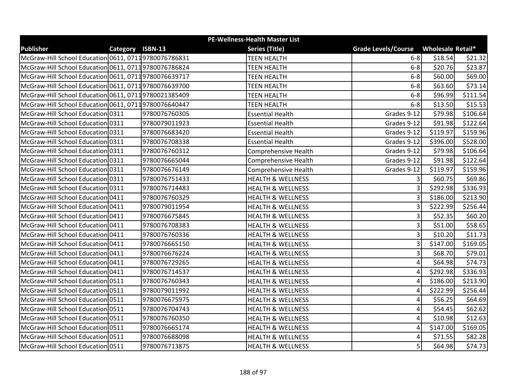| <b>PE-Wellness-Health Master List</b>                |                  |               |                              |                            |                          |          |  |
|------------------------------------------------------|------------------|---------------|------------------------------|----------------------------|--------------------------|----------|--|
| <b>Publisher</b>                                     | Category ISBN-13 |               | <b>Series (Title)</b>        | <b>Grade Levels/Course</b> | <b>Wholesale Retail*</b> |          |  |
| McGraw-Hill School Education 0611, 07119780076786831 |                  |               | <b>TEEN HEALTH</b>           | $6-8$                      | \$18.54                  | \$21.32  |  |
| McGraw-Hill School Education 0611, 07119780076786824 |                  |               | <b>TEEN HEALTH</b>           | $6-8$                      | \$20.76                  | \$23.87  |  |
| McGraw-Hill School Education 0611, 07119780076639717 |                  |               | <b>TEEN HEALTH</b>           | $6-8$                      | \$60.00                  | \$69.00  |  |
| McGraw-Hill School Education 0611, 07119780076639700 |                  |               | <b>TEEN HEALTH</b>           | $6 - 8$                    | \$63.60                  | \$73.14  |  |
| McGraw-Hill School Education 0611, 07119780021385409 |                  |               | <b>TEEN HEALTH</b>           | $6 - 8$                    | \$96.99                  | \$111.54 |  |
| McGraw-Hill School Education 0611, 07119780076640447 |                  |               | <b>TEEN HEALTH</b>           | $6 - 8$                    | \$13.50                  | \$15.53  |  |
| McGraw-Hill School Education 0311                    |                  | 9780076760305 | <b>Essential Health</b>      | Grades 9-12                | \$79.98                  | \$106.64 |  |
| McGraw-Hill School Education 0311                    |                  | 9780079011923 | <b>Essential Health</b>      | Grades 9-12                | \$91.98                  | \$122.64 |  |
| McGraw-Hill School Education 0311                    |                  | 9780076683420 | <b>Essential Health</b>      | Grades 9-12                | \$119.97                 | \$159.96 |  |
| McGraw-Hill School Education 0311                    |                  | 9780076708338 | <b>Essential Health</b>      | Grades 9-12                | \$396.00                 | \$528.00 |  |
| McGraw-Hill School Education 0311                    |                  | 9780076760312 | <b>Comprehensive Health</b>  | Grades 9-12                | \$79.98                  | \$106.64 |  |
| McGraw-Hill School Education 0311                    |                  | 9780076665044 | <b>Comprehensive Health</b>  | Grades 9-12                | \$91.98                  | \$122.64 |  |
| McGraw-Hill School Education 0311                    |                  | 9780076676149 | <b>Comprehensive Health</b>  | Grades 9-12                | \$119.97                 | \$159.96 |  |
| McGraw-Hill School Education 0311                    |                  | 9780076751433 | <b>HEALTH &amp; WELLNESS</b> | 3                          | \$60.75                  | \$69.86  |  |
| McGraw-Hill School Education 0311                    |                  | 9780076714483 | <b>HEALTH &amp; WELLNESS</b> | 3                          | \$292.98                 | \$336.93 |  |
| McGraw-Hill School Education 0411                    |                  | 9780076760329 | <b>HEALTH &amp; WELLNESS</b> | 3                          | \$186.00                 | \$213.90 |  |
| McGraw-Hill School Education 0411                    |                  | 9780079011954 | <b>HEALTH &amp; WELLNESS</b> | 3                          | \$222.99                 | \$256.44 |  |
| McGraw-Hill School Education 0411                    |                  | 9780076675845 | <b>HEALTH &amp; WELLNESS</b> | 3                          | \$52.35                  | \$60.20  |  |
| McGraw-Hill School Education 0411                    |                  | 9780076708383 | <b>HEALTH &amp; WELLNESS</b> | 3                          | \$51.00                  | \$58.65  |  |
| McGraw-Hill School Education 0411                    |                  | 9780076760336 | <b>HEALTH &amp; WELLNESS</b> | 3                          | \$10.20                  | \$11.73  |  |
| McGraw-Hill School Education 0411                    |                  | 9780076665150 | <b>HEALTH &amp; WELLNESS</b> | 3                          | \$147.00                 | \$169.05 |  |
| McGraw-Hill School Education 0411                    |                  | 9780076676224 | <b>HEALTH &amp; WELLNESS</b> | 3                          | \$68.70                  | \$79.01  |  |
| McGraw-Hill School Education 0411                    |                  | 9780076729265 | <b>HEALTH &amp; WELLNESS</b> | 4                          | \$64.98                  | \$74.73  |  |
| McGraw-Hill School Education 0411                    |                  | 9780076714537 | <b>HEALTH &amp; WELLNESS</b> | 4                          | \$292.98                 | \$336.93 |  |
| McGraw-Hill School Education 0511                    |                  | 9780076760343 | <b>HEALTH &amp; WELLNESS</b> | 4                          | \$186.00                 | \$213.90 |  |
| McGraw-Hill School Education 0511                    |                  | 9780079011992 | <b>HEALTH &amp; WELLNESS</b> | 4                          | \$222.99                 | \$256.44 |  |
| McGraw-Hill School Education 0511                    |                  | 9780076675975 | <b>HEALTH &amp; WELLNESS</b> | 4                          | \$56.25                  | \$64.69  |  |
| McGraw-Hill School Education 0511                    |                  | 9780076704743 | <b>HEALTH &amp; WELLNESS</b> | 4                          | \$54.45                  | \$62.62  |  |
| McGraw-Hill School Education 0511                    |                  | 9780076760350 | <b>HEALTH &amp; WELLNESS</b> | 4                          | \$10.98                  | \$12.63  |  |
| McGraw-Hill School Education 0511                    |                  | 9780076665174 | <b>HEALTH &amp; WELLNESS</b> | 4                          | \$147.00                 | \$169.05 |  |
| McGraw-Hill School Education 0511                    |                  | 9780076688098 | <b>HEALTH &amp; WELLNESS</b> | 4                          | \$71.55                  | \$82.28  |  |
| McGraw-Hill School Education 0511                    |                  | 9780076713875 | <b>HEALTH &amp; WELLNESS</b> | 5                          | \$64.98                  | \$74.73  |  |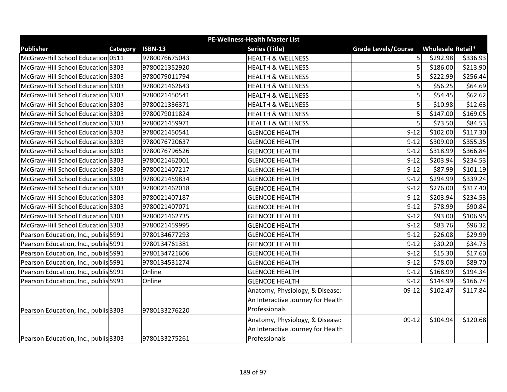| <b>PE-Wellness-Health Master List</b> |          |                |                                   |                            |                   |          |  |  |
|---------------------------------------|----------|----------------|-----------------------------------|----------------------------|-------------------|----------|--|--|
| <b>Publisher</b>                      | Category | <b>ISBN-13</b> | <b>Series (Title)</b>             | <b>Grade Levels/Course</b> | Wholesale Retail* |          |  |  |
| McGraw-Hill School Education 0511     |          | 9780076675043  | <b>HEALTH &amp; WELLNESS</b>      | 5                          | \$292.98          | \$336.93 |  |  |
| McGraw-Hill School Education 3303     |          | 9780021352920  | <b>HEALTH &amp; WELLNESS</b>      | 5                          | \$186.00          | \$213.90 |  |  |
| McGraw-Hill School Education 3303     |          | 9780079011794  | <b>HEALTH &amp; WELLNESS</b>      | 5                          | \$222.99          | \$256.44 |  |  |
| McGraw-Hill School Education 3303     |          | 9780021462643  | <b>HEALTH &amp; WELLNESS</b>      | 5                          | \$56.25           | \$64.69  |  |  |
| McGraw-Hill School Education 3303     |          | 9780021450541  | <b>HEALTH &amp; WELLNESS</b>      | 5                          | \$54.45           | \$62.62  |  |  |
| McGraw-Hill School Education 3303     |          | 9780021336371  | <b>HEALTH &amp; WELLNESS</b>      | 5                          | \$10.98           | \$12.63  |  |  |
| McGraw-Hill School Education 3303     |          | 9780079011824  | <b>HEALTH &amp; WELLNESS</b>      | 5                          | \$147.00          | \$169.05 |  |  |
| McGraw-Hill School Education 3303     |          | 9780021459971  | <b>HEALTH &amp; WELLNESS</b>      | 5                          | \$73.50           | \$84.53  |  |  |
| McGraw-Hill School Education 3303     |          | 9780021450541  | <b>GLENCOE HEALTH</b>             | $9 - 12$                   | \$102.00          | \$117.30 |  |  |
| McGraw-Hill School Education 3303     |          | 9780076720637  | <b>GLENCOE HEALTH</b>             | $9 - 12$                   | \$309.00          | \$355.35 |  |  |
| McGraw-Hill School Education 3303     |          | 9780076796526  | <b>GLENCOE HEALTH</b>             | $9 - 12$                   | \$318.99          | \$366.84 |  |  |
| McGraw-Hill School Education 3303     |          | 9780021462001  | <b>GLENCOE HEALTH</b>             | $9 - 12$                   | \$203.94          | \$234.53 |  |  |
| McGraw-Hill School Education 3303     |          | 9780021407217  | <b>GLENCOE HEALTH</b>             | $9 - 12$                   | \$87.99           | \$101.19 |  |  |
| McGraw-Hill School Education 3303     |          | 9780021459834  | <b>GLENCOE HEALTH</b>             | $9 - 12$                   | \$294.99          | \$339.24 |  |  |
| McGraw-Hill School Education 3303     |          | 9780021462018  | <b>GLENCOE HEALTH</b>             | $9 - 12$                   | \$276.00          | \$317.40 |  |  |
| McGraw-Hill School Education 3303     |          | 9780021407187  | <b>GLENCOE HEALTH</b>             | $9 - 12$                   | \$203.94          | \$234.53 |  |  |
| McGraw-Hill School Education 3303     |          | 9780021407071  | <b>GLENCOE HEALTH</b>             | $9 - 12$                   | \$78.99           | \$90.84  |  |  |
| McGraw-Hill School Education 3303     |          | 9780021462735  | <b>GLENCOE HEALTH</b>             | $9 - 12$                   | \$93.00           | \$106.95 |  |  |
| McGraw-Hill School Education 3303     |          | 9780021459995  | <b>GLENCOE HEALTH</b>             | $9 - 12$                   | \$83.76           | \$96.32  |  |  |
| Pearson Education, Inc., publis 5991  |          | 9780134677293  | <b>GLENCOE HEALTH</b>             | $9 - 12$                   | \$26.08           | \$29.99  |  |  |
| Pearson Education, Inc., publis 5991  |          | 9780134761381  | <b>GLENCOE HEALTH</b>             | $9 - 12$                   | \$30.20           | \$34.73  |  |  |
| Pearson Education, Inc., publis 5991  |          | 9780134721606  | <b>GLENCOE HEALTH</b>             | $9 - 12$                   | \$15.30           | \$17.60  |  |  |
| Pearson Education, Inc., publis 5991  |          | 9780134531274  | <b>GLENCOE HEALTH</b>             | $9 - 12$                   | \$78.00           | \$89.70  |  |  |
| Pearson Education, Inc., publis 5991  |          | Online         | <b>GLENCOE HEALTH</b>             | $9 - 12$                   | \$168.99          | \$194.34 |  |  |
| Pearson Education, Inc., publis 5991  |          | Online         | <b>GLENCOE HEALTH</b>             | $9 - 12$                   | \$144.99          | \$166.74 |  |  |
|                                       |          |                | Anatomy, Physiology, & Disease:   | $09-12$                    | \$102.47          | \$117.84 |  |  |
|                                       |          |                | An Interactive Journey for Health |                            |                   |          |  |  |
| Pearson Education, Inc., publis 3303  |          | 9780133276220  | Professionals                     |                            |                   |          |  |  |
|                                       |          |                | Anatomy, Physiology, & Disease:   | $09-12$                    | \$104.94          | \$120.68 |  |  |
|                                       |          |                | An Interactive Journey for Health |                            |                   |          |  |  |
| Pearson Education, Inc., publis 3303  |          | 9780133275261  | Professionals                     |                            |                   |          |  |  |